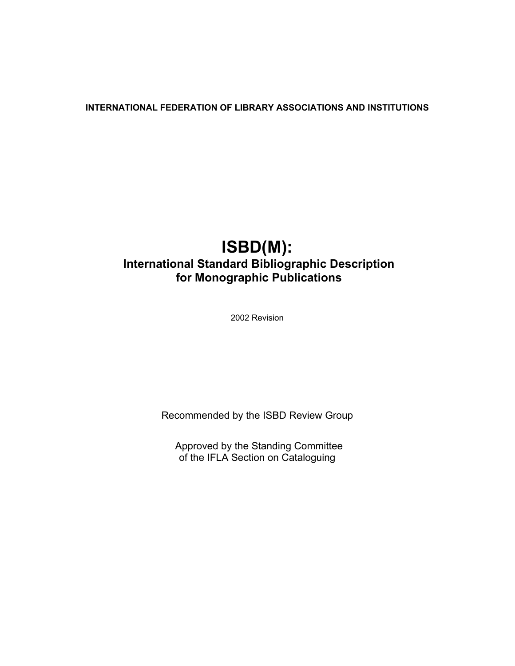## **INTERNATIONAL FEDERATION OF LIBRARY ASSOCIATIONS AND INSTITUTIONS**

# **ISBD(M):**

# **International Standard Bibliographic Description for Monographic Publications**

2002 Revision

Recommended by the ISBD Review Group

Approved by the Standing Committee of the IFLA Section on Cataloguing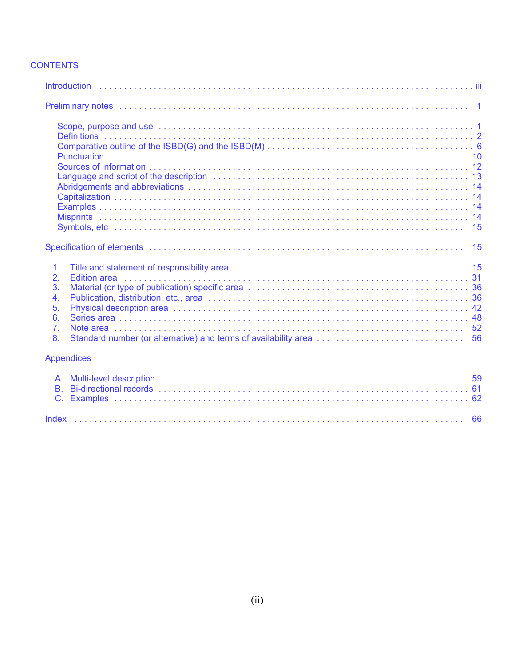## **CONTENTS**

|                   | Preliminary notes in the continuum of the control of the control of the control of the control of the control of the control of the control of the control of the control of the control of the control of the control of the  |  |
|-------------------|--------------------------------------------------------------------------------------------------------------------------------------------------------------------------------------------------------------------------------|--|
|                   | Scope, purpose and use contained and the contact of the contact of the scope, purpose and use contact the contact of the scope of the scope of the scope of the scope of the scope of the scope of the scope of the scope of t |  |
|                   |                                                                                                                                                                                                                                |  |
|                   |                                                                                                                                                                                                                                |  |
|                   |                                                                                                                                                                                                                                |  |
|                   |                                                                                                                                                                                                                                |  |
|                   |                                                                                                                                                                                                                                |  |
|                   |                                                                                                                                                                                                                                |  |
|                   |                                                                                                                                                                                                                                |  |
|                   |                                                                                                                                                                                                                                |  |
|                   |                                                                                                                                                                                                                                |  |
|                   |                                                                                                                                                                                                                                |  |
|                   |                                                                                                                                                                                                                                |  |
|                   |                                                                                                                                                                                                                                |  |
| $\mathbf{1}$ .    |                                                                                                                                                                                                                                |  |
| 2.                |                                                                                                                                                                                                                                |  |
| 3.                |                                                                                                                                                                                                                                |  |
|                   |                                                                                                                                                                                                                                |  |
| 4.                |                                                                                                                                                                                                                                |  |
| 5.                |                                                                                                                                                                                                                                |  |
| 6.                |                                                                                                                                                                                                                                |  |
| 7 <sub>1</sub>    |                                                                                                                                                                                                                                |  |
| 8.                |                                                                                                                                                                                                                                |  |
| <b>Appendices</b> |                                                                                                                                                                                                                                |  |
|                   |                                                                                                                                                                                                                                |  |
|                   |                                                                                                                                                                                                                                |  |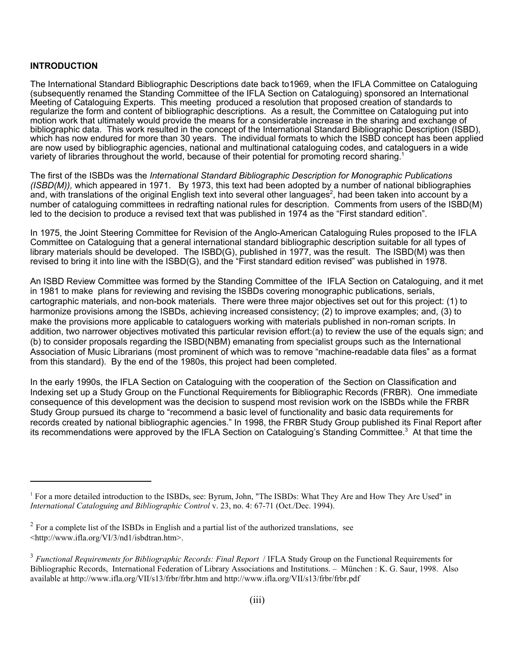#### <span id="page-2-0"></span>**INTRODUCTION**

The International Standard Bibliographic Descriptions date back to1969, when the IFLA Committee on Cataloguing (subsequently renamed the Standing Committee of the IFLA Section on Cataloguing) sponsored an International Meeting of Cataloguing Experts. This meeting produced a resolution that proposed creation of standards to regularize the form and content of bibliographic descriptions. As a result, the Committee on Cataloguing put into motion work that ultimately would provide the means for a considerable increase in the sharing and exchange of bibliographic data. This work resulted in the concept of the International Standard Bibliographic Description (ISBD), which has now endured for more than 30 years. The individual formats to which the ISBD concept has been applied are now used by bibliographic agencies, national and multinational cataloguing codes, and cataloguers in a wide variety of libraries throughout the world, because of their potential for promoting record sharing.<sup>1</sup>

The first of the ISBDs was the *International Standard Bibliographic Description for Monographic Publications (ISBD(M)),* which appeared in 1971. By 1973, this text had been adopted by a number of national bibliographies and, with translations of the original English text into several other languages<sup>2</sup>, had been taken into account by a number of cataloguing committees in redrafting national rules for description. Comments from users of the ISBD(M) led to the decision to produce a revised text that was published in 1974 as the "First standard edition".

In 1975, the Joint Steering Committee for Revision of the Anglo-American Cataloguing Rules proposed to the IFLA Committee on Cataloguing that a general international standard bibliographic description suitable for all types of library materials should be developed. The ISBD(G), published in 1977, was the result. The ISBD(M) was then revised to bring it into line with the ISBD(G), and the "First standard edition revised" was published in 1978.

An ISBD Review Committee was formed by the Standing Committee of the IFLA Section on Cataloguing, and it met in 1981 to make plans for reviewing and revising the ISBDs covering monographic publications, serials, cartographic materials, and non-book materials. There were three major objectives set out for this project: (1) to harmonize provisions among the ISBDs, achieving increased consistency; (2) to improve examples; and, (3) to make the provisions more applicable to cataloguers working with materials published in non-roman scripts. In addition, two narrower objectives motivated this particular revision effort:(a) to review the use of the equals sign; and (b) to consider proposals regarding the ISBD(NBM) emanating from specialist groups such as the International Association of Music Librarians (most prominent of which was to remove "machine-readable data files" as a format from this standard). By the end of the 1980s, this project had been completed.

In the early 1990s, the IFLA Section on Cataloguing with the cooperation of the Section on Classification and Indexing set up a Study Group on the Functional Requirements for Bibliographic Records (FRBR). One immediate consequence of this development was the decision to suspend most revision work on the ISBDs while the FRBR Study Group pursued its charge to "recommend a basic level of functionality and basic data requirements for records created by national bibliographic agencies." In 1998, the FRBR Study Group published its Final Report after its recommendations were approved by the IFLA Section on Cataloguing's Standing Committee.<sup>3</sup> At that time the

<sup>1</sup> For a more detailed introduction to the ISBDs, see: Byrum, John, "The ISBDs: What They Are and How They Are Used" in *International Cataloguing and Bibliographic Control* v. 23, no. 4: 67-71 (Oct./Dec. 1994).

 $2$  For a complete list of the ISBDs in English and a partial list of the authorized translations, see <http://www.ifla.org/VI/3/nd1/isbdtran.htm>.

<sup>&</sup>lt;sup>3</sup> Functional Requirements for Bibliographic Records: Final Report / IFLA Study Group on the Functional Requirements for Bibliographic Records, International Federation of Library Associations and Institutions. – München : K. G. Saur, 1998. Also available at http://www.ifla.org/VII/s13/frbr/frbr.htm and http://www.ifla.org/VII/s13/frbr/frbr.pdf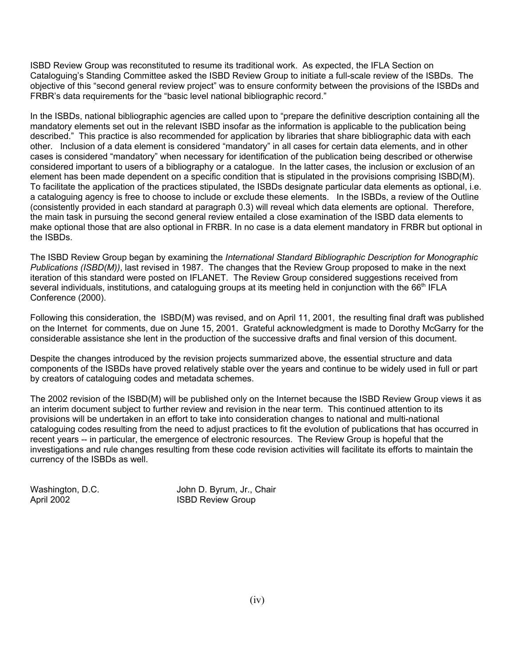ISBD Review Group was reconstituted to resume its traditional work. As expected, the IFLA Section on Cataloguing's Standing Committee asked the ISBD Review Group to initiate a full-scale review of the ISBDs. The objective of this "second general review project" was to ensure conformity between the provisions of the ISBDs and FRBR's data requirements for the "basic level national bibliographic record."

In the ISBDs, national bibliographic agencies are called upon to "prepare the definitive description containing all the mandatory elements set out in the relevant ISBD insofar as the information is applicable to the publication being described." This practice is also recommended for application by libraries that share bibliographic data with each other. Inclusion of a data element is considered "mandatory" in all cases for certain data elements, and in other cases is considered "mandatory" when necessary for identification of the publication being described or otherwise considered important to users of a bibliography or a catalogue. In the latter cases, the inclusion or exclusion of an element has been made dependent on a specific condition that is stipulated in the provisions comprising ISBD(M). To facilitate the application of the practices stipulated, the ISBDs designate particular data elements as optional, i.e. a cataloguing agency is free to choose to include or exclude these elements. In the ISBDs, a review of the Outline (consistently provided in each standard at paragraph 0.3) will reveal which data elements are optional. Therefore, the main task in pursuing the second general review entailed a close examination of the ISBD data elements to make optional those that are also optional in FRBR. In no case is a data element mandatory in FRBR but optional in the ISBDs.

The ISBD Review Group began by examining the *International Standard Bibliographic Description for Monographic Publications (ISBD(M))*, last revised in 1987. The changes that the Review Group proposed to make in the next iteration of this standard were posted on IFLANET. The Review Group considered suggestions received from several individuals, institutions, and cataloguing groups at its meeting held in conjunction with the 66<sup>th</sup> IFLA Conference (2000).

Following this consideration, the ISBD(M) was revised, and on April 11, 2001, the resulting final draft was published on the Internet for comments, due on June 15, 2001.Grateful acknowledgment is made to Dorothy McGarry for the considerable assistance she lent in the production of the successive drafts and final version of this document.

Despite the changes introduced by the revision projects summarized above, the essential structure and data components of the ISBDs have proved relatively stable over the years and continue to be widely used in full or part by creators of cataloguing codes and metadata schemes.

The 2002 revision of the ISBD(M) will be published only on the Internet because the ISBD Review Group views it as an interim document subject to further review and revision in the near term. This continued attention to its provisions will be undertaken in an effort to take into consideration changes to national and multi-national cataloguing codes resulting from the need to adjust practices to fit the evolution of publications that has occurred in recent years -- in particular, the emergence of electronic resources. The Review Group is hopeful that the investigations and rule changes resulting from these code revision activities will facilitate its efforts to maintain the currency of the ISBDs as well.

Washington, D.C. John D. Byrum, Jr., Chair April 2002 ISBD Review Group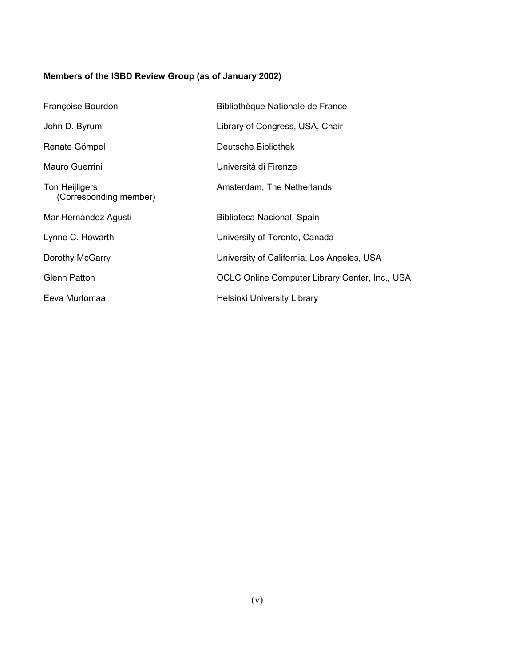# **Members of the ISBD Review Group (as of January 2002)**

| Françoise Bourdon                               | Bibliothèque Nationale de France               |
|-------------------------------------------------|------------------------------------------------|
| John D. Byrum                                   | Library of Congress, USA, Chair                |
| Renate Gömpel                                   | Deutsche Bibliothek                            |
| Mauro Guerrini                                  | Università di Firenze                          |
| <b>Ton Heijligers</b><br>(Corresponding member) | Amsterdam, The Netherlands                     |
| Mar Hernández Agustí                            | Biblioteca Nacional, Spain                     |
| Lynne C. Howarth                                | University of Toronto, Canada                  |
| Dorothy McGarry                                 | University of California, Los Angeles, USA     |
| <b>Glenn Patton</b>                             | OCLC Online Computer Library Center, Inc., USA |
| Eeva Murtomaa                                   | <b>Helsinki University Library</b>             |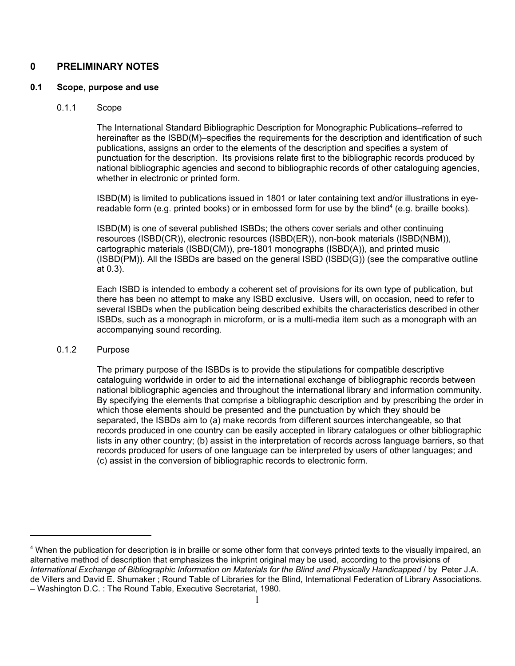## <span id="page-5-0"></span>**0 PRELIMINARY NOTES**

#### **0.1 Scope, purpose and use**

#### 0.1.1 Scope

The International Standard Bibliographic Description for Monographic Publications–referred to hereinafter as the ISBD(M)–specifies the requirements for the description and identification of such publications, assigns an order to the elements of the description and specifies a system of punctuation for the description. Its provisions relate first to the bibliographic records produced by national bibliographic agencies and second to bibliographic records of other cataloguing agencies, whether in electronic or printed form.

ISBD(M) is limited to publications issued in 1801 or later containing text and/or illustrations in eyereadable form (e.g. printed books) or in embossed form for use by the blind<sup>4</sup> (e.g. braille books).

ISBD(M) is one of several published ISBDs; the others cover serials and other continuing resources (ISBD(CR)), electronic resources (ISBD(ER)), non-book materials (ISBD(NBM)), cartographic materials (ISBD(CM)), pre-1801 monographs (ISBD(A)), and printed music (ISBD(PM)). All the ISBDs are based on the general ISBD (ISBD(G)) (see the comparative outline at 0.3).

Each ISBD is intended to embody a coherent set of provisions for its own type of publication, but there has been no attempt to make any ISBD exclusive. Users will, on occasion, need to refer to several ISBDs when the publication being described exhibits the characteristics described in other ISBDs, such as a monograph in microform, or is a multi-media item such as a monograph with an accompanying sound recording.

## 0.1.2 Purpose

The primary purpose of the ISBDs is to provide the stipulations for compatible descriptive cataloguing worldwide in order to aid the international exchange of bibliographic records between national bibliographic agencies and throughout the international library and information community. By specifying the elements that comprise a bibliographic description and by prescribing the order in which those elements should be presented and the punctuation by which they should be separated, the ISBDs aim to (a) make records from different sources interchangeable, so that records produced in one country can be easily accepted in library catalogues or other bibliographic lists in any other country; (b) assist in the interpretation of records across language barriers, so that records produced for users of one language can be interpreted by users of other languages; and (c) assist in the conversion of bibliographic records to electronic form.

<sup>&</sup>lt;sup>4</sup> When the publication for description is in braille or some other form that conveys printed texts to the visually impaired, an alternative method of description that emphasizes the inkprint original may be used, according to the provisions of *International Exchange of Bibliographic Information on Materials for the Blind and Physically Handicapped* / by Peter J.A. de Villers and David E. Shumaker ; Round Table of Libraries for the Blind, International Federation of Library Associations. – Washington D.C. : The Round Table, Executive Secretariat, 1980.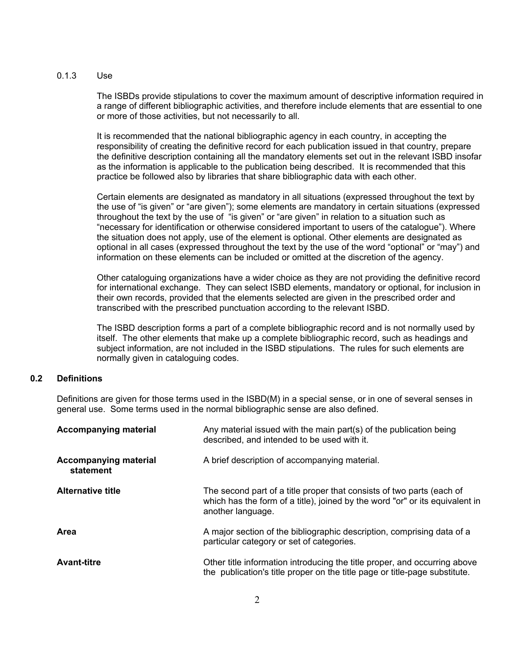#### 0.1.3 Use

The ISBDs provide stipulations to cover the maximum amount of descriptive information required in a range of different bibliographic activities, and therefore include elements that are essential to one or more of those activities, but not necessarily to all.

It is recommended that the national bibliographic agency in each country, in accepting the responsibility of creating the definitive record for each publication issued in that country, prepare the definitive description containing all the mandatory elements set out in the relevant ISBD insofar as the information is applicable to the publication being described. It is recommended that this practice be followed also by libraries that share bibliographic data with each other.

Certain elements are designated as mandatory in all situations (expressed throughout the text by the use of "is given" or "are given"); some elements are mandatory in certain situations (expressed throughout the text by the use of "is given" or "are given" in relation to a situation such as "necessary for identification or otherwise considered important to users of the catalogue"). Where the situation does not apply, use of the element is optional. Other elements are designated as optional in all cases (expressed throughout the text by the use of the word "optional" or "may") and information on these elements can be included or omitted at the discretion of the agency.

Other cataloguing organizations have a wider choice as they are not providing the definitive record for international exchange. They can select ISBD elements, mandatory or optional, for inclusion in their own records, provided that the elements selected are given in the prescribed order and transcribed with the prescribed punctuation according to the relevant ISBD.

The ISBD description forms a part of a complete bibliographic record and is not normally used by itself. The other elements that make up a complete bibliographic record, such as headings and subject information, are not included in the ISBD stipulations. The rules for such elements are normally given in cataloguing codes.

## **0.2 Definitions**

Definitions are given for those terms used in the ISBD(M) in a special sense, or in one of several senses in general use. Some terms used in the normal bibliographic sense are also defined.

| <b>Accompanying material</b>              | Any material issued with the main part(s) of the publication being<br>described, and intended to be used with it.                                                          |
|-------------------------------------------|----------------------------------------------------------------------------------------------------------------------------------------------------------------------------|
| <b>Accompanying material</b><br>statement | A brief description of accompanying material.                                                                                                                              |
| <b>Alternative title</b>                  | The second part of a title proper that consists of two parts (each of<br>which has the form of a title), joined by the word "or" or its equivalent in<br>another language. |
| <b>Area</b>                               | A major section of the bibliographic description, comprising data of a<br>particular category or set of categories.                                                        |
| <b>Avant-titre</b>                        | Other title information introducing the title proper, and occurring above<br>the publication's title proper on the title page or title-page substitute.                    |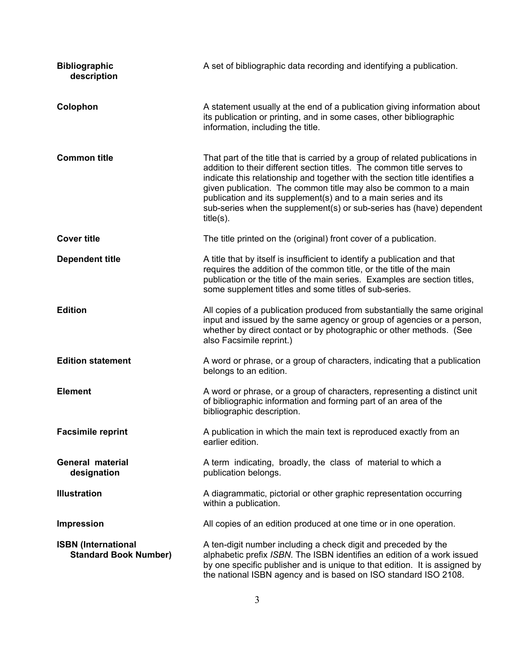| <b>Bibliographic</b><br>description                        | A set of bibliographic data recording and identifying a publication.                                                                                                                                                                                                                                                                                                                                                                                             |
|------------------------------------------------------------|------------------------------------------------------------------------------------------------------------------------------------------------------------------------------------------------------------------------------------------------------------------------------------------------------------------------------------------------------------------------------------------------------------------------------------------------------------------|
| Colophon                                                   | A statement usually at the end of a publication giving information about<br>its publication or printing, and in some cases, other bibliographic<br>information, including the title.                                                                                                                                                                                                                                                                             |
| <b>Common title</b>                                        | That part of the title that is carried by a group of related publications in<br>addition to their different section titles. The common title serves to<br>indicate this relationship and together with the section title identifies a<br>given publication. The common title may also be common to a main<br>publication and its supplement(s) and to a main series and its<br>sub-series when the supplement(s) or sub-series has (have) dependent<br>title(s). |
| <b>Cover title</b>                                         | The title printed on the (original) front cover of a publication.                                                                                                                                                                                                                                                                                                                                                                                                |
| <b>Dependent title</b>                                     | A title that by itself is insufficient to identify a publication and that<br>requires the addition of the common title, or the title of the main<br>publication or the title of the main series. Examples are section titles,<br>some supplement titles and some titles of sub-series.                                                                                                                                                                           |
| <b>Edition</b>                                             | All copies of a publication produced from substantially the same original<br>input and issued by the same agency or group of agencies or a person,<br>whether by direct contact or by photographic or other methods. (See<br>also Facsimile reprint.)                                                                                                                                                                                                            |
| <b>Edition statement</b>                                   | A word or phrase, or a group of characters, indicating that a publication<br>belongs to an edition.                                                                                                                                                                                                                                                                                                                                                              |
| <b>Element</b>                                             | A word or phrase, or a group of characters, representing a distinct unit<br>of bibliographic information and forming part of an area of the<br>bibliographic description.                                                                                                                                                                                                                                                                                        |
| <b>Facsimile reprint</b>                                   | A publication in which the main text is reproduced exactly from an<br>earlier edition.                                                                                                                                                                                                                                                                                                                                                                           |
| <b>General material</b><br>designation                     | A term indicating, broadly, the class of material to which a<br>publication belongs.                                                                                                                                                                                                                                                                                                                                                                             |
| <b>Illustration</b>                                        | A diagrammatic, pictorial or other graphic representation occurring<br>within a publication.                                                                                                                                                                                                                                                                                                                                                                     |
| <b>Impression</b>                                          | All copies of an edition produced at one time or in one operation.                                                                                                                                                                                                                                                                                                                                                                                               |
| <b>ISBN</b> (International<br><b>Standard Book Number)</b> | A ten-digit number including a check digit and preceded by the<br>alphabetic prefix ISBN. The ISBN identifies an edition of a work issued<br>by one specific publisher and is unique to that edition. It is assigned by<br>the national ISBN agency and is based on ISO standard ISO 2108.                                                                                                                                                                       |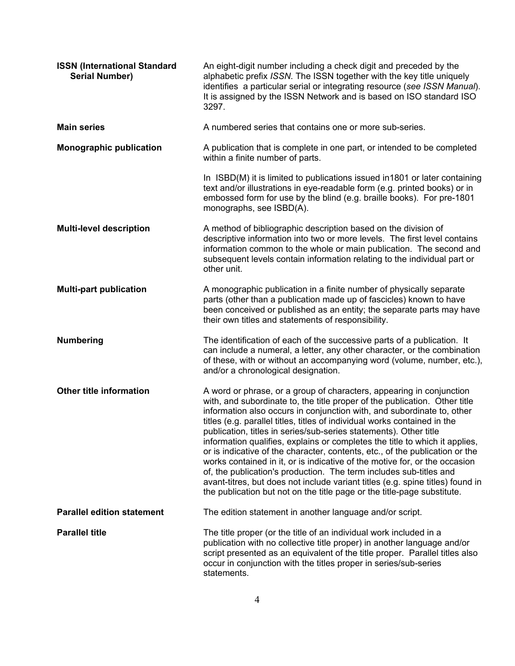| <b>ISSN</b> (International Standard<br><b>Serial Number)</b> | An eight-digit number including a check digit and preceded by the<br>alphabetic prefix ISSN. The ISSN together with the key title uniquely<br>identifies a particular serial or integrating resource (see ISSN Manual).<br>It is assigned by the ISSN Network and is based on ISO standard ISO<br>3297.                                                                                                                                                                                                                                                                                                                                                                                                                                                                                                                                                        |
|--------------------------------------------------------------|----------------------------------------------------------------------------------------------------------------------------------------------------------------------------------------------------------------------------------------------------------------------------------------------------------------------------------------------------------------------------------------------------------------------------------------------------------------------------------------------------------------------------------------------------------------------------------------------------------------------------------------------------------------------------------------------------------------------------------------------------------------------------------------------------------------------------------------------------------------|
| <b>Main series</b>                                           | A numbered series that contains one or more sub-series.                                                                                                                                                                                                                                                                                                                                                                                                                                                                                                                                                                                                                                                                                                                                                                                                        |
| <b>Monographic publication</b>                               | A publication that is complete in one part, or intended to be completed<br>within a finite number of parts.                                                                                                                                                                                                                                                                                                                                                                                                                                                                                                                                                                                                                                                                                                                                                    |
|                                                              | In ISBD(M) it is limited to publications issued in 1801 or later containing<br>text and/or illustrations in eye-readable form (e.g. printed books) or in<br>embossed form for use by the blind (e.g. braille books). For pre-1801<br>monographs, see ISBD(A).                                                                                                                                                                                                                                                                                                                                                                                                                                                                                                                                                                                                  |
| <b>Multi-level description</b>                               | A method of bibliographic description based on the division of<br>descriptive information into two or more levels. The first level contains<br>information common to the whole or main publication. The second and<br>subsequent levels contain information relating to the individual part or<br>other unit.                                                                                                                                                                                                                                                                                                                                                                                                                                                                                                                                                  |
| <b>Multi-part publication</b>                                | A monographic publication in a finite number of physically separate<br>parts (other than a publication made up of fascicles) known to have<br>been conceived or published as an entity; the separate parts may have<br>their own titles and statements of responsibility.                                                                                                                                                                                                                                                                                                                                                                                                                                                                                                                                                                                      |
| <b>Numbering</b>                                             | The identification of each of the successive parts of a publication. It<br>can include a numeral, a letter, any other character, or the combination<br>of these, with or without an accompanying word (volume, number, etc.),<br>and/or a chronological designation.                                                                                                                                                                                                                                                                                                                                                                                                                                                                                                                                                                                           |
| <b>Other title information</b>                               | A word or phrase, or a group of characters, appearing in conjunction<br>with, and subordinate to, the title proper of the publication. Other title<br>information also occurs in conjunction with, and subordinate to, other<br>titles (e.g. parallel titles, titles of individual works contained in the<br>publication, titles in series/sub-series statements). Other title<br>information qualifies, explains or completes the title to which it applies,<br>or is indicative of the character, contents, etc., of the publication or the<br>works contained in it, or is indicative of the motive for, or the occasion<br>of, the publication's production. The term includes sub-titles and<br>avant-titres, but does not include variant titles (e.g. spine titles) found in<br>the publication but not on the title page or the title-page substitute. |
| <b>Parallel edition statement</b>                            | The edition statement in another language and/or script.                                                                                                                                                                                                                                                                                                                                                                                                                                                                                                                                                                                                                                                                                                                                                                                                       |
| <b>Parallel title</b>                                        | The title proper (or the title of an individual work included in a<br>publication with no collective title proper) in another language and/or<br>script presented as an equivalent of the title proper. Parallel titles also<br>occur in conjunction with the titles proper in series/sub-series<br>statements.                                                                                                                                                                                                                                                                                                                                                                                                                                                                                                                                                |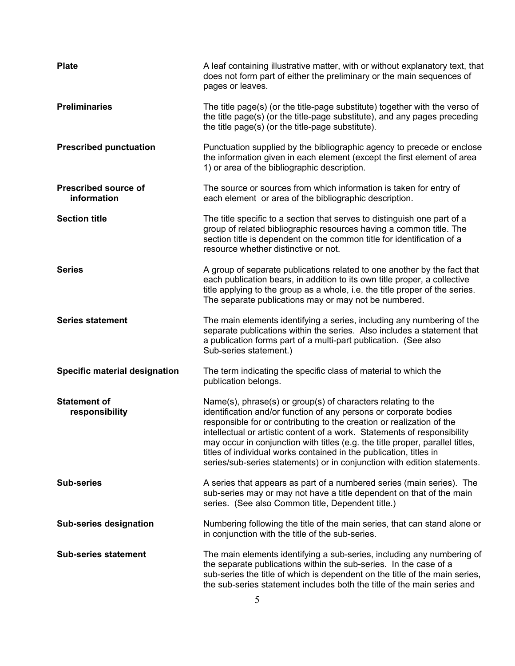| <b>Plate</b>                               | A leaf containing illustrative matter, with or without explanatory text, that<br>does not form part of either the preliminary or the main sequences of<br>pages or leaves.                                                                                                                                                                                                                                                                                                                                                |
|--------------------------------------------|---------------------------------------------------------------------------------------------------------------------------------------------------------------------------------------------------------------------------------------------------------------------------------------------------------------------------------------------------------------------------------------------------------------------------------------------------------------------------------------------------------------------------|
| <b>Preliminaries</b>                       | The title page(s) (or the title-page substitute) together with the verso of<br>the title page(s) (or the title-page substitute), and any pages preceding<br>the title page(s) (or the title-page substitute).                                                                                                                                                                                                                                                                                                             |
| <b>Prescribed punctuation</b>              | Punctuation supplied by the bibliographic agency to precede or enclose<br>the information given in each element (except the first element of area<br>1) or area of the bibliographic description.                                                                                                                                                                                                                                                                                                                         |
| <b>Prescribed source of</b><br>information | The source or sources from which information is taken for entry of<br>each element or area of the bibliographic description.                                                                                                                                                                                                                                                                                                                                                                                              |
| <b>Section title</b>                       | The title specific to a section that serves to distinguish one part of a<br>group of related bibliographic resources having a common title. The<br>section title is dependent on the common title for identification of a<br>resource whether distinctive or not.                                                                                                                                                                                                                                                         |
| <b>Series</b>                              | A group of separate publications related to one another by the fact that<br>each publication bears, in addition to its own title proper, a collective<br>title applying to the group as a whole, i.e. the title proper of the series.<br>The separate publications may or may not be numbered.                                                                                                                                                                                                                            |
| <b>Series statement</b>                    | The main elements identifying a series, including any numbering of the<br>separate publications within the series. Also includes a statement that<br>a publication forms part of a multi-part publication. (See also<br>Sub-series statement.)                                                                                                                                                                                                                                                                            |
| <b>Specific material designation</b>       | The term indicating the specific class of material to which the<br>publication belongs.                                                                                                                                                                                                                                                                                                                                                                                                                                   |
| <b>Statement of</b><br>responsibility      | Name(s), phrase(s) or group(s) of characters relating to the<br>identification and/or function of any persons or corporate bodies<br>responsible for or contributing to the creation or realization of the<br>intellectual or artistic content of a work. Statements of responsibility<br>may occur in conjunction with titles (e.g. the title proper, parallel titles,<br>titles of individual works contained in the publication, titles in<br>series/sub-series statements) or in conjunction with edition statements. |
| <b>Sub-series</b>                          | A series that appears as part of a numbered series (main series). The<br>sub-series may or may not have a title dependent on that of the main<br>series. (See also Common title, Dependent title.)                                                                                                                                                                                                                                                                                                                        |
| <b>Sub-series designation</b>              | Numbering following the title of the main series, that can stand alone or<br>in conjunction with the title of the sub-series.                                                                                                                                                                                                                                                                                                                                                                                             |
| <b>Sub-series statement</b>                | The main elements identifying a sub-series, including any numbering of<br>the separate publications within the sub-series. In the case of a<br>sub-series the title of which is dependent on the title of the main series,<br>the sub-series statement includes both the title of the main series and                                                                                                                                                                                                                     |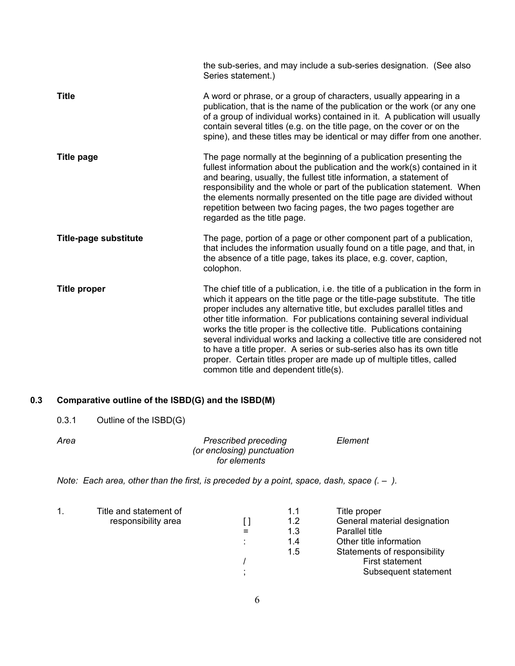<span id="page-10-0"></span>

|                              | the sub-series, and may include a sub-series designation. (See also<br>Series statement.)                                                                                                                                                                                                                                                                                                                                                                                                                                                                                                                                                                              |
|------------------------------|------------------------------------------------------------------------------------------------------------------------------------------------------------------------------------------------------------------------------------------------------------------------------------------------------------------------------------------------------------------------------------------------------------------------------------------------------------------------------------------------------------------------------------------------------------------------------------------------------------------------------------------------------------------------|
| <b>Title</b>                 | A word or phrase, or a group of characters, usually appearing in a<br>publication, that is the name of the publication or the work (or any one<br>of a group of individual works) contained in it. A publication will usually<br>contain several titles (e.g. on the title page, on the cover or on the<br>spine), and these titles may be identical or may differ from one another.                                                                                                                                                                                                                                                                                   |
| <b>Title page</b>            | The page normally at the beginning of a publication presenting the<br>fullest information about the publication and the work(s) contained in it<br>and bearing, usually, the fullest title information, a statement of<br>responsibility and the whole or part of the publication statement. When<br>the elements normally presented on the title page are divided without<br>repetition between two facing pages, the two pages together are<br>regarded as the title page.                                                                                                                                                                                           |
| <b>Title-page substitute</b> | The page, portion of a page or other component part of a publication,<br>that includes the information usually found on a title page, and that, in<br>the absence of a title page, takes its place, e.g. cover, caption,<br>colophon.                                                                                                                                                                                                                                                                                                                                                                                                                                  |
| <b>Title proper</b>          | The chief title of a publication, i.e. the title of a publication in the form in<br>which it appears on the title page or the title-page substitute. The title<br>proper includes any alternative title, but excludes parallel titles and<br>other title information. For publications containing several individual<br>works the title proper is the collective title. Publications containing<br>several individual works and lacking a collective title are considered not<br>to have a title proper. A series or sub-series also has its own title<br>proper. Certain titles proper are made up of multiple titles, called<br>common title and dependent title(s). |

# **0.3 Comparative outline of the ISBD(G) and the ISBD(M)**

- 0.3.1 Outline of the ISBD(G)
- 

*Area Prescribed preceding Element (or enclosing) punctuation for elements*

*Note: Each area, other than the first, is preceded by a point, space, dash, space (. – ).*

| 1. | Title and statement of | 1.1 | Title proper                 |
|----|------------------------|-----|------------------------------|
|    | responsibility area    | 1.2 | General material designation |
|    |                        | 1.3 | Parallel title               |
|    |                        | 1.4 | Other title information      |
|    |                        | 1.5 | Statements of responsibility |
|    |                        |     | First statement              |
|    |                        |     | Subsequent statement         |
|    |                        |     |                              |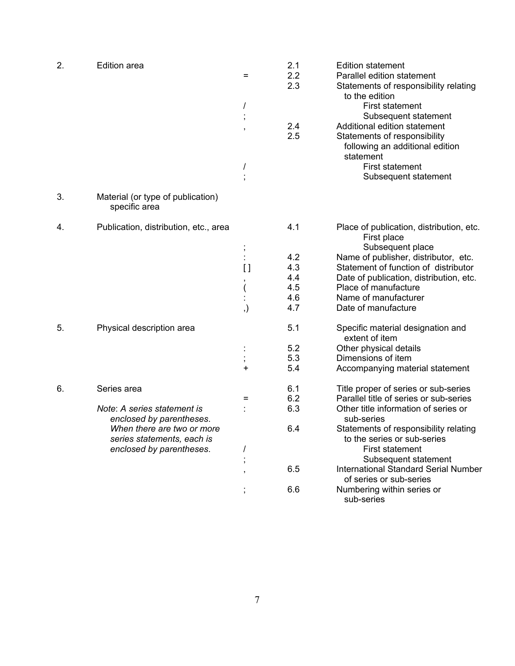| 2. | <b>Edition</b> area                                      | Ξ         | 2.1<br>2.2<br>2.3 | <b>Edition statement</b><br>Parallel edition statement<br>Statements of responsibility relating<br>to the edition       |
|----|----------------------------------------------------------|-----------|-------------------|-------------------------------------------------------------------------------------------------------------------------|
|    |                                                          |           |                   | First statement                                                                                                         |
|    |                                                          |           | 2.4<br>2.5        | Subsequent statement<br>Additional edition statement<br>Statements of responsibility<br>following an additional edition |
|    |                                                          |           |                   | statement                                                                                                               |
|    |                                                          |           |                   | First statement<br>Subsequent statement                                                                                 |
| 3. | Material (or type of publication)<br>specific area       |           |                   |                                                                                                                         |
| 4. | Publication, distribution, etc., area                    |           | 4.1               | Place of publication, distribution, etc.<br>First place<br>Subsequent place                                             |
|    |                                                          |           | 4.2               | Name of publisher, distributor, etc.                                                                                    |
|    |                                                          | $[ \ ]$   | 4.3               | Statement of function of distributor                                                                                    |
|    |                                                          |           | 4.4               | Date of publication, distribution, etc.                                                                                 |
|    |                                                          | $\,$      | 4.5               | Place of manufacture                                                                                                    |
|    |                                                          |           | 4.6               | Name of manufacturer                                                                                                    |
|    |                                                          |           | 4.7               | Date of manufacture                                                                                                     |
| 5. | Physical description area                                |           | 5.1               | Specific material designation and<br>extent of item                                                                     |
|    |                                                          |           | 5.2               | Other physical details                                                                                                  |
|    |                                                          |           | 5.3               | Dimensions of item                                                                                                      |
|    |                                                          | $\ddot{}$ | 5.4               | Accompanying material statement                                                                                         |
| 6. | Series area                                              |           | 6.1               | Title proper of series or sub-series                                                                                    |
|    |                                                          | =         | 6.2               | Parallel title of series or sub-series                                                                                  |
|    | Note: A series statement is<br>enclosed by parentheses.  |           | 6.3               | Other title information of series or<br>sub-series                                                                      |
|    | When there are two or more<br>series statements, each is |           | 6.4               | Statements of responsibility relating<br>to the series or sub-series                                                    |
|    | enclosed by parentheses.                                 |           |                   | <b>First statement</b>                                                                                                  |
|    |                                                          |           |                   | Subsequent statement                                                                                                    |
|    |                                                          |           | 6.5               | <b>International Standard Serial Number</b><br>of series or sub-series                                                  |
|    |                                                          |           | 6.6               | Numbering within series or<br>sub-series                                                                                |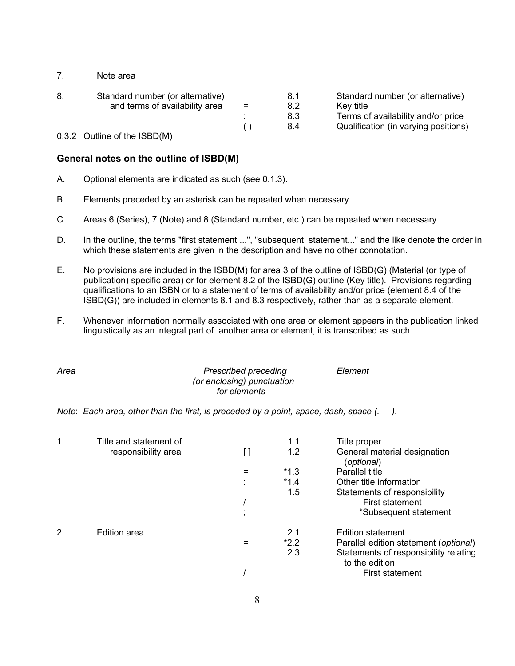7. Note area

| 8. | Standard number (or alternative) |     | 8.1 | Standard number (or alternative)     |
|----|----------------------------------|-----|-----|--------------------------------------|
|    | and terms of availability area   | $=$ | 8.2 | Kev title                            |
|    |                                  |     | 8.3 | Terms of availability and/or price   |
|    |                                  |     | 8.4 | Qualification (in varying positions) |
|    | (0.2.2, 0.4                      |     |     |                                      |

0.3.2 Outline of the ISBD(M)

## **General notes on the outline of ISBD(M)**

- A. Optional elements are indicated as such (see 0.1.3).
- B. Elements preceded by an asterisk can be repeated when necessary.
- C. Areas 6 (Series), 7 (Note) and 8 (Standard number, etc.) can be repeated when necessary.
- D. In the outline, the terms "first statement ...", "subsequent statement..." and the like denote the order in which these statements are given in the description and have no other connotation.
- E. No provisions are included in the ISBD(M) for area 3 of the outline of ISBD(G) (Material (or type of publication) specific area) or for element 8.2 of the ISBD(G) outline (Key title). Provisions regarding qualifications to an ISBN or to a statement of terms of availability and/or price (element 8.4 of the ISBD(G)) are included in elements 8.1 and 8.3 respectively, rather than as a separate element.
- F. Whenever information normally associated with one area or element appears in the publication linked linguistically as an integral part of another area or element, it is transcribed as such.

| Area | <b>Prescribed preceding</b> | Element |
|------|-----------------------------|---------|
|      | (or enclosing) punctuation  |         |
|      | for elements                |         |

*Note*: *Each area, other than the first, is preceded by a point, space, dash, space (. – ).*

| 1. | Title and statement of | 1.1    | Title proper                                            |
|----|------------------------|--------|---------------------------------------------------------|
|    | responsibility area    | 1.2    | General material designation<br>(optional)              |
|    |                        | $*1.3$ | Parallel title                                          |
|    |                        | $*1.4$ | Other title information                                 |
|    |                        | 1.5    | Statements of responsibility                            |
|    |                        |        | <b>First statement</b>                                  |
|    |                        |        | *Subsequent statement                                   |
| 2. | Edition area           | 2.1    | <b>Edition statement</b>                                |
|    |                        | $*2.2$ | Parallel edition statement (optional)                   |
|    |                        | 2.3    | Statements of responsibility relating<br>to the edition |
|    |                        |        | <b>First statement</b>                                  |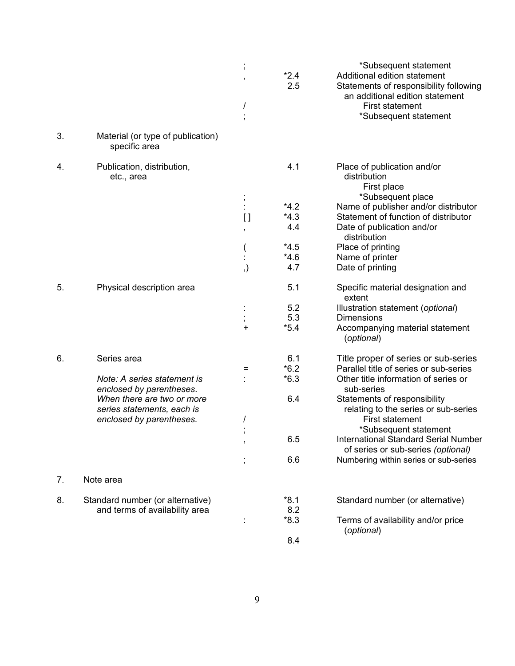|    |                                                          |           | $*2.4$<br>2.5 | *Subsequent statement<br>Additional edition statement<br>Statements of responsibility following<br>an additional edition statement<br>First statement<br>*Subsequent statement |
|----|----------------------------------------------------------|-----------|---------------|--------------------------------------------------------------------------------------------------------------------------------------------------------------------------------|
| 3. | Material (or type of publication)<br>specific area       |           |               |                                                                                                                                                                                |
| 4. | Publication, distribution,<br>etc., area                 |           | 4.1           | Place of publication and/or<br>distribution<br>First place<br>*Subsequent place                                                                                                |
|    |                                                          |           | $*4.2$        | Name of publisher and/or distributor                                                                                                                                           |
|    |                                                          | $[ \ ]$   | $*4.3$        | Statement of function of distributor                                                                                                                                           |
|    |                                                          |           | 4.4           | Date of publication and/or<br>distribution                                                                                                                                     |
|    |                                                          |           | $*4.5$        | Place of printing                                                                                                                                                              |
|    |                                                          |           | $*4.6$        | Name of printer                                                                                                                                                                |
|    |                                                          |           | 4.7           | Date of printing                                                                                                                                                               |
| 5. | Physical description area                                |           | 5.1           | Specific material designation and<br>extent                                                                                                                                    |
|    |                                                          |           | 5.2           | Illustration statement (optional)                                                                                                                                              |
|    |                                                          |           | 5.3           | Dimensions                                                                                                                                                                     |
|    |                                                          | $\ddot{}$ | $*5.4$        | Accompanying material statement<br>(optional)                                                                                                                                  |
| 6. | Series area                                              |           | 6.1           | Title proper of series or sub-series                                                                                                                                           |
|    |                                                          | =         | $*6.2$        | Parallel title of series or sub-series                                                                                                                                         |
|    | Note: A series statement is<br>enclosed by parentheses.  |           | $*6.3$        | Other title information of series or<br>sub-series                                                                                                                             |
|    | When there are two or more<br>series statements, each is |           | 6.4           | Statements of responsibility<br>relating to the series or sub-series                                                                                                           |
|    | enclosed by parentheses.                                 |           |               | First statement                                                                                                                                                                |
|    |                                                          |           |               | *Subsequent statement                                                                                                                                                          |
|    |                                                          | ,         | 6.5           | International Standard Serial Number<br>of series or sub-series (optional)                                                                                                     |
|    |                                                          |           | 6.6           | Numbering within series or sub-series                                                                                                                                          |
| 7. | Note area                                                |           |               |                                                                                                                                                                                |
| 8. | Standard number (or alternative)                         |           | $*8.1$        | Standard number (or alternative)                                                                                                                                               |
|    | and terms of availability area                           |           | 8.2           |                                                                                                                                                                                |
|    |                                                          |           | $*8.3$        | Terms of availability and/or price                                                                                                                                             |
|    |                                                          |           | 8.4           | (optional)                                                                                                                                                                     |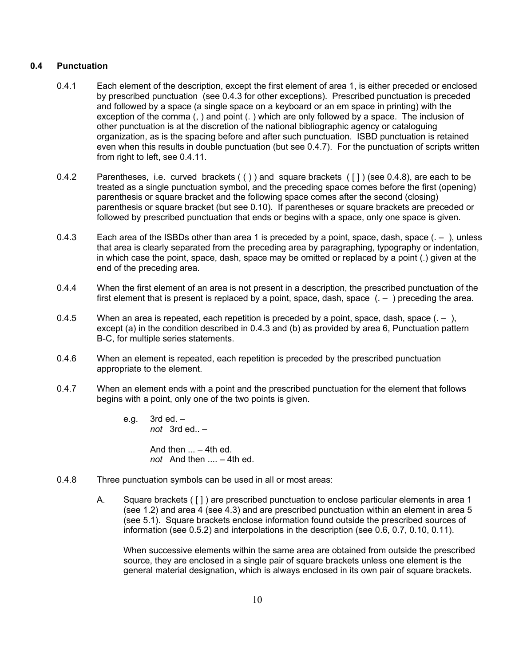## <span id="page-14-0"></span>**0.4 Punctuation**

- 0.4.1 Each element of the description, except the first element of area 1, is either preceded or enclosed by prescribed punctuation (see 0.4.3 for other exceptions). Prescribed punctuation is preceded and followed by a space (a single space on a keyboard or an em space in printing) with the exception of the comma (, ) and point (. ) which are only followed by a space. The inclusion of other punctuation is at the discretion of the national bibliographic agency or cataloguing organization, as is the spacing before and after such punctuation. ISBD punctuation is retained even when this results in double punctuation (but see 0.4.7). For the punctuation of scripts written from right to left, see 0.4.11.
- 0.4.2 Parentheses, i.e. curved brackets  $( () )$  and square brackets  $( ) )$  (see 0.4.8), are each to be treated as a single punctuation symbol, and the preceding space comes before the first (opening) parenthesis or square bracket and the following space comes after the second (closing) parenthesis or square bracket (but see 0.10). If parentheses or square brackets are preceded or followed by prescribed punctuation that ends or begins with a space, only one space is given.
- 0.4.3 Each area of the ISBDs other than area 1 is preceded by a point, space, dash, space  $(1 1)$ , unless that area is clearly separated from the preceding area by paragraphing, typography or indentation, in which case the point, space, dash, space may be omitted or replaced by a point (.) given at the end of the preceding area.
- 0.4.4 When the first element of an area is not present in a description, the prescribed punctuation of the first element that is present is replaced by a point, space, dash, space  $($ .  $)$  preceding the area.
- 0.4.5 When an area is repeated, each repetition is preceded by a point, space, dash, space  $(1 )$ , except (a) in the condition described in 0.4.3 and (b) as provided by area 6, Punctuation pattern B-C, for multiple series statements.
- 0.4.6 When an element is repeated, each repetition is preceded by the prescribed punctuation appropriate to the element.
- 0.4.7 When an element ends with a point and the prescribed punctuation for the element that follows begins with a point, only one of the two points is given.
	- e.g. 3rd ed.  $not$  3rd ed. –

And then  $\ldots$  – 4th ed. *not* And then .... – 4th ed.

- 0.4.8 Three punctuation symbols can be used in all or most areas:
	- A. Square brackets ( [ ] ) are prescribed punctuation to enclose particular elements in area 1 (see 1.2) and area 4 (see 4.3) and are prescribed punctuation within an element in area 5 (see 5.1). Square brackets enclose information found outside the prescribed sources of information (see 0.5.2) and interpolations in the description (see 0.6, 0.7, 0.10, 0.11).

When successive elements within the same area are obtained from outside the prescribed source, they are enclosed in a single pair of square brackets unless one element is the general material designation, which is always enclosed in its own pair of square brackets.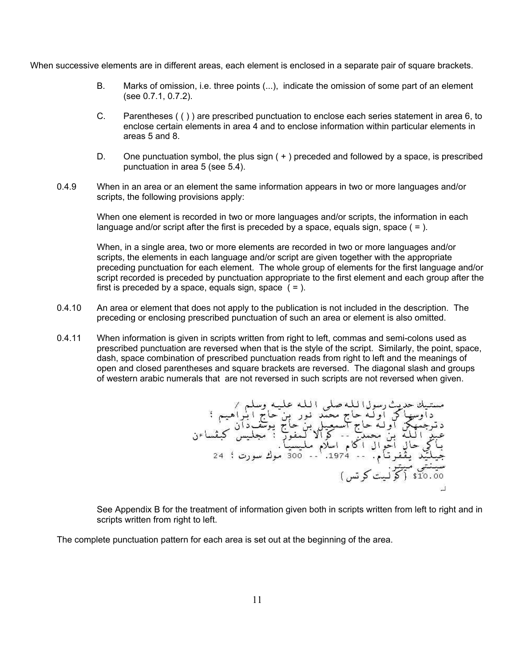When successive elements are in different areas, each element is enclosed in a separate pair of square brackets.

- B. Marks of omission, i.e. three points (...), indicate the omission of some part of an element (see 0.7.1, 0.7.2).
- C. Parentheses ( ( ) ) are prescribed punctuation to enclose each series statement in area 6, to enclose certain elements in area 4 and to enclose information within particular elements in areas 5 and 8.
- D. One punctuation symbol, the plus sign ( + ) preceded and followed by a space, is prescribed punctuation in area 5 (see 5.4).
- 0.4.9 When in an area or an element the same information appears in two or more languages and/or scripts, the following provisions apply:

When one element is recorded in two or more languages and/or scripts, the information in each language and/or script after the first is preceded by a space, equals sign, space  $( = ).$ 

When, in a single area, two or more elements are recorded in two or more languages and/or scripts, the elements in each language and/or script are given together with the appropriate preceding punctuation for each element. The whole group of elements for the first language and/or script recorded is preceded by punctuation appropriate to the first element and each group after the first is preceded by a space, equals sign, space  $( = ).$ 

- 0.4.10 An area or element that does not apply to the publication is not included in the description. The preceding or enclosing prescribed punctuation of such an area or element is also omitted.
- 0.4.11 When information is given in scripts written from right to left, commas and semi-colons used as prescribed punctuation are reversed when that is the style of the script. Similarly, the point, space, dash, space combination of prescribed punctuation reads from right to left and the meanings of open and closed parentheses and square brackets are reversed. The diagonal slash and groups of western arabic numerals that are not reversed in such scripts are not reversed when given.

See Appendix B for the treatment of information given both in scripts written from left to right and in scripts written from right to left.

The complete punctuation pattern for each area is set out at the beginning of the area.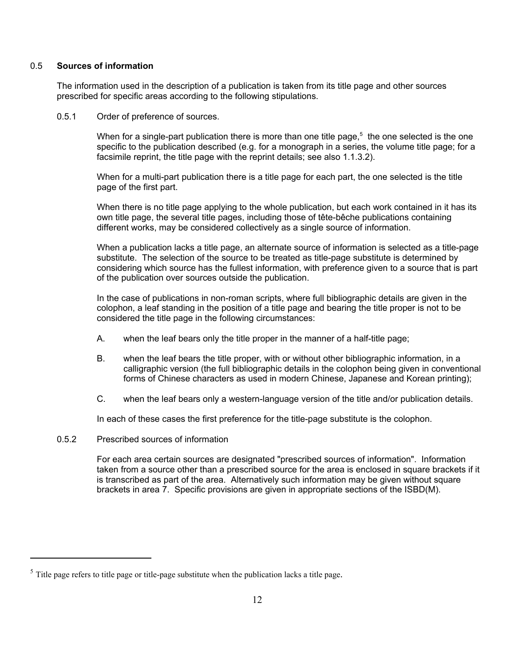## <span id="page-16-0"></span>0.5 **Sources of information**

The information used in the description of a publication is taken from its title page and other sources prescribed for specific areas according to the following stipulations.

0.5.1 Order of preference of sources.

When for a single-part publication there is more than one title page, $5$  the one selected is the one specific to the publication described (e.g. for a monograph in a series, the volume title page; for a facsimile reprint, the title page with the reprint details; see also 1.1.3.2).

> When for a multi-part publication there is a title page for each part, the one selected is the title page of the first part.

When there is no title page applying to the whole publication, but each work contained in it has its own title page, the several title pages, including those of tête-bêche publications containing different works, may be considered collectively as a single source of information.

When a publication lacks a title page, an alternate source of information is selected as a title-page substitute. The selection of the source to be treated as title-page substitute is determined by considering which source has the fullest information, with preference given to a source that is part of the publication over sources outside the publication.

In the case of publications in non-roman scripts, where full bibliographic details are given in the colophon, a leaf standing in the position of a title page and bearing the title proper is not to be considered the title page in the following circumstances:

- A. when the leaf bears only the title proper in the manner of a half-title page;
- B. when the leaf bears the title proper, with or without other bibliographic information, in a calligraphic version (the full bibliographic details in the colophon being given in conventional forms of Chinese characters as used in modern Chinese, Japanese and Korean printing);
- C. when the leaf bears only a western-language version of the title and/or publication details.

In each of these cases the first preference for the title-page substitute is the colophon.

0.5.2 Prescribed sources of information

For each area certain sources are designated "prescribed sources of information". Information taken from a source other than a prescribed source for the area is enclosed in square brackets if it is transcribed as part of the area. Alternatively such information may be given without square brackets in area 7. Specific provisions are given in appropriate sections of the ISBD(M).

<sup>&</sup>lt;sup>5</sup> Title page refers to title page or title-page substitute when the publication lacks a title page.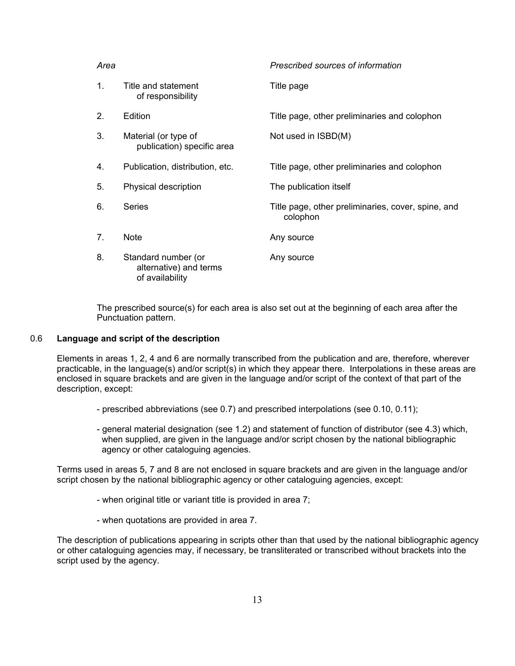<span id="page-17-0"></span>

|                                                                  | Prescribed sources of information                              |
|------------------------------------------------------------------|----------------------------------------------------------------|
| Title and statement<br>of responsibility                         | Title page                                                     |
| Edition                                                          | Title page, other preliminaries and colophon                   |
| Material (or type of<br>publication) specific area               | Not used in ISBD(M)                                            |
| Publication, distribution, etc.                                  | Title page, other preliminaries and colophon                   |
| Physical description                                             | The publication itself                                         |
| <b>Series</b>                                                    | Title page, other preliminaries, cover, spine, and<br>colophon |
| <b>Note</b>                                                      | Any source                                                     |
| Standard number (or<br>alternative) and terms<br>of availability | Any source                                                     |
|                                                                  |                                                                |

The prescribed source(s) for each area is also set out at the beginning of each area after the Punctuation pattern.

## 0.6 **Language and script of the description**

Elements in areas 1, 2, 4 and 6 are normally transcribed from the publication and are, therefore, wherever practicable, in the language(s) and/or script(s) in which they appear there. Interpolations in these areas are enclosed in square brackets and are given in the language and/or script of the context of that part of the description, except:

- prescribed abbreviations (see 0.7) and prescribed interpolations (see 0.10, 0.11);

- general material designation (see 1.2) and statement of function of distributor (see 4.3) which, when supplied, are given in the language and/or script chosen by the national bibliographic agency or other cataloguing agencies.

Terms used in areas 5, 7 and 8 are not enclosed in square brackets and are given in the language and/or script chosen by the national bibliographic agency or other cataloguing agencies, except:

- when original title or variant title is provided in area 7;
- when quotations are provided in area 7.

The description of publications appearing in scripts other than that used by the national bibliographic agency or other cataloguing agencies may, if necessary, be transliterated or transcribed without brackets into the script used by the agency.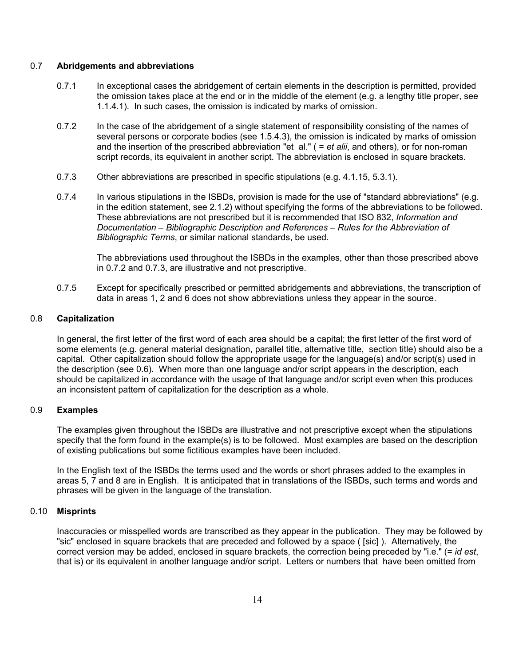#### <span id="page-18-0"></span>0.7 **Abridgements and abbreviations**

- 0.7.1 In exceptional cases the abridgement of certain elements in the description is permitted, provided the omission takes place at the end or in the middle of the element (e.g. a lengthy title proper, see 1.1.4.1). In such cases, the omission is indicated by marks of omission.
- 0.7.2 In the case of the abridgement of a single statement of responsibility consisting of the names of several persons or corporate bodies (see 1.5.4.3), the omission is indicated by marks of omission and the insertion of the prescribed abbreviation "et al." ( = *et alii*, and others), or for non-roman script records, its equivalent in another script. The abbreviation is enclosed in square brackets.
- 0.7.3 Other abbreviations are prescribed in specific stipulations (e.g. 4.1.15, 5.3.1).
- 0.7.4 In various stipulations in the ISBDs, provision is made for the use of "standard abbreviations" (e.g. in the edition statement, see 2.1.2) without specifying the forms of the abbreviations to be followed. These abbreviations are not prescribed but it is recommended that ISO 832, *Information and Documentation – Bibliographic Description and References – Rules for the Abbreviation of Bibliographic Terms*, or similar national standards, be used.

The abbreviations used throughout the ISBDs in the examples, other than those prescribed above in 0.7.2 and 0.7.3, are illustrative and not prescriptive.

0.7.5 Except for specifically prescribed or permitted abridgements and abbreviations, the transcription of data in areas 1, 2 and 6 does not show abbreviations unless they appear in the source.

## 0.8 **Capitalization**

In general, the first letter of the first word of each area should be a capital; the first letter of the first word of some elements (e.g. general material designation, parallel title, alternative title, section title) should also be a capital. Other capitalization should follow the appropriate usage for the language(s) and/or script(s) used in the description (see 0.6). When more than one language and/or script appears in the description, each should be capitalized in accordance with the usage of that language and/or script even when this produces an inconsistent pattern of capitalization for the description as a whole.

## 0.9 **Examples**

The examples given throughout the ISBDs are illustrative and not prescriptive except when the stipulations specify that the form found in the example(s) is to be followed. Most examples are based on the description of existing publications but some fictitious examples have been included.

In the English text of the ISBDs the terms used and the words or short phrases added to the examples in areas 5, 7 and 8 are in English. It is anticipated that in translations of the ISBDs, such terms and words and phrases will be given in the language of the translation.

## 0.10 **Misprints**

Inaccuracies or misspelled words are transcribed as they appear in the publication. They may be followed by "sic" enclosed in square brackets that are preceded and followed by a space ( [sic] ). Alternatively, the correct version may be added, enclosed in square brackets, the correction being preceded by "i.e." (= *id est*, that is) or its equivalent in another language and/or script. Letters or numbers that have been omitted from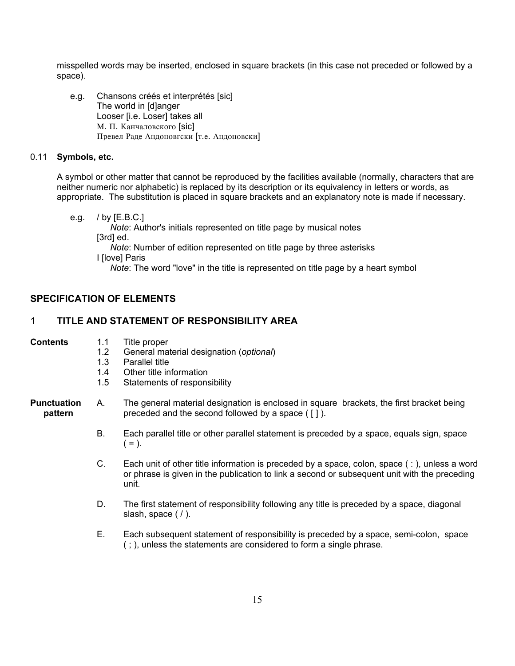<span id="page-19-0"></span>misspelled words may be inserted, enclosed in square brackets (in this case not preceded or followed by a space).

e.g. Chansons créés et interprétés [sic] The world in [d]anger Looser [i.e. Loser] takes all М. П. Канчаловского [sic] Превел Раде Андоновгски [т.е. Андоновски]

#### 0.11 **Symbols, etc.**

A symbol or other matter that cannot be reproduced by the facilities available (normally, characters that are neither numeric nor alphabetic) is replaced by its description or its equivalency in letters or words, as appropriate. The substitution is placed in square brackets and an explanatory note is made if necessary.

e.g. / by [E.B.C.]

*Note*: Author's initials represented on title page by musical notes [3rd] ed.

*Note*: Number of edition represented on title page by three asterisks I [love] Paris

*Note*: The word "love" in the title is represented on title page by a heart symbol

## **SPECIFICATION OF ELEMENTS**

## 1 **TITLE AND STATEMENT OF RESPONSIBILITY AREA**

- **Contents** 1.1 Title proper
	- 1.2 General material designation (*optional*)
	- 1.3 Parallel title
	- 1.4 Other title information
	- 1.5 Statements of responsibility

## **Punctuation** A. The general material designation is enclosed in square brackets, the first bracket being **pattern** preceded and the second followed by a space ( [ ] ).

- B. Each parallel title or other parallel statement is preceded by a space, equals sign, space  $( = ).$
- C. Each unit of other title information is preceded by a space, colon, space ( : ), unless a word or phrase is given in the publication to link a second or subsequent unit with the preceding unit.
- D. The first statement of responsibility following any title is preceded by a space, diagonal slash, space  $( / )$ .
- E. Each subsequent statement of responsibility is preceded by a space, semi-colon, space ( ; ), unless the statements are considered to form a single phrase.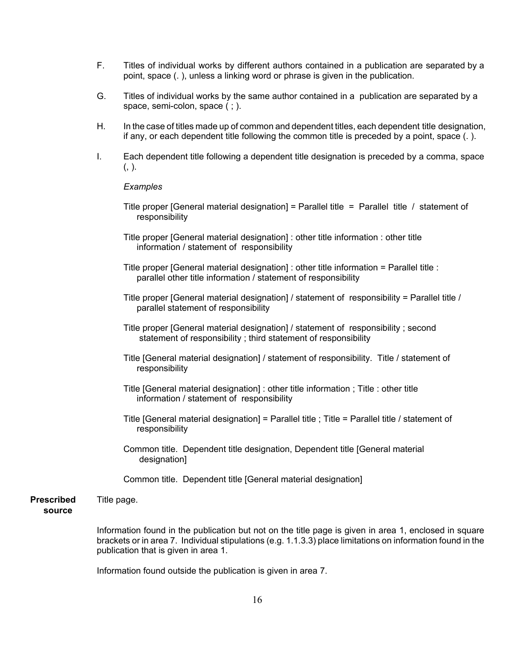- F. Titles of individual works by different authors contained in a publication are separated by a point, space (. ), unless a linking word or phrase is given in the publication.
- G. Titles of individual works by the same author contained in a publication are separated by a space, semi-colon, space (; ).
- H. In the case of titles made up of common and dependent titles, each dependent title designation, if any, or each dependent title following the common title is preceded by a point, space (. ).
- I. Each dependent title following a dependent title designation is preceded by a comma, space  $(, ).$

#### *Examples*

- Title proper [General material designation] = Parallel title = Parallel title / statement of responsibility
- Title proper [General material designation] : other title information : other title information / statement of responsibility
- Title proper [General material designation] : other title information = Parallel title : parallel other title information / statement of responsibility
- Title proper [General material designation] / statement of responsibility = Parallel title / parallel statement of responsibility
- Title proper [General material designation] / statement of responsibility ; second statement of responsibility ; third statement of responsibility
- Title [General material designation] / statement of responsibility. Title / statement of responsibility
- Title [General material designation] : other title information ; Title : other title information / statement of responsibility
- Title [General material designation] = Parallel title ; Title = Parallel title / statement of responsibility
- Common title. Dependent title designation, Dependent title [General material designation]
- Common title. Dependent title [General material designation]

# **Prescribed** Title page.

#### **source**

Information found in the publication but not on the title page is given in area 1, enclosed in square brackets or in area 7. Individual stipulations (e.g. 1.1.3.3) place limitations on information found in the publication that is given in area 1.

Information found outside the publication is given in area 7.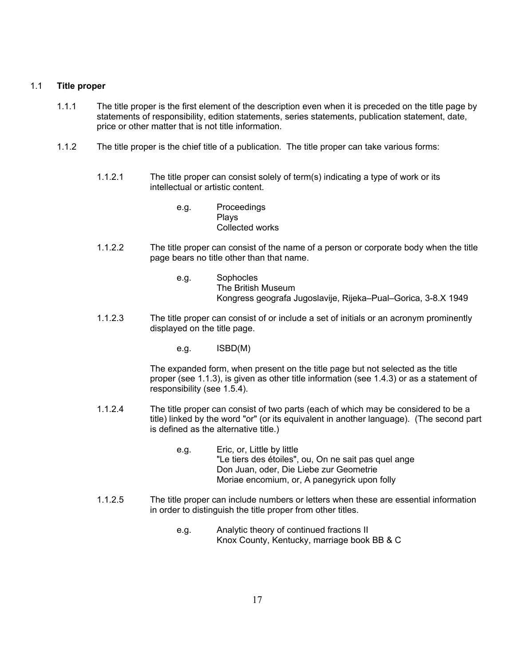## 1.1 **Title proper**

- 1.1.1 The title proper is the first element of the description even when it is preceded on the title page by statements of responsibility, edition statements, series statements, publication statement, date, price or other matter that is not title information.
- 1.1.2 The title proper is the chief title of a publication. The title proper can take various forms:
	- 1.1.2.1 The title proper can consist solely of term(s) indicating a type of work or its intellectual or artistic content.
		- e.g. Proceedings Plays Collected works
	- 1.1.2.2 The title proper can consist of the name of a person or corporate body when the title page bears no title other than that name.
		- e.g. Sophocles The British Museum Kongress geografa Jugoslavije, Rijeka–Pual–Gorica, 3-8.X 1949
	- 1.1.2.3 The title proper can consist of or include a set of initials or an acronym prominently displayed on the title page.
		- e.g. ISBD(M)

 The expanded form, when present on the title page but not selected as the title proper (see 1.1.3), is given as other title information (see 1.4.3) or as a statement of responsibility (see 1.5.4).

- 1.1.2.4 The title proper can consist of two parts (each of which may be considered to be a title) linked by the word "or" (or its equivalent in another language). (The second part is defined as the alternative title.)
	- e.g. Eric, or, Little by little "Le tiers des étoiles", ou, On ne sait pas quel ange Don Juan, oder, Die Liebe zur Geometrie Moriae encomium, or, A panegyrick upon folly
- 1.1.2.5 The title proper can include numbers or letters when these are essential information in order to distinguish the title proper from other titles.
	- e.g. Analytic theory of continued fractions II Knox County, Kentucky, marriage book BB & C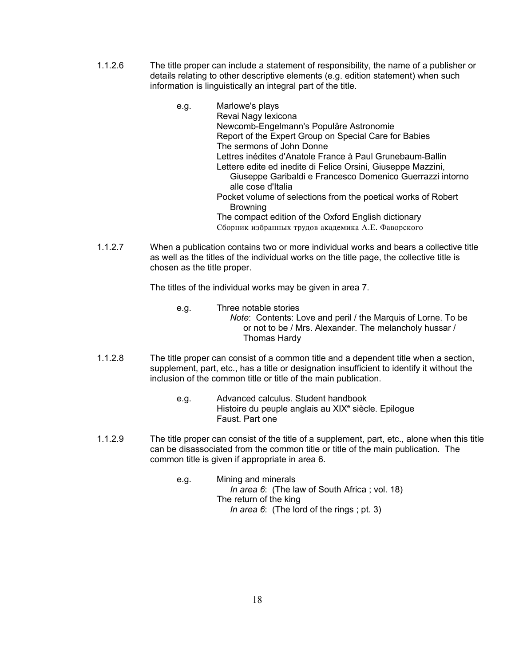- 1.1.2.6 The title proper can include a statement of responsibility, the name of a publisher or details relating to other descriptive elements (e.g. edition statement) when such information is linguistically an integral part of the title.
	- e.g. Marlowe's plays Revai Nagy lexicona Newcomb-Engelmann's Populäre Astronomie Report of the Expert Group on Special Care for Babies The sermons of John Donne Lettres inédites d'Anatole France à Paul Grunebaum-Ballin Lettere edite ed inedite di Felice Orsini, Giuseppe Mazzini, Giuseppe Garibaldi e Francesco Domenico Guerrazzi intorno alle cose d'Italia Pocket volume of selections from the poetical works of Robert **Browning** The compact edition of the Oxford English dictionary Сборник избранных трудов академика А.Е. Фаворского
- 1.1.2.7 When a publication contains two or more individual works and bears a collective title as well as the titles of the individual works on the title page, the collective title is chosen as the title proper.

The titles of the individual works may be given in area 7.

- e.g. Three notable stories  *Note*: Contents: Love and peril / the Marquis of Lorne. To be or not to be / Mrs. Alexander. The melancholy hussar / Thomas Hardy
- 1.1.2.8 The title proper can consist of a common title and a dependent title when a section, supplement, part, etc., has a title or designation insufficient to identify it without the inclusion of the common title or title of the main publication.
	- e.g. Advanced calculus. Student handbook Histoire du peuple anglais au XIX<sup>e</sup> siècle. Epilogue Faust. Part one
- 1.1.2.9 The title proper can consist of the title of a supplement, part, etc., alone when this title can be disassociated from the common title or title of the main publication. The common title is given if appropriate in area 6.
	- e.g. Mining and minerals *In area 6*: (The law of South Africa ; vol. 18) The return of the king *In area 6*: (The lord of the rings ; pt. 3)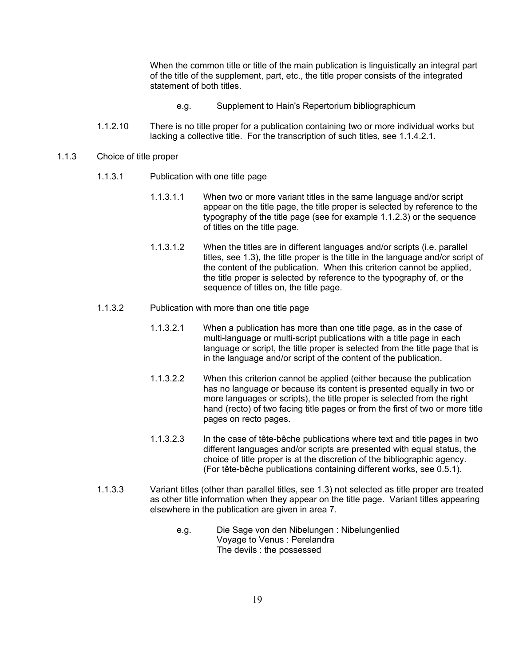When the common title or title of the main publication is linguistically an integral part of the title of the supplement, part, etc., the title proper consists of the integrated statement of both titles.

- e.g. Supplement to Hain's Repertorium bibliographicum
- 1.1.2.10 There is no title proper for a publication containing two or more individual works but lacking a collective title. For the transcription of such titles, see 1.1.4.2.1.
- 1.1.3 Choice of title proper
	- 1.1.3.1 Publication with one title page
		- 1.1.3.1.1 When two or more variant titles in the same language and/or script appear on the title page, the title proper is selected by reference to the typography of the title page (see for example 1.1.2.3) or the sequence of titles on the title page.
		- 1.1.3.1.2 When the titles are in different languages and/or scripts (i.e. parallel titles, see 1.3), the title proper is the title in the language and/or script of the content of the publication. When this criterion cannot be applied, the title proper is selected by reference to the typography of, or the sequence of titles on, the title page.
	- 1.1.3.2 Publication with more than one title page
		- 1.1.3.2.1 When a publication has more than one title page, as in the case of multi-language or multi-script publications with a title page in each language or script, the title proper is selected from the title page that is in the language and/or script of the content of the publication.
		- 1.1.3.2.2 When this criterion cannot be applied (either because the publication has no language or because its content is presented equally in two or more languages or scripts), the title proper is selected from the right hand (recto) of two facing title pages or from the first of two or more title pages on recto pages.
		- 1.1.3.2.3 In the case of tête-bêche publications where text and title pages in two different languages and/or scripts are presented with equal status, the choice of title proper is at the discretion of the bibliographic agency. (For tête-bêche publications containing different works, see 0.5.1).
	- 1.1.3.3 Variant titles (other than parallel titles, see 1.3) not selected as title proper are treated as other title information when they appear on the title page. Variant titles appearing elsewhere in the publication are given in area 7.
		- e.g. Die Sage von den Nibelungen : Nibelungenlied Voyage to Venus : Perelandra The devils : the possessed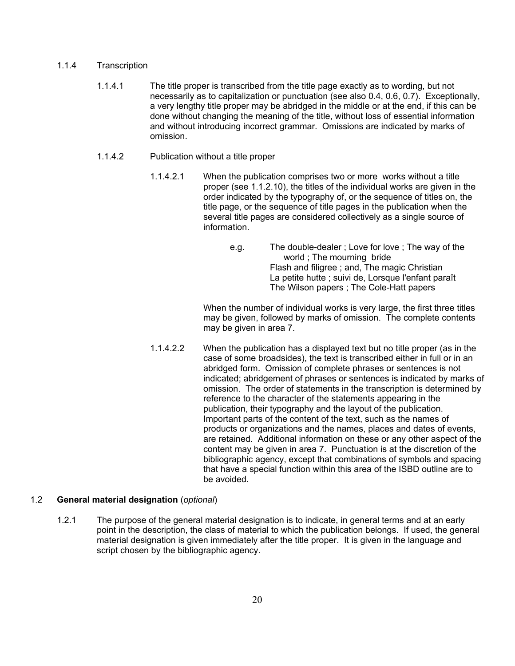#### 1.1.4 Transcription

- 1.1.4.1 The title proper is transcribed from the title page exactly as to wording, but not necessarily as to capitalization or punctuation (see also 0.4, 0.6, 0.7). Exceptionally, a very lengthy title proper may be abridged in the middle or at the end, if this can be done without changing the meaning of the title, without loss of essential information and without introducing incorrect grammar. Omissions are indicated by marks of omission.
- 1.1.4.2 Publication without a title proper
	- 1.1.4.2.1 When the publication comprises two or more works without a title proper (see 1.1.2.10), the titles of the individual works are given in the order indicated by the typography of, or the sequence of titles on, the title page, or the sequence of title pages in the publication when the several title pages are considered collectively as a single source of information.
		- e.g. The double-dealer ; Love for love ; The way of the world ; The mourning bride Flash and filigree ; and, The magic Christian La petite hutte ; suivi de, Lorsque l'enfant paraît The Wilson papers ; The Cole-Hatt papers

When the number of individual works is very large, the first three titles may be given, followed by marks of omission. The complete contents may be given in area 7.

1.1.4.2.2 When the publication has a displayed text but no title proper (as in the case of some broadsides), the text is transcribed either in full or in an abridged form. Omission of complete phrases or sentences is not indicated; abridgement of phrases or sentences is indicated by marks of omission. The order of statements in the transcription is determined by reference to the character of the statements appearing in the publication, their typography and the layout of the publication. Important parts of the content of the text, such as the names of products or organizations and the names, places and dates of events, are retained. Additional information on these or any other aspect of the content may be given in area 7. Punctuation is at the discretion of the bibliographic agency, except that combinations of symbols and spacing that have a special function within this area of the ISBD outline are to be avoided.

#### 1.2 **General material designation** (*optional*)

1.2.1 The purpose of the general material designation is to indicate, in general terms and at an early point in the description, the class of material to which the publication belongs. If used, the general material designation is given immediately after the title proper. It is given in the language and script chosen by the bibliographic agency.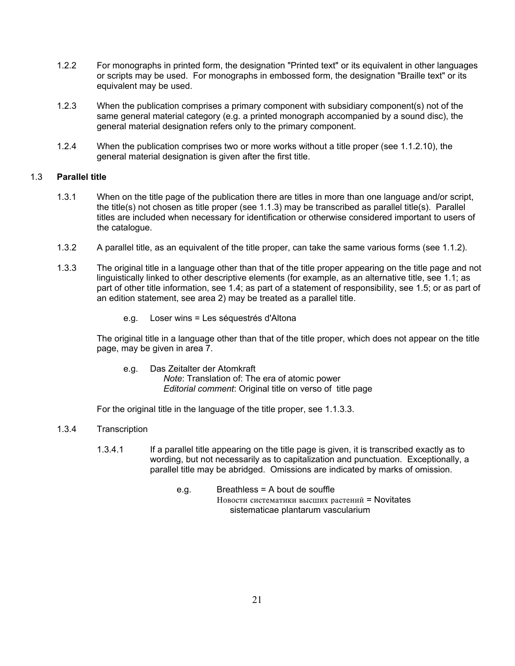- 1.2.2 For monographs in printed form, the designation "Printed text" or its equivalent in other languages or scripts may be used. For monographs in embossed form, the designation "Braille text" or its equivalent may be used.
- 1.2.3 When the publication comprises a primary component with subsidiary component(s) not of the same general material category (e.g. a printed monograph accompanied by a sound disc), the general material designation refers only to the primary component.
- 1.2.4 When the publication comprises two or more works without a title proper (see 1.1.2.10), the general material designation is given after the first title.

## 1.3 **Parallel title**

- 1.3.1 When on the title page of the publication there are titles in more than one language and/or script, the title(s) not chosen as title proper (see 1.1.3) may be transcribed as parallel title(s). Parallel titles are included when necessary for identification or otherwise considered important to users of the catalogue.
- 1.3.2 A parallel title, as an equivalent of the title proper, can take the same various forms (see 1.1.2).
- 1.3.3 The original title in a language other than that of the title proper appearing on the title page and not linguistically linked to other descriptive elements (for example, as an alternative title, see 1.1; as part of other title information, see 1.4; as part of a statement of responsibility, see 1.5; or as part of an edition statement, see area 2) may be treated as a parallel title.
	- e.g. Loser wins = Les séquestrés d'Altona

 The original title in a language other than that of the title proper, which does not appear on the title page, may be given in area 7.

e.g. Das Zeitalter der Atomkraft *Note*: Translation of: The era of atomic power *Editorial comment*: Original title on verso of title page

For the original title in the language of the title proper, see 1.1.3.3.

- 1.3.4 Transcription
	- 1.3.4.1 If a parallel title appearing on the title page is given, it is transcribed exactly as to wording, but not necessarily as to capitalization and punctuation. Exceptionally, a parallel title may be abridged. Omissions are indicated by marks of omission.
		- e.g. Breathless = A bout de souffle Новости систематики высших растений = Novitates sistematicae plantarum vascularium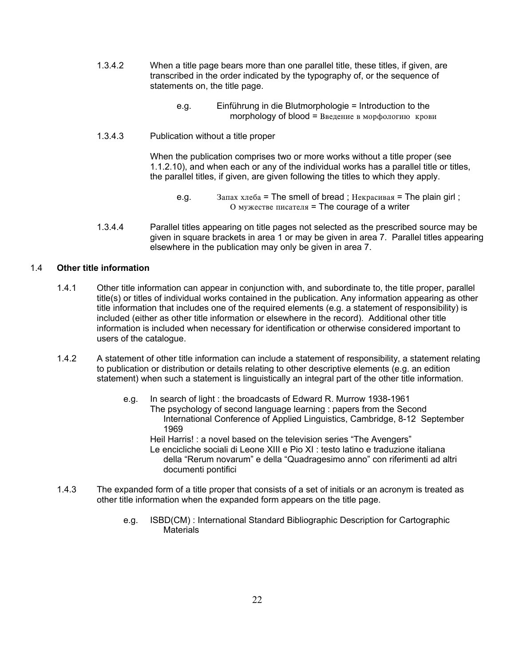- 1.3.4.2 When a title page bears more than one parallel title, these titles, if given, are transcribed in the order indicated by the typography of, or the sequence of statements on, the title page.
	- e.g. Einführung in die Blutmorphologie = Introduction to the morphology of blood =  $B$ ведение в морфологию крови
- 1.3.4.3 Publication without a title proper

 When the publication comprises two or more works without a title proper (see 1.1.2.10), and when each or any of the individual works has a parallel title or titles, the parallel titles, if given, are given following the titles to which they apply.

- e.g.  $3a\pi ax$   $x\pi e\sigma a$  = The smell of bread ;  $Hek$   $pa\sigma a$  = The plain girl ;  $O$  мужестве писателя = The courage of a writer
- 1.3.4.4 Parallel titles appearing on title pages not selected as the prescribed source may be given in square brackets in area 1 or may be given in area 7. Parallel titles appearing elsewhere in the publication may only be given in area 7.

## 1.4 **Other title information**

- 1.4.1 Other title information can appear in conjunction with, and subordinate to, the title proper, parallel title(s) or titles of individual works contained in the publication. Any information appearing as other title information that includes one of the required elements (e.g. a statement of responsibility) is included (either as other title information or elsewhere in the record). Additional other title information is included when necessary for identification or otherwise considered important to users of the catalogue.
- 1.4.2 A statement of other title information can include a statement of responsibility, a statement relating to publication or distribution or details relating to other descriptive elements (e.g. an edition statement) when such a statement is linguistically an integral part of the other title information.
	- e.g. In search of light : the broadcasts of Edward R. Murrow 1938-1961 The psychology of second language learning : papers from the Second International Conference of Applied Linguistics, Cambridge, 8-12 September 1969
		- Heil Harris! : a novel based on the television series "The Avengers"
		- Le encicliche sociali di Leone XIII e Pio XI : testo latino e traduzione italiana della "Rerum novarum" e della "Quadragesimo anno" con riferimenti ad altri documenti pontifici
- 1.4.3 The expanded form of a title proper that consists of a set of initials or an acronym is treated as other title information when the expanded form appears on the title page.
	- e.g. ISBD(CM) : International Standard Bibliographic Description for Cartographic **Materials**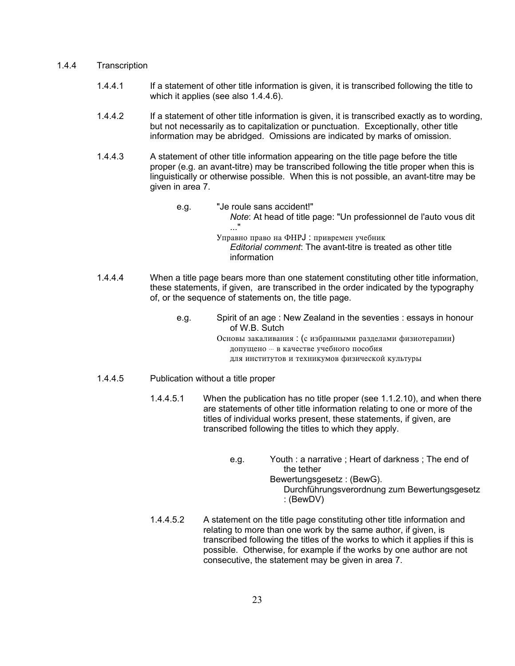#### 1.4.4 Transcription

- 1.4.4.1 If a statement of other title information is given, it is transcribed following the title to which it applies (see also 1.4.4.6).
- 1.4.4.2 If a statement of other title information is given, it is transcribed exactly as to wording, but not necessarily as to capitalization or punctuation. Exceptionally, other title information may be abridged. Omissions are indicated by marks of omission.
- 1.4.4.3 A statement of other title information appearing on the title page before the title proper (e.g. an avant-titre) may be transcribed following the title proper when this is linguistically or otherwise possible. When this is not possible, an avant-titre may be given in area 7.
	- e.g. "Je roule sans accident!" *Note*: At head of title page: "Un professionnel de l'auto vous dit ..." Управно право на ФНРЈ: привремен учебник

 *Editorial comment*: The avant-titre is treated as other title information

- 1.4.4.4 When a title page bears more than one statement constituting other title information, these statements, if given, are transcribed in the order indicated by the typography of, or the sequence of statements on, the title page.
	- e.g. Spirit of an age : New Zealand in the seventies : essays in honour of W.B. Sutch Основы закаливания: (с избранными разделами физиотерапии) попушено — в качестве учебного пособия для институтов и техникумов физической культуры

#### 1.4.4.5 Publication without a title proper

- 1.4.4.5.1 When the publication has no title proper (see 1.1.2.10), and when there are statements of other title information relating to one or more of the titles of individual works present, these statements, if given, are transcribed following the titles to which they apply.
	- e.g. Youth : a narrative ; Heart of darkness ; The end of the tether Bewertungsgesetz : (BewG). Durchführungsverordnung zum Bewertungsgesetz : (BewDV)
- 1.4.4.5.2 A statement on the title page constituting other title information and relating to more than one work by the same author, if given, is transcribed following the titles of the works to which it applies if this is possible. Otherwise, for example if the works by one author are not consecutive, the statement may be given in area 7.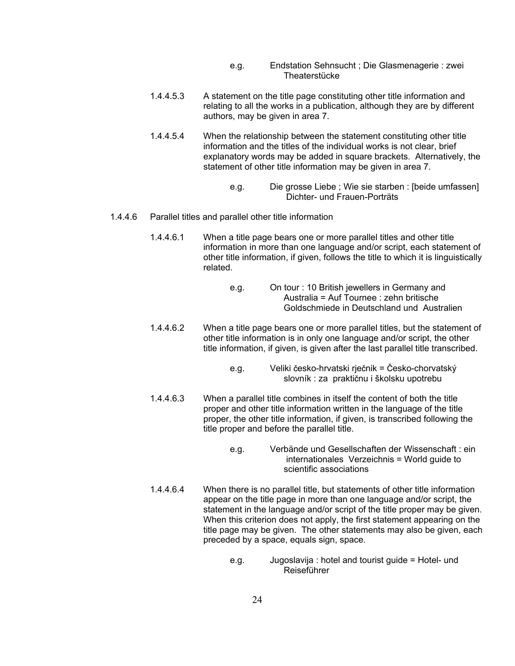- e.g. Endstation Sehnsucht ; Die Glasmenagerie : zwei **Theaterstücke**
- 1.4.4.5.3 A statement on the title page constituting other title information and relating to all the works in a publication, although they are by different authors, may be given in area 7.
- 1.4.4.5.4 When the relationship between the statement constituting other title information and the titles of the individual works is not clear, brief explanatory words may be added in square brackets. Alternatively, the statement of other title information may be given in area 7.
	- e.g. Die grosse Liebe ; Wie sie starben : [beide umfassen] Dichter- und Frauen-Porträts
- 1.4.4.6 Parallel titles and parallel other title information
	- 1.4.4.6.1 When a title page bears one or more parallel titles and other title information in more than one language and/or script, each statement of other title information, if given, follows the title to which it is linguistically related.
		- e.g. On tour : 10 British jewellers in Germany and Australia = Auf Tournee : zehn britische Goldschmiede in Deutschland und Australien
	- 1.4.4.6.2 When a title page bears one or more parallel titles, but the statement of other title information is in only one language and/or script, the other title information, if given, is given after the last parallel title transcribed.
		- e.g. Veliki česko-hrvatski rječnik = Česko-chorvatský slovník : za praktičnu i školsku upotrebu
	- 1.4.4.6.3 When a parallel title combines in itself the content of both the title proper and other title information written in the language of the title proper, the other title information, if given, is transcribed following the title proper and before the parallel title.
		- e.g. Verbände und Gesellschaften der Wissenschaft : ein internationales Verzeichnis = World guide to scientific associations
	- 1.4.4.6.4 When there is no parallel title, but statements of other title information appear on the title page in more than one language and/or script, the statement in the language and/or script of the title proper may be given. When this criterion does not apply, the first statement appearing on the title page may be given. The other statements may also be given, each preceded by a space, equals sign, space.
		- e.g. Jugoslavija : hotel and tourist guide = Hotel- und Reiseführer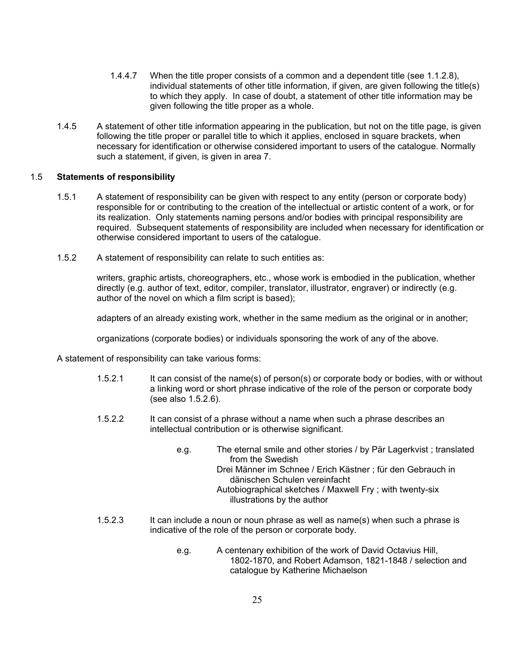- 1.4.4.7 When the title proper consists of a common and a dependent title (see 1.1.2.8), individual statements of other title information, if given, are given following the title(s) to which they apply. In case of doubt, a statement of other title information may be given following the title proper as a whole.
- 1.4.5 A statement of other title information appearing in the publication, but not on the title page, is given following the title proper or parallel title to which it applies, enclosed in square brackets, when necessary for identification or otherwise considered important to users of the catalogue. Normally such a statement, if given, is given in area 7.

## 1.5 **Statements of responsibility**

- 1.5.1 A statement of responsibility can be given with respect to any entity (person or corporate body) responsible for or contributing to the creation of the intellectual or artistic content of a work, or for its realization. Only statements naming persons and/or bodies with principal responsibility are required. Subsequent statements of responsibility are included when necessary for identification or otherwise considered important to users of the catalogue.
- 1.5.2 A statement of responsibility can relate to such entities as:

 writers, graphic artists, choreographers, etc., whose work is embodied in the publication, whether directly (e.g. author of text, editor, compiler, translator, illustrator, engraver) or indirectly (e.g. author of the novel on which a film script is based);

adapters of an already existing work, whether in the same medium as the original or in another;

organizations (corporate bodies) or individuals sponsoring the work of any of the above.

A statement of responsibility can take various forms:

- 1.5.2.1 It can consist of the name(s) of person(s) or corporate body or bodies, with or without a linking word or short phrase indicative of the role of the person or corporate body (see also 1.5.2.6).
- 1.5.2.2 It can consist of a phrase without a name when such a phrase describes an intellectual contribution or is otherwise significant.
	- e.g. The eternal smile and other stories / by Pär Lagerkvist ; translated from the Swedish Drei Männer im Schnee / Erich Kästner ; für den Gebrauch in dänischen Schulen vereinfacht Autobiographical sketches / Maxwell Fry ; with twenty-six illustrations by the author
- 1.5.2.3 It can include a noun or noun phrase as well as name(s) when such a phrase is indicative of the role of the person or corporate body.
	- e.g. A centenary exhibition of the work of David Octavius Hill, 1802-1870, and Robert Adamson, 1821-1848 / selection and catalogue by Katherine Michaelson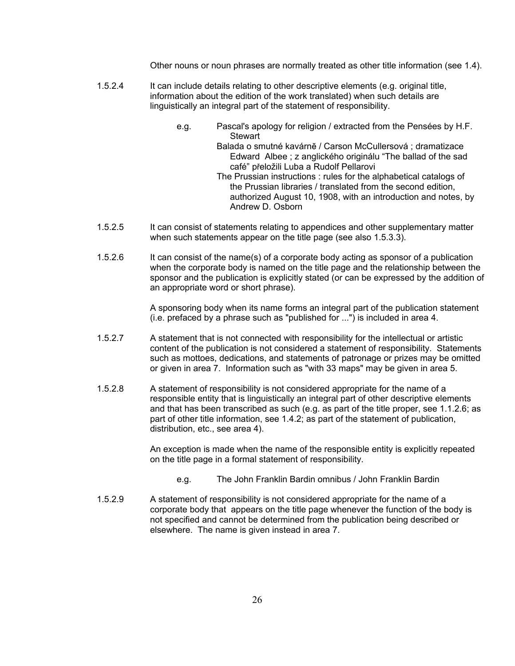Other nouns or noun phrases are normally treated as other title information (see 1.4).

- 1.5.2.4 It can include details relating to other descriptive elements (e.g. original title, information about the edition of the work translated) when such details are linguistically an integral part of the statement of responsibility.
	- e.g. Pascal's apology for religion / extracted from the Pensées by H.F. **Stewart** 
		- Balada o smutné kavárně / Carson McCullersová ; dramatizace Edward Albee ; z anglického originálu "The ballad of the sad café" přeložili Luba a Rudolf Pellarovi
		- The Prussian instructions : rules for the alphabetical catalogs of the Prussian libraries / translated from the second edition, authorized August 10, 1908, with an introduction and notes, by Andrew D. Osborn
- 1.5.2.5 It can consist of statements relating to appendices and other supplementary matter when such statements appear on the title page (see also 1.5.3.3).
- 1.5.2.6 It can consist of the name(s) of a corporate body acting as sponsor of a publication when the corporate body is named on the title page and the relationship between the sponsor and the publication is explicitly stated (or can be expressed by the addition of an appropriate word or short phrase).

 A sponsoring body when its name forms an integral part of the publication statement (i.e. prefaced by a phrase such as "published for ...") is included in area 4.

- 1.5.2.7 A statement that is not connected with responsibility for the intellectual or artistic content of the publication is not considered a statement of responsibility. Statements such as mottoes, dedications, and statements of patronage or prizes may be omitted or given in area 7. Information such as "with 33 maps" may be given in area 5.
- 1.5.2.8 A statement of responsibility is not considered appropriate for the name of a responsible entity that is linguistically an integral part of other descriptive elements and that has been transcribed as such (e.g. as part of the title proper, see 1.1.2.6; as part of other title information, see 1.4.2; as part of the statement of publication, distribution, etc., see area 4).

 An exception is made when the name of the responsible entity is explicitly repeated on the title page in a formal statement of responsibility.

- e.g. The John Franklin Bardin omnibus / John Franklin Bardin
- 1.5.2.9 A statement of responsibility is not considered appropriate for the name of a corporate body that appears on the title page whenever the function of the body is not specified and cannot be determined from the publication being described or elsewhere. The name is given instead in area 7.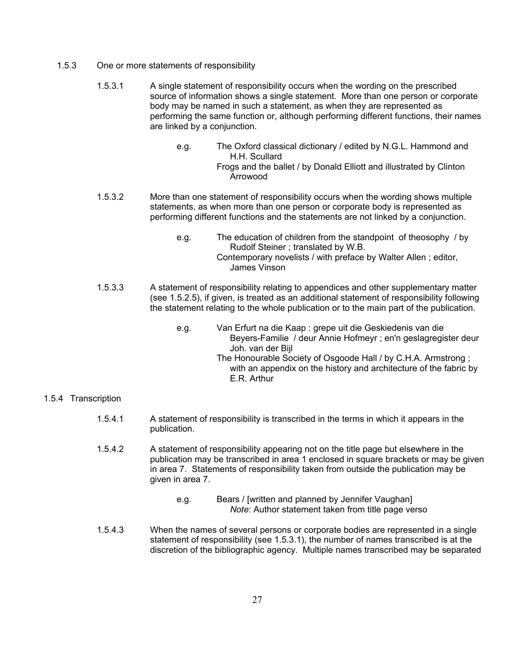- 1.5.3 One or more statements of responsibility
	- 1.5.3.1 A single statement of responsibility occurs when the wording on the prescribed source of information shows a single statement. More than one person or corporate body may be named in such a statement, as when they are represented as performing the same function or, although performing different functions, their names are linked by a conjunction.
		- e.g. The Oxford classical dictionary / edited by N.G.L. Hammond and H.H. Scullard
			- Frogs and the ballet / by Donald Elliott and illustrated by Clinton Arrowood
	- 1.5.3.2 More than one statement of responsibility occurs when the wording shows multiple statements, as when more than one person or corporate body is represented as performing different functions and the statements are not linked by a conjunction.
		- e.g. The education of children from the standpoint of theosophy / by Rudolf Steiner ; translated by W.B. Contemporary novelists / with preface by Walter Allen ; editor, James Vinson
	- 1.5.3.3 A statement of responsibility relating to appendices and other supplementary matter (see 1.5.2.5), if given, is treated as an additional statement of responsibility following the statement relating to the whole publication or to the main part of the publication.
		- e.g. Van Erfurt na die Kaap : grepe uit die Geskiedenis van die Beyers-Familie / deur Annie Hofmeyr ; en'n geslagregister deur Joh. van der Bijl The Honourable Society of Osgoode Hall / by C.H.A. Armstrong ; with an appendix on the history and architecture of the fabric by E.R. Arthur

## 1.5.4 Transcription

- 1.5.4.1 A statement of responsibility is transcribed in the terms in which it appears in the publication.
- 1.5.4.2 A statement of responsibility appearing not on the title page but elsewhere in the publication may be transcribed in area 1 enclosed in square brackets or may be given in area 7. Statements of responsibility taken from outside the publication may be given in area 7.
	- e.g. Bears / [written and planned by Jennifer Vaughan] *Note*: Author statement taken from title page verso
- 1.5.4.3 When the names of several persons or corporate bodies are represented in a single statement of responsibility (see 1.5.3.1), the number of names transcribed is at the discretion of the bibliographic agency. Multiple names transcribed may be separated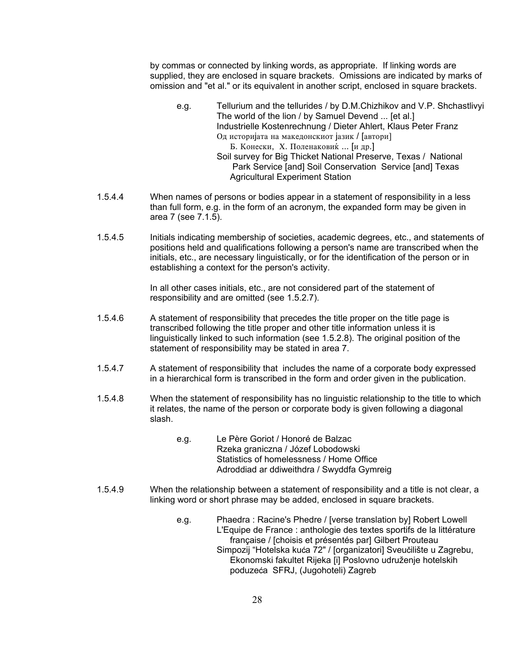by commas or connected by linking words, as appropriate. If linking words are supplied, they are enclosed in square brackets. Omissions are indicated by marks of omission and "et al." or its equivalent in another script, enclosed in square brackets.

- e.g. Tellurium and the tellurides / by D.M.Chizhikov and V.P. Shchastlivyi The world of the lion / by Samuel Devend ... [et al.] Industrielle Kostenrechnung / Dieter Ahlert, Klaus Peter Franz Од историјата на македонскиот јазик / [автори] Б. Конески, Х. Поленаковиќ ... [и др.] Soil survey for Big Thicket National Preserve, Texas / National Park Service [and] Soil Conservation Service [and] Texas Agricultural Experiment Station
- 1.5.4.4 When names of persons or bodies appear in a statement of responsibility in a less than full form, e.g. in the form of an acronym, the expanded form may be given in area 7 (see 7.1.5).
- 1.5.4.5 Initials indicating membership of societies, academic degrees, etc., and statements of positions held and qualifications following a person's name are transcribed when the initials, etc., are necessary linguistically, or for the identification of the person or in establishing a context for the person's activity.

 In all other cases initials, etc., are not considered part of the statement of responsibility and are omitted (see 1.5.2.7).

- 1.5.4.6 A statement of responsibility that precedes the title proper on the title page is transcribed following the title proper and other title information unless it is linguistically linked to such information (see 1.5.2.8). The original position of the statement of responsibility may be stated in area 7.
- 1.5.4.7 A statement of responsibility that includes the name of a corporate body expressed in a hierarchical form is transcribed in the form and order given in the publication.
- 1.5.4.8 When the statement of responsibility has no linguistic relationship to the title to which it relates, the name of the person or corporate body is given following a diagonal slash.
	- e.g. Le Père Goriot / Honoré de Balzac Rzeka graniczna / Józef Lobodowski Statistics of homelessness / Home Office Adroddiad ar ddiweithdra / Swyddfa Gymreig
- 1.5.4.9 When the relationship between a statement of responsibility and a title is not clear, a linking word or short phrase may be added, enclosed in square brackets.
	- e.g. Phaedra : Racine's Phedre / [verse translation by] Robert Lowell L'Equipe de France : anthologie des textes sportifs de la littérature française / [choisis et présentés par] Gilbert Prouteau Simpozij "Hotelska kuća 72" / [organizatori] Sveučilište u Zagrebu, Ekonomski fakultet Rijeka [i] Poslovno udruženje hotelskih poduzeća SFRJ, (Jugohoteli) Zagreb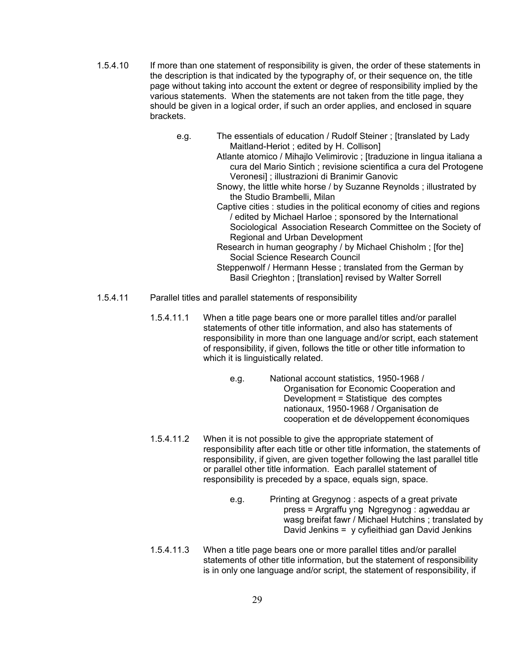- 1.5.4.10 If more than one statement of responsibility is given, the order of these statements in the description is that indicated by the typography of, or their sequence on, the title page without taking into account the extent or degree of responsibility implied by the various statements. When the statements are not taken from the title page, they should be given in a logical order, if such an order applies, and enclosed in square brackets.
	- e.g. The essentials of education / Rudolf Steiner ; [translated by Lady Maitland-Heriot ; edited by H. Collison]
		- Atlante atomico / Mihajlo Velimirovic ; [traduzione in lingua italiana a cura del Mario Sintich ; revisione scientifica a cura del Protogene Veronesi] ; illustrazioni di Branimir Ganovic
		- Snowy, the little white horse / by Suzanne Reynolds ; illustrated by the Studio Brambelli, Milan
		- Captive cities : studies in the political economy of cities and regions / edited by Michael Harloe ; sponsored by the International Sociological Association Research Committee on the Society of Regional and Urban Development
		- Research in human geography / by Michael Chisholm ; [for the] Social Science Research Council
		- Steppenwolf / Hermann Hesse ; translated from the German by Basil Crieghton ; [translation] revised by Walter Sorrell
- 1.5.4.11 Parallel titles and parallel statements of responsibility
	- 1.5.4.11.1 When a title page bears one or more parallel titles and/or parallel statements of other title information, and also has statements of responsibility in more than one language and/or script, each statement of responsibility, if given, follows the title or other title information to which it is linguistically related.
		- e.g. National account statistics, 1950-1968 / Organisation for Economic Cooperation and Development = Statistique des comptes nationaux, 1950-1968 / Organisation de cooperation et de développement économiques
	- 1.5.4.11.2 When it is not possible to give the appropriate statement of responsibility after each title or other title information, the statements of responsibility, if given, are given together following the last parallel title or parallel other title information. Each parallel statement of responsibility is preceded by a space, equals sign, space.
		- e.g. Printing at Gregynog : aspects of a great private press = Argraffu yng Ngregynog : agweddau ar wasg breifat fawr / Michael Hutchins ; translated by David Jenkins = y cyfieithiad gan David Jenkins
	- 1.5.4.11.3 When a title page bears one or more parallel titles and/or parallel statements of other title information, but the statement of responsibility is in only one language and/or script, the statement of responsibility, if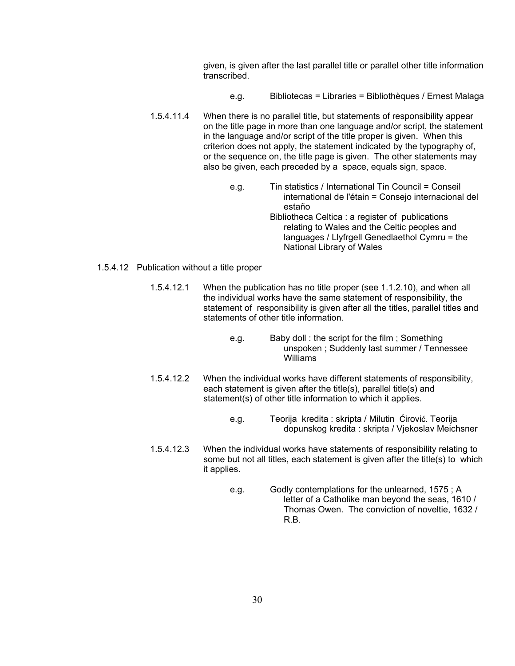given, is given after the last parallel title or parallel other title information transcribed.

- e.g. Bibliotecas = Libraries = Bibliothèques / Ernest Malaga
- 1.5.4.11.4 When there is no parallel title, but statements of responsibility appear on the title page in more than one language and/or script, the statement in the language and/or script of the title proper is given. When this criterion does not apply, the statement indicated by the typography of, or the sequence on, the title page is given. The other statements may also be given, each preceded by a space, equals sign, space.
	- e.g. Tin statistics / International Tin Council = Conseil international de l'étain = Consejo internacional del estaño Bibliotheca Celtica : a register of publications
		- relating to Wales and the Celtic peoples and languages / Llyfrgell Genedlaethol Cymru = the National Library of Wales

#### 1.5.4.12 Publication without a title proper

- 1.5.4.12.1 When the publication has no title proper (see 1.1.2.10), and when all the individual works have the same statement of responsibility, the statement of responsibility is given after all the titles, parallel titles and statements of other title information.
	- e.g. Baby doll : the script for the film ; Something unspoken ; Suddenly last summer / Tennessee Williams
- 1.5.4.12.2 When the individual works have different statements of responsibility, each statement is given after the title(s), parallel title(s) and statement(s) of other title information to which it applies.
	- e.g. Teorija kredita : skripta / Milutin Ćirović. Teorija dopunskog kredita : skripta / Vjekoslav Meichsner
- 1.5.4.12.3 When the individual works have statements of responsibility relating to some but not all titles, each statement is given after the title(s) to which it applies.
	- e.g. Godly contemplations for the unlearned, 1575 ; A letter of a Catholike man beyond the seas, 1610 / Thomas Owen. The conviction of noveltie, 1632 / R.B.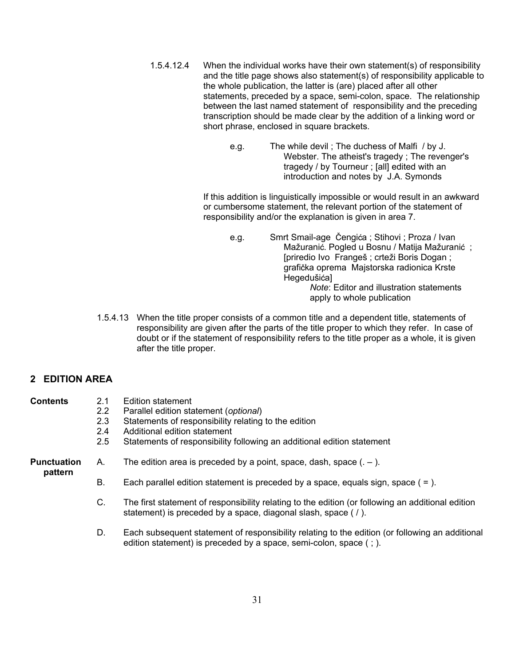- <span id="page-35-0"></span> 1.5.4.12.4 When the individual works have their own statement(s) of responsibility and the title page shows also statement(s) of responsibility applicable to the whole publication, the latter is (are) placed after all other statements, preceded by a space, semi-colon, space. The relationship between the last named statement of responsibility and the preceding transcription should be made clear by the addition of a linking word or short phrase, enclosed in square brackets.
	- e.g. The while devil ; The duchess of Malfi / by J. Webster. The atheist's tragedy ; The revenger's tragedy / by Tourneur ; [all] edited with an introduction and notes by J.A. Symonds

 If this addition is linguistically impossible or would result in an awkward or cumbersome statement, the relevant portion of the statement of responsibility and/or the explanation is given in area 7.

e.g. Smrt Smail-age Čengića ; Stihovi ; Proza / Ivan Mažuranić. Pogled u Bosnu / Matija Mažuranić ; [priredio Ivo Frangeš ; crteži Boris Dogan ; grafička oprema Majstorska radionica Krste Hegedušića]

*Note*: Editor and illustration statements apply to whole publication

1.5.4.13 When the title proper consists of a common title and a dependent title, statements of responsibility are given after the parts of the title proper to which they refer. In case of doubt or if the statement of responsibility refers to the title proper as a whole, it is given after the title proper.

## **2 EDITION AREA**

## **Contents** 2.1 Edition statement

- 2.2 Parallel edition statement (*optional*)
- Statements of responsibility relating to the edition
- 2.4 Additional edition statement
- 2.5 Statements of responsibility following an additional edition statement

## **Punctuation** A. The edition area is preceded by a point, space, dash, space (. – ).

**pattern**

- B. Each parallel edition statement is preceded by a space, equals sign, space ( = ).
- C. The first statement of responsibility relating to the edition (or following an additional edition statement) is preceded by a space, diagonal slash, space ( / ).
- D. Each subsequent statement of responsibility relating to the edition (or following an additional edition statement) is preceded by a space, semi-colon, space (; ).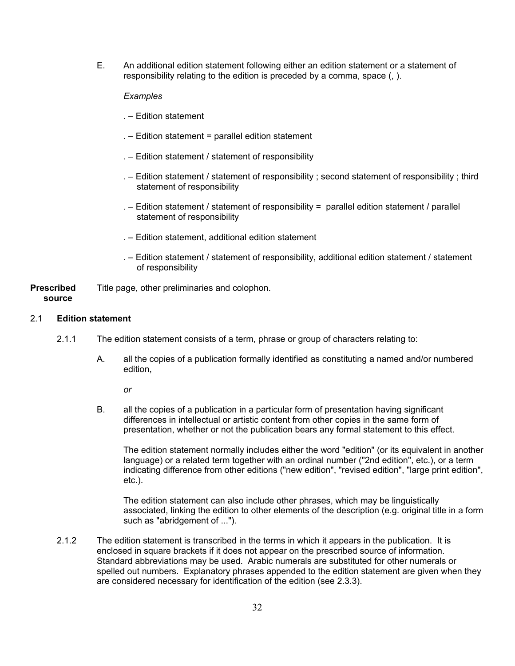<span id="page-36-0"></span> E. An additional edition statement following either an edition statement or a statement of responsibility relating to the edition is preceded by a comma, space (, ).

#### *Examples*

- . Edition statement
- $. -$  Edition statement = parallel edition statement
- . Edition statement / statement of responsibility
- . Edition statement / statement of responsibility ; second statement of responsibility ; third statement of responsibility
- $. -$  Edition statement / statement of responsibility = parallel edition statement / parallel statement of responsibility
- . Edition statement, additional edition statement
- . Edition statement / statement of responsibility, additional edition statement / statement of responsibility

**Prescribed** Title page, other preliminaries and colophon. **source**

#### 2.1 **Edition statement**

- 2.1.1 The edition statement consists of a term, phrase or group of characters relating to:
	- A. all the copies of a publication formally identified as constituting a named and/or numbered edition,

*or*

 B. all the copies of a publication in a particular form of presentation having significant differences in intellectual or artistic content from other copies in the same form of presentation, whether or not the publication bears any formal statement to this effect.

 The edition statement normally includes either the word "edition" (or its equivalent in another language) or a related term together with an ordinal number ("2nd edition", etc.), or a term indicating difference from other editions ("new edition", "revised edition", "large print edition", etc.).

 The edition statement can also include other phrases, which may be linguistically associated, linking the edition to other elements of the description (e.g. original title in a form such as "abridgement of ...").

 2.1.2 The edition statement is transcribed in the terms in which it appears in the publication. It is enclosed in square brackets if it does not appear on the prescribed source of information. Standard abbreviations may be used. Arabic numerals are substituted for other numerals or spelled out numbers. Explanatory phrases appended to the edition statement are given when they are considered necessary for identification of the edition (see 2.3.3).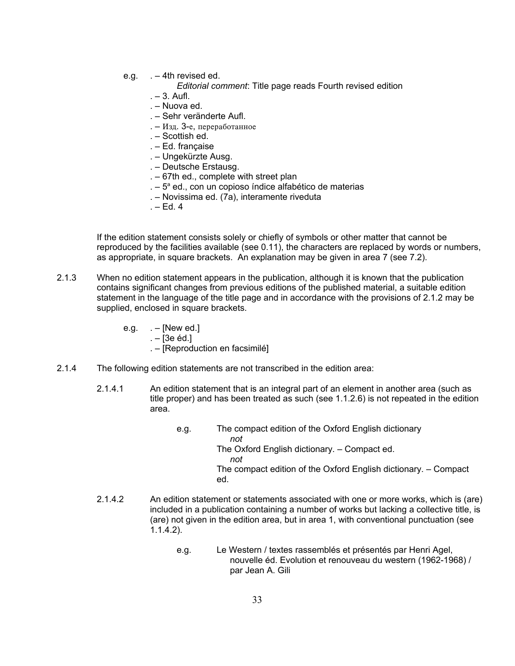e.g. . – 4th revised ed.

- $. -3.$  Aufl.
- . Nuova ed.
- . Sehr veränderte Aufl.
- . Изд. 3-е. переработанное
- . Scottish ed.
- . Ed. française
- . Ungekürzte Ausg.
- . Deutsche Erstausg.
- . 67th ed., complete with street plan
- . 5<sup>a</sup> ed., con un copioso índice alfabético de materias
- . Novissima ed. (7a), interamente riveduta
- $. Ed.4$

 If the edition statement consists solely or chiefly of symbols or other matter that cannot be reproduced by the facilities available (see 0.11), the characters are replaced by words or numbers, as appropriate, in square brackets. An explanation may be given in area 7 (see 7.2).

- 2.1.3 When no edition statement appears in the publication, although it is known that the publication contains significant changes from previous editions of the published material, a suitable edition statement in the language of the title page and in accordance with the provisions of 2.1.2 may be supplied, enclosed in square brackets.
	- e.g.  $-$  [New ed.]
		- . [3e éd.]
		- . [Reproduction en facsimilé]
- 2.1.4 The following edition statements are not transcribed in the edition area:
	- 2.1.4.1 An edition statement that is an integral part of an element in another area (such as title proper) and has been treated as such (see 1.1.2.6) is not repeated in the edition area.
		- e.g. The compact edition of the Oxford English dictionary *not* The Oxford English dictionary. – Compact ed. *not* The compact edition of the Oxford English dictionary. – Compact ed.
	- 2.1.4.2 An edition statement or statements associated with one or more works, which is (are) included in a publication containing a number of works but lacking a collective title, is (are) not given in the edition area, but in area 1, with conventional punctuation (see 1.1.4.2).
		- e.g. Le Western / textes rassemblés et présentés par Henri Agel, nouvelle éd. Evolution et renouveau du western (1962-1968) / par Jean A. Gili

*Editorial comment*: Title page reads Fourth revised edition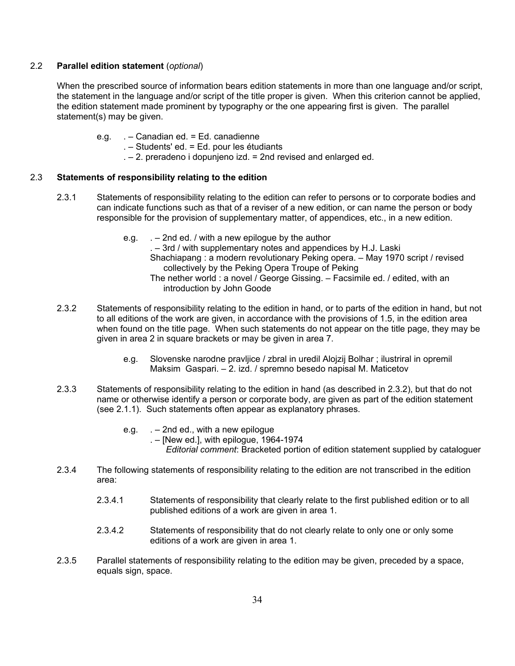#### <span id="page-38-0"></span>2.2 **Parallel edition statement** (*optional*)

When the prescribed source of information bears edition statements in more than one language and/or script, the statement in the language and/or script of the title proper is given. When this criterion cannot be applied, the edition statement made prominent by typography or the one appearing first is given. The parallel statement(s) may be given.

- e.g. . Canadian ed. = Ed. canadienne
	- . Students' ed. = Ed. pour les étudiants
	- . 2. preradeno i dopunjeno izd. = 2nd revised and enlarged ed.

#### 2.3 **Statements of responsibility relating to the edition**

- 2.3.1 Statements of responsibility relating to the edition can refer to persons or to corporate bodies and can indicate functions such as that of a reviser of a new edition, or can name the person or body responsible for the provision of supplementary matter, of appendices, etc., in a new edition.
	- e.g. . 2nd ed. / with a new epilogue by the author . – 3rd / with supplementary notes and appendices by H.J. Laski Shachiapang : a modern revolutionary Peking opera. – May 1970 script / revised collectively by the Peking Opera Troupe of Peking The nether world : a novel / George Gissing. – Facsimile ed. / edited, with an introduction by John Goode
- 2.3.2 Statements of responsibility relating to the edition in hand, or to parts of the edition in hand, but not to all editions of the work are given, in accordance with the provisions of 1.5, in the edition area when found on the title page. When such statements do not appear on the title page, they may be given in area 2 in square brackets or may be given in area 7.
	- e.g. Slovenske narodne pravljice / zbral in uredil Alojzij Bolhar ; ilustriral in opremil Maksim Gaspari. – 2. izd. / spremno besedo napisal M. Maticetov
- 2.3.3 Statements of responsibility relating to the edition in hand (as described in 2.3.2), but that do not name or otherwise identify a person or corporate body, are given as part of the edition statement (see 2.1.1). Such statements often appear as explanatory phrases.
	- e.g. . 2nd ed., with a new epilogue
		- . [New ed.], with epilogue, 1964-1974
			- *Editorial comment*: Bracketed portion of edition statement supplied by cataloguer
- 2.3.4 The following statements of responsibility relating to the edition are not transcribed in the edition area:
	- 2.3.4.1 Statements of responsibility that clearly relate to the first published edition or to all published editions of a work are given in area 1.
	- 2.3.4.2 Statements of responsibility that do not clearly relate to only one or only some editions of a work are given in area 1.
- 2.3.5 Parallel statements of responsibility relating to the edition may be given, preceded by a space, equals sign, space.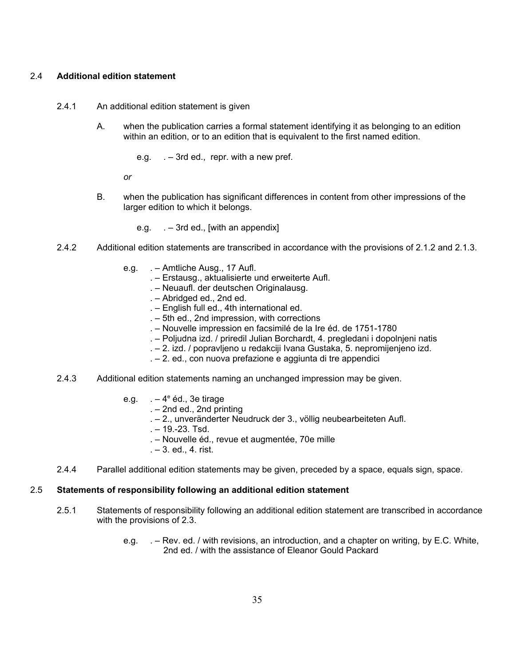#### 2.4 **Additional edition statement**

- 2.4.1 An additional edition statement is given
	- A. when the publication carries a formal statement identifying it as belonging to an edition within an edition, or to an edition that is equivalent to the first named edition.

e.g. . – 3rd ed., repr. with a new pref.

*or*

 B. when the publication has significant differences in content from other impressions of the larger edition to which it belongs.

e.g.  $-3$ rd ed., [with an appendix]

- 2.4.2 Additional edition statements are transcribed in accordance with the provisions of 2.1.2 and 2.1.3.
	- e.g. . Amtliche Ausg., 17 Aufl.
		- . Erstausg., aktualisierte und erweiterte Aufl.
		- . Neuaufl. der deutschen Originalausg.
		- . Abridged ed., 2nd ed.
		- . English full ed., 4th international ed.
		- . 5th ed., 2nd impression, with corrections
		- . Nouvelle impression en facsimilé de la Ire éd. de 1751-1780
		- . Poljudna izd. / priredil Julian Borchardt, 4. pregledani i dopolnjeni natis
		- . 2. izd. / popravljeno u redakciji Ivana Gustaka, 5. nepromijenjeno izd.
		- . 2. ed., con nuova prefazione e aggiunta di tre appendici
- 2.4.3 Additional edition statements naming an unchanged impression may be given.
	- e.g.  $A^e$  éd., 3e tirage
		- . 2nd ed., 2nd printing
		- . 2., unveränderter Neudruck der 3., völlig neubearbeiteten Aufl.
		- . 19.-23. Tsd.
		- . Nouvelle éd., revue et augmentée, 70e mille
		- . 3. ed., 4. rist.
- 2.4.4 Parallel additional edition statements may be given, preceded by a space, equals sign, space.

#### 2.5 **Statements of responsibility following an additional edition statement**

- 2.5.1 Statements of responsibility following an additional edition statement are transcribed in accordance with the provisions of 2.3.
	- e.g. . Rev. ed. / with revisions, an introduction, and a chapter on writing, by E.C. White, 2nd ed. / with the assistance of Eleanor Gould Packard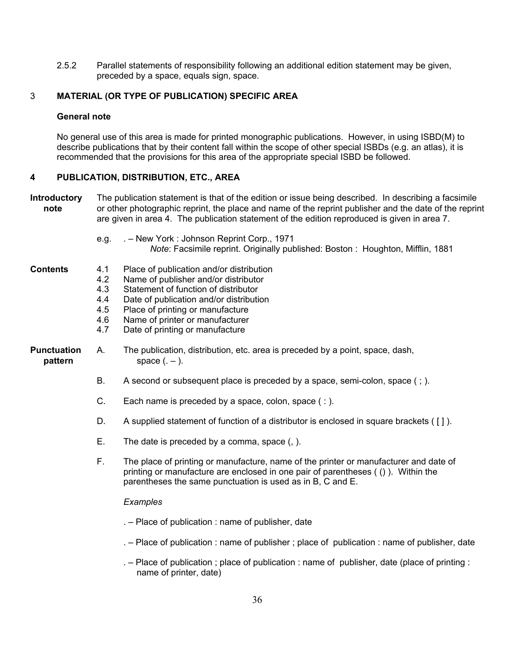<span id="page-40-0"></span> 2.5.2 Parallel statements of responsibility following an additional edition statement may be given, preceded by a space, equals sign, space.

#### 3 **MATERIAL (OR TYPE OF PUBLICATION) SPECIFIC AREA**

#### **General note**

No general use of this area is made for printed monographic publications. However, in using ISBD(M) to describe publications that by their content fall within the scope of other special ISBDs (e.g. an atlas), it is recommended that the provisions for this area of the appropriate special ISBD be followed.

## **4 PUBLICATION, DISTRIBUTION, ETC., AREA**

- **Introductory** The publication statement is that of the edition or issue being described. In describing a facsimile **note** or other photographic reprint, the place and name of the reprint publisher and the date of the reprint are given in area 4. The publication statement of the edition reproduced is given in area 7.
	- e.g. . New York : Johnson Reprint Corp., 1971 *Note*: Facsimile reprint. Originally published: Boston : Houghton, Mifflin, 1881

- **Contents** 4.1 Place of publication and/or distribution 4.2 Name of publisher and/or distributor
	- 4.3 Statement of function of distributor
	-
	- 4.4 Date of publication and/or distribution
	- 4.5 Place of printing or manufacture
	- 4.6 Name of printer or manufacturer
	- 4.7 Date of printing or manufacture
- **Punctuation** A. The publication, distribution, etc. area is preceded by a point, space, dash,  $\mathbf{pattern}$  space  $(.-).$ 
	- B. A second or subsequent place is preceded by a space, semi-colon, space ( ; ).
	- C. Each name is preceded by a space, colon, space ( : ).
	- D. A supplied statement of function of a distributor is enclosed in square brackets ([1]).
	- E. The date is preceded by a comma, space (, ).
	- F. The place of printing or manufacture, name of the printer or manufacturer and date of printing or manufacture are enclosed in one pair of parentheses ( () ). Within the parentheses the same punctuation is used as in B, C and E.

#### *Examples*

- . Place of publication : name of publisher, date
- . Place of publication : name of publisher ; place of publication : name of publisher, date
- . Place of publication ; place of publication : name of publisher, date (place of printing : name of printer, date)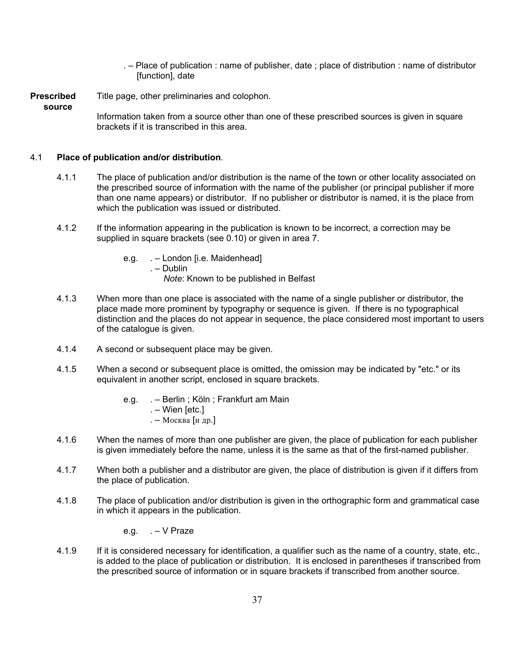. – Place of publication : name of publisher, date ; place of distribution : name of distributor Ifunction], date

<span id="page-41-0"></span>**Prescribed** Title page, other preliminaries and colophon.

#### **source**

Information taken from a source other than one of these prescribed sources is given in square brackets if it is transcribed in this area.

#### 4.1 **Place of publication and/or distribution**.

- 4.1.1 The place of publication and/or distribution is the name of the town or other locality associated on the prescribed source of information with the name of the publisher (or principal publisher if more than one name appears) or distributor. If no publisher or distributor is named, it is the place from which the publication was issued or distributed.
- 4.1.2 If the information appearing in the publication is known to be incorrect, a correction may be supplied in square brackets (see 0.10) or given in area 7.
	- e.g. . London [i.e. Maidenhead]

. – Dublin

*Note*: Known to be published in Belfast

- 4.1.3 When more than one place is associated with the name of a single publisher or distributor, the place made more prominent by typography or sequence is given. If there is no typographical distinction and the places do not appear in sequence, the place considered most important to users of the catalogue is given.
- 4.1.4 A second or subsequent place may be given.
- 4.1.5 When a second or subsequent place is omitted, the omission may be indicated by "etc." or its equivalent in another script, enclosed in square brackets.
	- e.g. . Berlin ; Köln ; Frankfurt am Main . – Wien [etc.]  $. -$  Москва [и др.]
- 4.1.6 When the names of more than one publisher are given, the place of publication for each publisher is given immediately before the name, unless it is the same as that of the first-named publisher.
- 4.1.7 When both a publisher and a distributor are given, the place of distribution is given if it differs from the place of publication.
- 4.1.8 The place of publication and/or distribution is given in the orthographic form and grammatical case in which it appears in the publication.

e.g. . – V Praze

4.1.9 If it is considered necessary for identification, a qualifier such as the name of a country, state, etc., is added to the place of publication or distribution. It is enclosed in parentheses if transcribed from the prescribed source of information or in square brackets if transcribed from another source.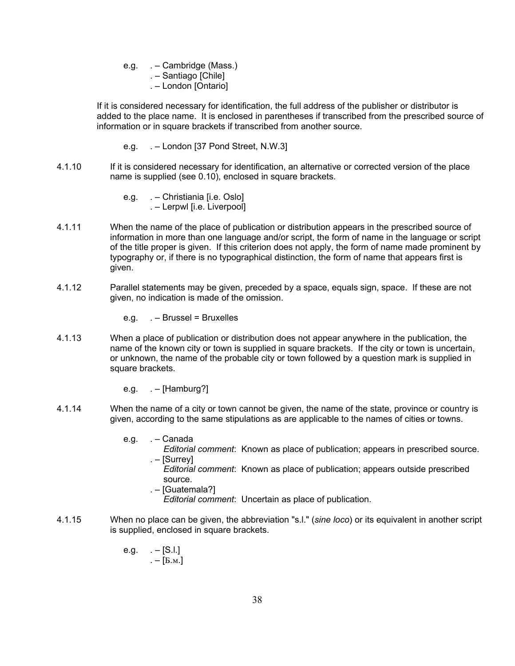<span id="page-42-0"></span>e.g. . – Cambridge (Mass.) . – Santiago [Chile] . – London [Ontario]

If it is considered necessary for identification, the full address of the publisher or distributor is added to the place name. It is enclosed in parentheses if transcribed from the prescribed source of information or in square brackets if transcribed from another source.

e.g. . – London [37 Pond Street, N.W.3]

4.1.10 If it is considered necessary for identification, an alternative or corrected version of the place name is supplied (see 0.10), enclosed in square brackets.

e.g. . – Christiania [i.e. Oslo] . – Lerpwl [i.e. Liverpool]

- 4.1.11 When the name of the place of publication or distribution appears in the prescribed source of information in more than one language and/or script, the form of name in the language or script of the title proper is given. If this criterion does not apply, the form of name made prominent by typography or, if there is no typographical distinction, the form of name that appears first is given.
- 4.1.12 Parallel statements may be given, preceded by a space, equals sign, space. If these are not given, no indication is made of the omission.
	- e.g. . Brussel = Bruxelles
- 4.1.13 When a place of publication or distribution does not appear anywhere in the publication, the name of the known city or town is supplied in square brackets. If the city or town is uncertain, or unknown, the name of the probable city or town followed by a question mark is supplied in square brackets.
	- e.g.  $-$  [Hamburg?]
- 4.1.14 When the name of a city or town cannot be given, the name of the state, province or country is given, according to the same stipulations as are applicable to the names of cities or towns.
	- e.g. . Canada

*Editorial comment*: Known as place of publication; appears in prescribed source. . – [Surrey]

*Editorial comment*: Known as place of publication; appears outside prescribed source.

- . [Guatemala?] *Editorial comment*: Uncertain as place of publication.
- 4.1.15 When no place can be given, the abbreviation "s.l." (*sine loco*) or its equivalent in another script is supplied, enclosed in square brackets.
	- e.g.  $-$  [S.I.]  $. - [B.M.]$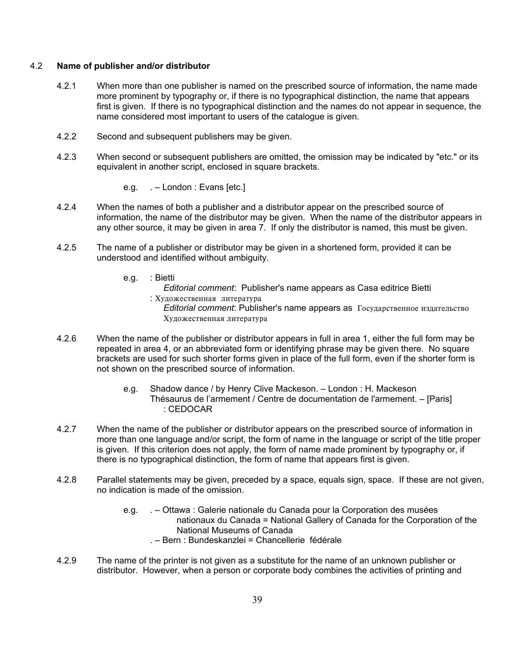#### <span id="page-43-0"></span>4.2 **Name of publisher and/or distributor**

- 4.2.1 When more than one publisher is named on the prescribed source of information, the name made more prominent by typography or, if there is no typographical distinction, the name that appears first is given. If there is no typographical distinction and the names do not appear in sequence, the name considered most important to users of the catalogue is given.
- 4.2.2 Second and subsequent publishers may be given.
- 4.2.3 When second or subsequent publishers are omitted, the omission may be indicated by "etc." or its equivalent in another script, enclosed in square brackets.
	- e.g. . London : Evans [etc.]
- 4.2.4 When the names of both a publisher and a distributor appear on the prescribed source of information, the name of the distributor may be given. When the name of the distributor appears in any other source, it may be given in area 7. If only the distributor is named, this must be given.
- 4.2.5 The name of a publisher or distributor may be given in a shortened form, provided it can be understood and identified without ambiguity.
	- e.g. : Bietti
		- *Editorial comment*: Publisher's name appears as Casa editrice Bietti  $: X$ уложественная литература
			- *Editorial comment***: Publisher's name appears as** Государственное издательство Художественная литература
- 4.2.6 When the name of the publisher or distributor appears in full in area 1, either the full form may be repeated in area 4, or an abbreviated form or identifying phrase may be given there. No square brackets are used for such shorter forms given in place of the full form, even if the shorter form is not shown on the prescribed source of information.
	- e.g. Shadow dance / by Henry Clive Mackeson. London : H. Mackeson Thésaurus de l'armement / Centre de documentation de l'armement. – [Paris] : CEDOCAR
- 4.2.7 When the name of the publisher or distributor appears on the prescribed source of information in more than one language and/or script, the form of name in the language or script of the title proper is given. If this criterion does not apply, the form of name made prominent by typography or, if there is no typographical distinction, the form of name that appears first is given.
- 4.2.8 Parallel statements may be given, preceded by a space, equals sign, space. If these are not given, no indication is made of the omission.
	- e.g. . Ottawa : Galerie nationale du Canada pour la Corporation des musées nationaux du Canada = National Gallery of Canada for the Corporation of the National Museums of Canada . – Bern : Bundeskanzlei = Chancellerie fédérale
- 4.2.9 The name of the printer is not given as a substitute for the name of an unknown publisher or distributor. However, when a person or corporate body combines the activities of printing and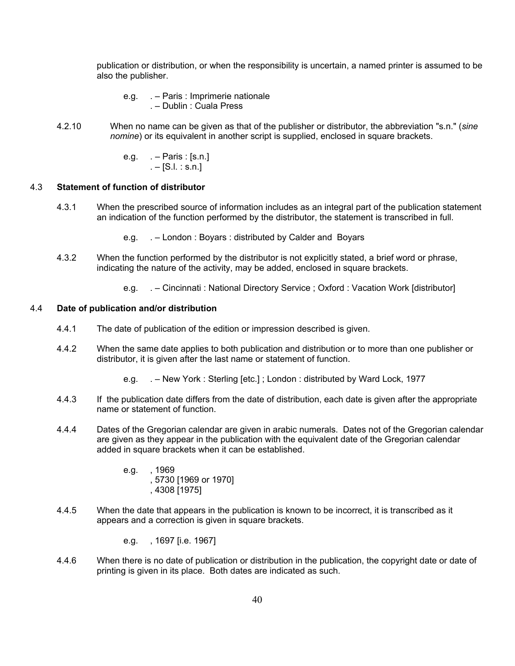<span id="page-44-0"></span>publication or distribution, or when the responsibility is uncertain, a named printer is assumed to be also the publisher.

- e.g. . Paris : Imprimerie nationale . – Dublin : Cuala Press
- 4.2.10 When no name can be given as that of the publisher or distributor, the abbreviation "s.n." (*sine nomine*) or its equivalent in another script is supplied, enclosed in square brackets.

e.g. . – Paris : [s.n.] . –  $[S.1: s.n.]$ 

#### 4.3 **Statement of function of distributor**

- 4.3.1 When the prescribed source of information includes as an integral part of the publication statement an indication of the function performed by the distributor, the statement is transcribed in full.
	- e.g. . London : Boyars : distributed by Calder and Boyars
- 4.3.2 When the function performed by the distributor is not explicitly stated, a brief word or phrase, indicating the nature of the activity, may be added, enclosed in square brackets.
	- e.g. . Cincinnati : National Directory Service ; Oxford : Vacation Work [distributor]

#### 4.4 **Date of publication and/or distribution**

- 4.4.1 The date of publication of the edition or impression described is given.
- 4.4.2 When the same date applies to both publication and distribution or to more than one publisher or distributor, it is given after the last name or statement of function.
	- e.g. . New York : Sterling [etc.] ; London : distributed by Ward Lock, 1977
- 4.4.3 If the publication date differs from the date of distribution, each date is given after the appropriate name or statement of function.
- 4.4.4 Dates of the Gregorian calendar are given in arabic numerals. Dates not of the Gregorian calendar are given as they appear in the publication with the equivalent date of the Gregorian calendar added in square brackets when it can be established.
	- e.g. , 1969 , 5730 [1969 or 1970] , 4308 [1975]
- 4.4.5 When the date that appears in the publication is known to be incorrect, it is transcribed as it appears and a correction is given in square brackets.
	- e.g. , 1697 [i.e. 1967]
- 4.4.6 When there is no date of publication or distribution in the publication, the copyright date or date of printing is given in its place. Both dates are indicated as such.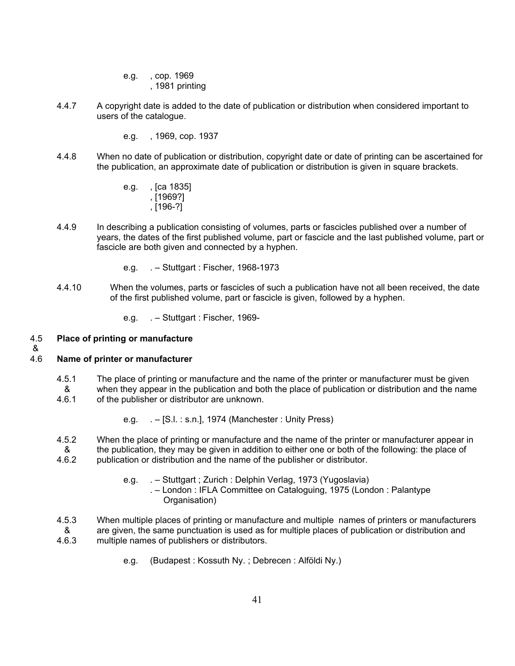e.g. , cop. 1969 , 1981 printing

<span id="page-45-0"></span>4.4.7 A copyright date is added to the date of publication or distribution when considered important to users of the catalogue.

e.g. , 1969, cop. 1937

- 4.4.8 When no date of publication or distribution, copyright date or date of printing can be ascertained for the publication, an approximate date of publication or distribution is given in square brackets.
	- e.g. , [ca 1835] , [1969?] , [196-?]
- 4.4.9 In describing a publication consisting of volumes, parts or fascicles published over a number of years, the dates of the first published volume, part or fascicle and the last published volume, part or fascicle are both given and connected by a hyphen.
	- e.g. . Stuttgart : Fischer, 1968-1973
- 4.4.10 When the volumes, parts or fascicles of such a publication have not all been received, the date of the first published volume, part or fascicle is given, followed by a hyphen.
	- e.g. . Stuttgart : Fischer, 1969-

# 4.5 **Place of printing or manufacture**

&

# 4.6 **Name of printer or manufacturer**

- 4.5.1 The place of printing or manufacture and the name of the printer or manufacturer must be given
- & when they appear in the publication and both the place of publication or distribution and the name
- 4.6.1 of the publisher or distributor are unknown.
	- e.g. . [S.l. : s.n.], 1974 (Manchester : Unity Press)
- 4.5.2 When the place of printing or manufacture and the name of the printer or manufacturer appear in & the publication, they may be given in addition to either one or both of the following: the place of
- 4.6.2 publication or distribution and the name of the publisher or distributor.
	- e.g. . Stuttgart ; Zurich : Delphin Verlag, 1973 (Yugoslavia)
		- . London : IFLA Committee on Cataloguing, 1975 (London : Palantype Organisation)
- 4.5.3 When multiple places of printing or manufacture and multiple names of printers or manufacturers & are given, the same punctuation is used as for multiple places of publication or distribution and 4.6.3 multiple names of publishers or distributors. multiple names of publishers or distributors.
	- e.g. (Budapest : Kossuth Ny. ; Debrecen : Alföldi Ny.)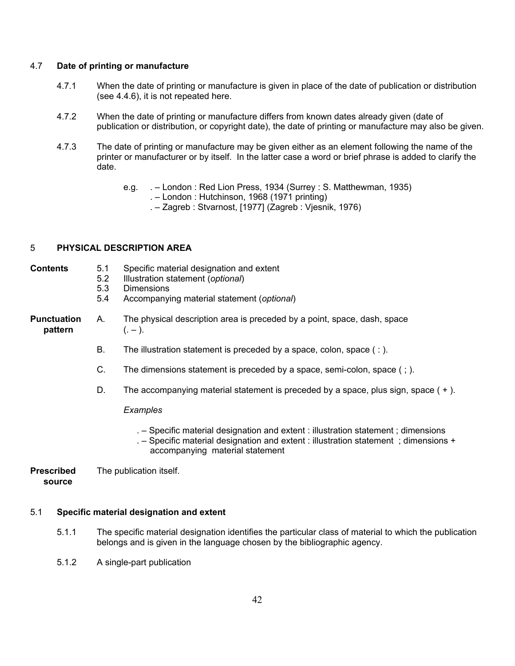#### <span id="page-46-0"></span>4.7 **Date of printing or manufacture**

- 4.7.1 When the date of printing or manufacture is given in place of the date of publication or distribution (see 4.4.6), it is not repeated here.
- 4.7.2 When the date of printing or manufacture differs from known dates already given (date of publication or distribution, or copyright date), the date of printing or manufacture may also be given.
- 4.7.3 The date of printing or manufacture may be given either as an element following the name of the printer or manufacturer or by itself. In the latter case a word or brief phrase is added to clarify the date.
	- e.g. . London : Red Lion Press, 1934 (Surrey : S. Matthewman, 1935)
		- . London : Hutchinson, 1968 (1971 printing)
		- . Zagreb : Stvarnost, [1977] (Zagreb : Vjesnik, 1976)

## 5 **PHYSICAL DESCRIPTION AREA**

- **Contents** 5.1 Specific material designation and extent<br>5.2 Illustration statement (optional)
	- 5.2 Illustration statement (*optional*)
	- **Dimensions**
	- 5.4 Accompanying material statement (*optional*)
- **Punctuation** A. The physical description area is preceded by a point, space, dash, space **pattern**  $(. - ).$ 
	- B. The illustration statement is preceded by a space, colon, space ( : ).
	- C. The dimensions statement is preceded by a space, semi-colon, space ( ; ).
	- D. The accompanying material statement is preceded by a space, plus sign, space  $(+)$ .

#### *Examples*

- . Specific material designation and extent : illustration statement ; dimensions
- . Specific material designation and extent : illustration statement ; dimensions + accompanying material statement

**Prescribed** The publication itself. **source**

#### 5.1 **Specific material designation and extent**

- 5.1.1 The specific material designation identifies the particular class of material to which the publication belongs and is given in the language chosen by the bibliographic agency.
- 5.1.2 A single-part publication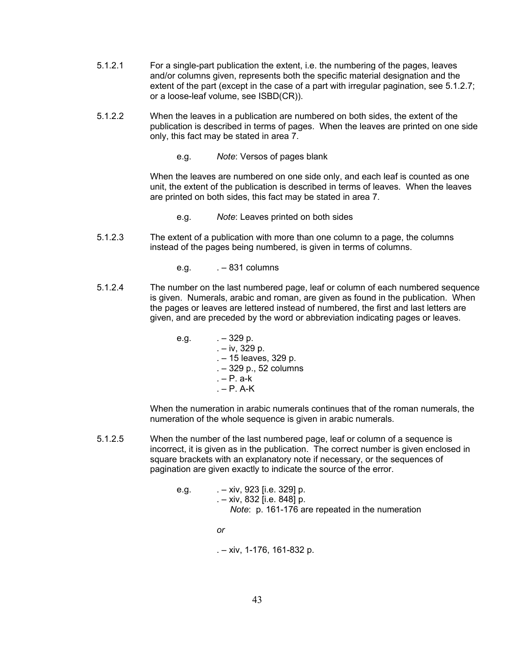- 5.1.2.1 For a single-part publication the extent, i.e. the numbering of the pages, leaves and/or columns given, represents both the specific material designation and the extent of the part (except in the case of a part with irregular pagination, see 5.1.2.7; or a loose-leaf volume, see ISBD(CR)).
- 5.1.2.2 When the leaves in a publication are numbered on both sides, the extent of the publication is described in terms of pages. When the leaves are printed on one side only, this fact may be stated in area 7.
	- e.g. *Note*: Versos of pages blank

When the leaves are numbered on one side only, and each leaf is counted as one unit, the extent of the publication is described in terms of leaves. When the leaves are printed on both sides, this fact may be stated in area 7.

- e.g. *Note*: Leaves printed on both sides
- 5.1.2.3 The extent of a publication with more than one column to a page, the columns instead of the pages being numbered, is given in terms of columns.
	- e.g.  $-831$  columns
- 5.1.2.4 The number on the last numbered page, leaf or column of each numbered sequence is given. Numerals, arabic and roman, are given as found in the publication. When the pages or leaves are lettered instead of numbered, the first and last letters are given, and are preceded by the word or abbreviation indicating pages or leaves.
	- e.g.  $-329 p$ . . – iv, 329 p. . – 15 leaves, 329 p. . – 329 p., 52 columns  $. - P. a-k$  $- P.$  A-K

When the numeration in arabic numerals continues that of the roman numerals, the numeration of the whole sequence is given in arabic numerals.

- 5.1.2.5 When the number of the last numbered page, leaf or column of a sequence is incorrect, it is given as in the publication. The correct number is given enclosed in square brackets with an explanatory note if necessary, or the sequences of pagination are given exactly to indicate the source of the error.
	- e.g. . xiv, 923 [i.e. 329] p. . – xiv, 832 [i.e. 848] p. *Note*: p. 161-176 are repeated in the numeration

*or*

. – xiv, 1-176, 161-832 p.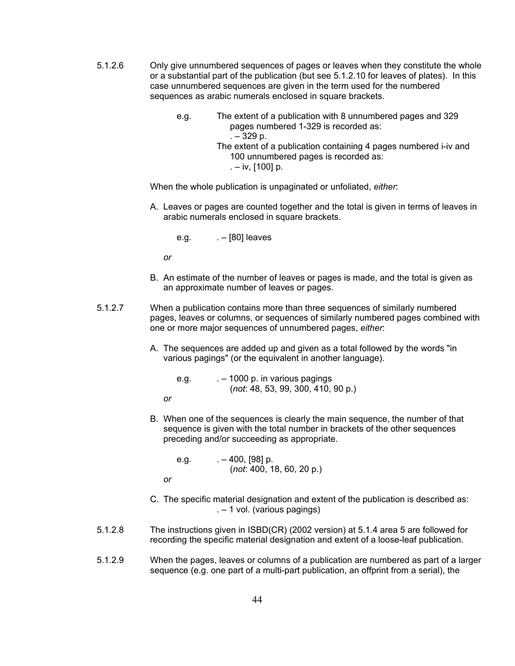- <span id="page-48-0"></span>5.1.2.6 Only give unnumbered sequences of pages or leaves when they constitute the whole or a substantial part of the publication (but see 5.1.2.10 for leaves of plates). In this case unnumbered sequences are given in the term used for the numbered sequences as arabic numerals enclosed in square brackets.
	- e.g. The extent of a publication with 8 unnumbered pages and 329 pages numbered 1-329 is recorded as:  $. - 329$  p. The extent of a publication containing 4 pages numbered i-iv and 100 unnumbered pages is recorded as: . – iv, [100] p.

When the whole publication is unpaginated or unfoliated, *either*:

- A. Leaves or pages are counted together and the total is given in terms of leaves in arabic numerals enclosed in square brackets.
	- e.g.  $-$  [80] leaves

*or*

- B. An estimate of the number of leaves or pages is made, and the total is given as an approximate number of leaves or pages.
- 5.1.2.7 When a publication contains more than three sequences of similarly numbered pages, leaves or columns, or sequences of similarly numbered pages combined with one or more major sequences of unnumbered pages, *either*:
	- A. The sequences are added up and given as a total followed by the words "in various pagings" (or the equivalent in another language).
		- e.g.  $-1000$  p. in various pagings (*not*: 48, 53, 99, 300, 410, 90 p.)

*or*

B. When one of the sequences is clearly the main sequence, the number of that sequence is given with the total number in brackets of the other sequences preceding and/or succeeding as appropriate.

e.g.  $-400$ , [98] p. (*not*: 400, 18, 60, 20 p.)

*or*

- C. The specific material designation and extent of the publication is described as: . – 1 vol. (various pagings)
- 5.1.2.8 The instructions given in ISBD(CR) (2002 version) at 5.1.4 area 5 are followed for recording the specific material designation and extent of a loose-leaf publication.
- 5.1.2.9 When the pages, leaves or columns of a publication are numbered as part of a larger sequence (e.g. one part of a multi-part publication, an offprint from a serial), the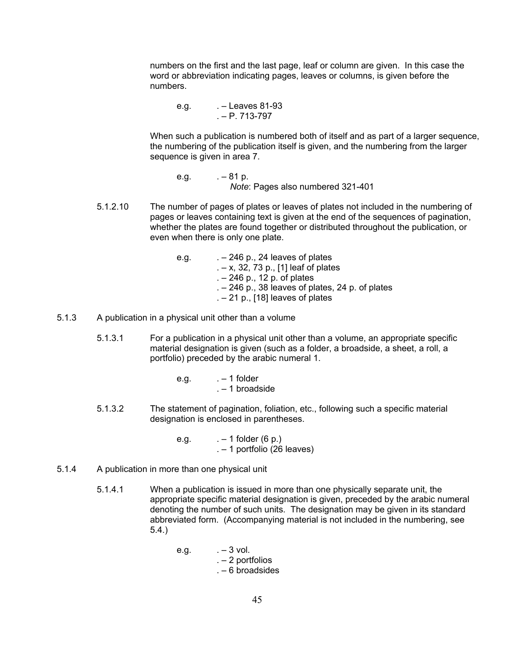numbers on the first and the last page, leaf or column are given. In this case the word or abbreviation indicating pages, leaves or columns, is given before the numbers.

e.g.  $-$  Leaves 81-93 . – P. 713-797

When such a publication is numbered both of itself and as part of a larger sequence, the numbering of the publication itself is given, and the numbering from the larger sequence is given in area 7.

e.g.  $-81 p$ . *Note*: Pages also numbered 321-401

- 5.1.2.10 The number of pages of plates or leaves of plates not included in the numbering of pages or leaves containing text is given at the end of the sequences of pagination, whether the plates are found together or distributed throughout the publication, or even when there is only one plate.
	- e.g.  $-246$  p., 24 leaves of plates .  $- x$ , 32, 73 p., [1] leaf of plates . – 246 p., 12 p. of plates . – 246 p., 38 leaves of plates, 24 p. of plates
		- $. -21$  p., [18] leaves of plates
- 5.1.3 A publication in a physical unit other than a volume
	- 5.1.3.1 For a publication in a physical unit other than a volume, an appropriate specific material designation is given (such as a folder, a broadside, a sheet, a roll, a portfolio) preceded by the arabic numeral 1.
		- e.g.  $-1$  folder . – 1 broadside
	- 5.1.3.2 The statement of pagination, foliation, etc., following such a specific material designation is enclosed in parentheses.

e.g.  $-1$  folder (6 p.) . – 1 portfolio (26 leaves)

- 5.1.4 A publication in more than one physical unit
	- 5.1.4.1 When a publication is issued in more than one physically separate unit, the appropriate specific material designation is given, preceded by the arabic numeral denoting the number of such units. The designation may be given in its standard abbreviated form. (Accompanying material is not included in the numbering, see 5.4.)
		- e.g.  $-3$  vol. . – 2 portfolios . – 6 broadsides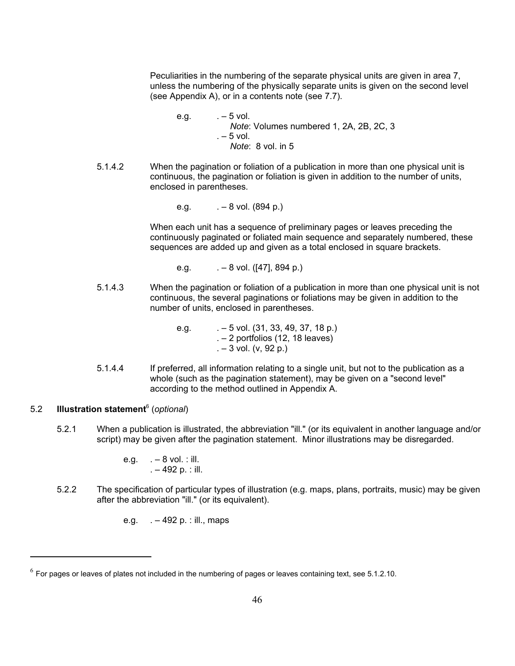<span id="page-50-0"></span>Peculiarities in the numbering of the separate physical units are given in area 7, unless the numbering of the physically separate units is given on the second level (see Appendix A), or in a contents note (see 7.7).

- e.g.  $-5$  vol. *Note*: Volumes numbered 1, 2A, 2B, 2C, 3  $. - 5$  vol. *Note*: 8 vol. in 5
- 5.1.4.2 When the pagination or foliation of a publication in more than one physical unit is continuous, the pagination or foliation is given in addition to the number of units, enclosed in parentheses.

e.g.  $-8$  vol. (894 p.)

When each unit has a sequence of preliminary pages or leaves preceding the continuously paginated or foliated main sequence and separately numbered, these sequences are added up and given as a total enclosed in square brackets.

e.g.  $-8$  vol. ([47], 894 p.)

5.1.4.3 When the pagination or foliation of a publication in more than one physical unit is not continuous, the several paginations or foliations may be given in addition to the number of units, enclosed in parentheses.

> e.g.  $-5$  vol. (31, 33, 49, 37, 18 p.) . – 2 portfolios (12, 18 leaves)  $-3$  vol. (v, 92 p.)

5.1.4.4 If preferred, all information relating to a single unit, but not to the publication as a whole (such as the pagination statement), may be given on a "second level" according to the method outlined in Appendix A.

#### 5.2 **Illustration statement**<sup>6</sup> (*optional*)

5.2.1 When a publication is illustrated, the abbreviation "ill." (or its equivalent in another language and/or script) may be given after the pagination statement. Minor illustrations may be disregarded.

> e.g.  $-8$  vol. : ill. . – 492 p. : ill.

5.2.2 The specification of particular types of illustration (e.g. maps, plans, portraits, music) may be given after the abbreviation "ill." (or its equivalent).

e.g. . – 492 p. : ill., maps

 $<sup>6</sup>$  For pages or leaves of plates not included in the numbering of pages or leaves containing text, see 5.1.2.10.</sup>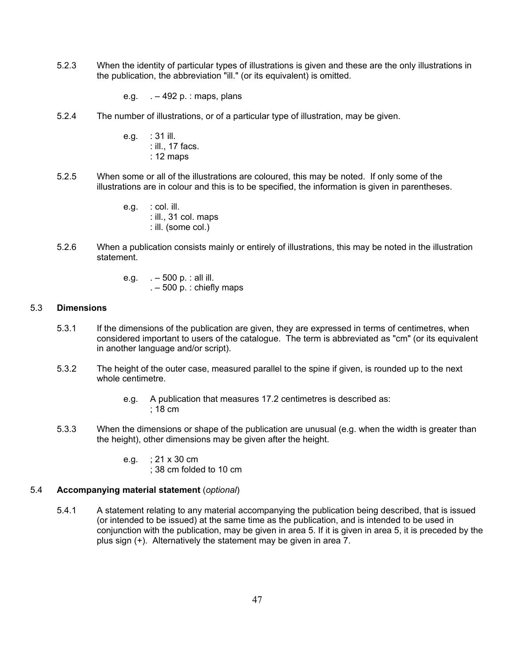<span id="page-51-0"></span>5.2.3 When the identity of particular types of illustrations is given and these are the only illustrations in the publication, the abbreviation "ill." (or its equivalent) is omitted.

e.g.  $-492 \text{ p}$ . maps, plans

- 5.2.4 The number of illustrations, or of a particular type of illustration, may be given.
	- e.g. : 31 ill. : ill., 17 facs. : 12 maps
- 5.2.5 When some or all of the illustrations are coloured, this may be noted. If only some of the illustrations are in colour and this is to be specified, the information is given in parentheses.
	- e.g. : col. ill. : ill., 31 col. maps : ill. (some col.)
- 5.2.6 When a publication consists mainly or entirely of illustrations, this may be noted in the illustration statement.
	- e.g. . 500 p. : all ill.  $. - 500$  p. : chiefly maps

#### 5.3 **Dimensions**

- 5.3.1 If the dimensions of the publication are given, they are expressed in terms of centimetres, when considered important to users of the catalogue. The term is abbreviated as "cm" (or its equivalent in another language and/or script).
- 5.3.2 The height of the outer case, measured parallel to the spine if given, is rounded up to the next whole centimetre.
	- e.g. A publication that measures 17.2 centimetres is described as: ; 18 cm
- 5.3.3 When the dimensions or shape of the publication are unusual (e.g. when the width is greater than the height), other dimensions may be given after the height.
	- e.g. ; 21 x 30 cm ; 38 cm folded to 10 cm

#### 5.4 **Accompanying material statement** (*optional*)

5.4.1 A statement relating to any material accompanying the publication being described, that is issued (or intended to be issued) at the same time as the publication, and is intended to be used in conjunction with the publication, may be given in area 5. If it is given in area 5, it is preceded by the plus sign (+). Alternatively the statement may be given in area 7.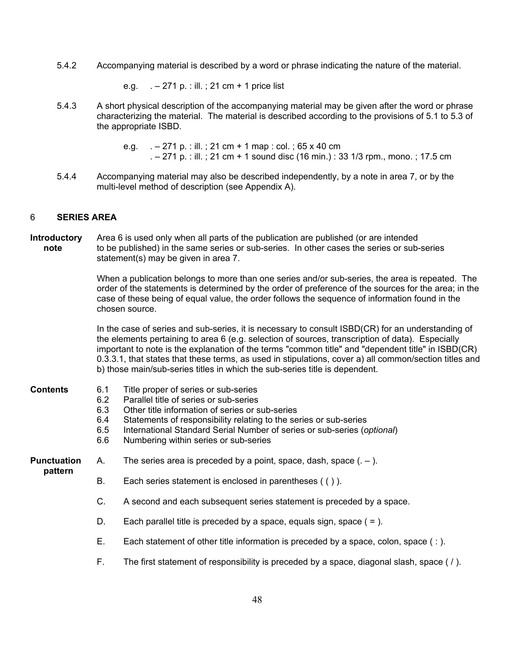<span id="page-52-0"></span>5.4.2 Accompanying material is described by a word or phrase indicating the nature of the material.

e.g.  $. -271$  p. : ill. ; 21 cm + 1 price list

5.4.3 A short physical description of the accompanying material may be given after the word or phrase characterizing the material. The material is described according to the provisions of 5.1 to 5.3 of the appropriate ISBD.

> e.g.  $-271 \text{ p.}$ : ill.; 21 cm + 1 map : col.; 65 x 40 cm . – 271 p. : ill. ; 21 cm + 1 sound disc (16 min.) : 33 1/3 rpm., mono. ; 17.5 cm

5.4.4 Accompanying material may also be described independently, by a note in area 7, or by the multi-level method of description (see Appendix A).

#### 6 **SERIES AREA**

**Introductory** Area 6 is used only when all parts of the publication are published (or are intended **note** to be published) in the same series or sub-series. In other cases the series or sub-series statement(s) may be given in area 7.

> When a publication belongs to more than one series and/or sub-series, the area is repeated. The order of the statements is determined by the order of preference of the sources for the area; in the case of these being of equal value, the order follows the sequence of information found in the chosen source.

> In the case of series and sub-series, it is necessary to consult ISBD(CR) for an understanding of the elements pertaining to area 6 (e.g. selection of sources, transcription of data). Especially important to note is the explanation of the terms "common title" and "dependent title" in ISBD(CR) 0.3.3.1, that states that these terms, as used in stipulations, cover a) all common/section titles and b) those main/sub-series titles in which the sub-series title is dependent.

- **Contents** 6.1 Title proper of series or sub-series
	- 6.2 Parallel title of series or sub-series
	- 6.3 Other title information of series or sub-series
	- 6.4 Statements of responsibility relating to the series or sub-series
	- 6.5 International Standard Serial Number of series or sub-series (*optional*)
	- 6.6 Numbering within series or sub-series

#### **Punctuation** A. The series area is preceded by a point, space, dash, space (. – ).

- **pattern**
- B. Each series statement is enclosed in parentheses ( ( ) ).
- C. A second and each subsequent series statement is preceded by a space.
- D. Each parallel title is preceded by a space, equals sign, space  $( = ).$
- E. Each statement of other title information is preceded by a space, colon, space ( : ).
- F. The first statement of responsibility is preceded by a space, diagonal slash, space ( / ).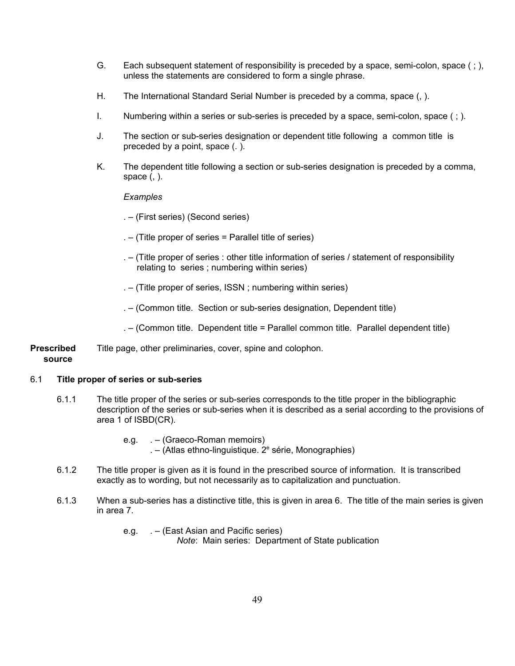- <span id="page-53-0"></span>G. Each subsequent statement of responsibility is preceded by a space, semi-colon, space ( ; ), unless the statements are considered to form a single phrase.
- H. The International Standard Serial Number is preceded by a comma, space (, ).
- I. Numbering within a series or sub-series is preceded by a space, semi-colon, space ( ; ).
- J. The section or sub-series designation or dependent title following a common title is preceded by a point, space (. ).
- K. The dependent title following a section or sub-series designation is preceded by a comma, space  $($ ,  $).$

*Examples*

- . (First series) (Second series)
- $-$  (Title proper of series = Parallel title of series)
- . (Title proper of series : other title information of series / statement of responsibility relating to series ; numbering within series)
- . (Title proper of series, ISSN ; numbering within series)
- . (Common title. Section or sub-series designation, Dependent title)
- $. -$  (Common title. Dependent title = Parallel common title. Parallel dependent title)
- **Prescribed** Title page, other preliminaries, cover, spine and colophon. **source**

#### 6.1 **Title proper of series or sub-series**

- 6.1.1 The title proper of the series or sub-series corresponds to the title proper in the bibliographic description of the series or sub-series when it is described as a serial according to the provisions of area 1 of ISBD(CR).
	- e.g. . (Graeco-Roman memoirs) . – (Atlas ethno-linguistique. 2<sup>e</sup> série, Monographies)
- 6.1.2 The title proper is given as it is found in the prescribed source of information. It is transcribed exactly as to wording, but not necessarily as to capitalization and punctuation.
- 6.1.3 When a sub-series has a distinctive title, this is given in area 6. The title of the main series is given in area 7.
	- e.g. . (East Asian and Pacific series)  *Note*: Main series: Department of State publication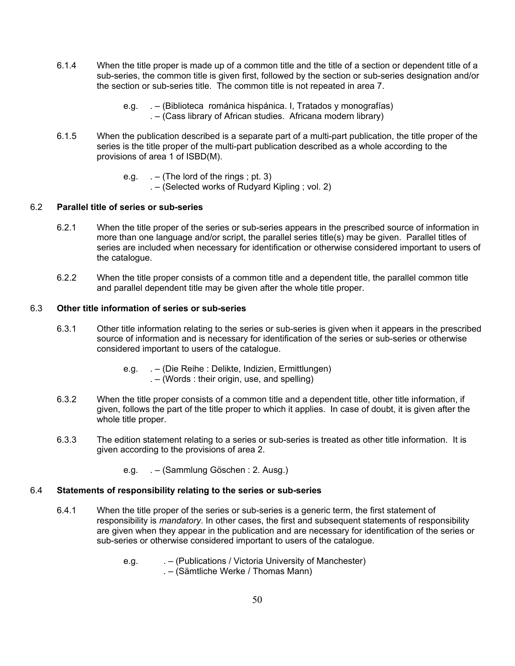- <span id="page-54-0"></span>6.1.4 When the title proper is made up of a common title and the title of a section or dependent title of a sub-series, the common title is given first, followed by the section or sub-series designation and/or the section or sub-series title. The common title is not repeated in area 7.
	- e.g. . (Biblioteca románica hispánica. I, Tratados y monografías) . – (Cass library of African studies. Africana modern library)
- 6.1.5 When the publication described is a separate part of a multi-part publication, the title proper of the series is the title proper of the multi-part publication described as a whole according to the provisions of area 1 of ISBD(M).
	- e.g.  $\ldots$  (The lord of the rings; pt. 3)
		- . (Selected works of Rudyard Kipling ; vol. 2)

#### 6.2 **Parallel title of series or sub-series**

- 6.2.1 When the title proper of the series or sub-series appears in the prescribed source of information in more than one language and/or script, the parallel series title(s) may be given. Parallel titles of series are included when necessary for identification or otherwise considered important to users of the catalogue.
- 6.2.2 When the title proper consists of a common title and a dependent title, the parallel common title and parallel dependent title may be given after the whole title proper.

#### 6.3 **Other title information of series or sub-series**

- 6.3.1 Other title information relating to the series or sub-series is given when it appears in the prescribed source of information and is necessary for identification of the series or sub-series or otherwise considered important to users of the catalogue.
	- e.g. . (Die Reihe : Delikte, Indizien, Ermittlungen)
		- . (Words : their origin, use, and spelling)
- 6.3.2 When the title proper consists of a common title and a dependent title, other title information, if given, follows the part of the title proper to which it applies. In case of doubt, it is given after the whole title proper.
- 6.3.3 The edition statement relating to a series or sub-series is treated as other title information. It is given according to the provisions of area 2.
	- e.g. . (Sammlung Göschen : 2. Ausg.)

#### 6.4 **Statements of responsibility relating to the series or sub-series**

- 6.4.1 When the title proper of the series or sub-series is a generic term, the first statement of responsibility is *mandatory*. In other cases, the first and subsequent statements of responsibility are given when they appear in the publication and are necessary for identification of the series or sub-series or otherwise considered important to users of the catalogue.
	- e.g. . (Publications / Victoria University of Manchester) . – (Sämtliche Werke / Thomas Mann)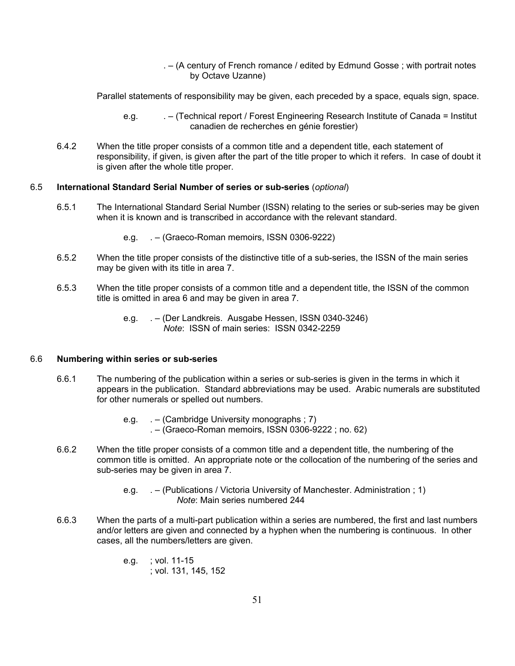. – (A century of French romance / edited by Edmund Gosse ; with portrait notes by Octave Uzanne)

<span id="page-55-0"></span>Parallel statements of responsibility may be given, each preceded by a space, equals sign, space.

- e.g. . (Technical report / Forest Engineering Research Institute of Canada = Institut canadien de recherches en génie forestier)
- 6.4.2 When the title proper consists of a common title and a dependent title, each statement of responsibility, if given, is given after the part of the title proper to which it refers. In case of doubt it is given after the whole title proper.

#### 6.5 **International Standard Serial Number of series or sub-series** (*optional*)

- 6.5.1 The International Standard Serial Number (ISSN) relating to the series or sub-series may be given when it is known and is transcribed in accordance with the relevant standard.
	- e.g. . (Graeco-Roman memoirs, ISSN 0306-9222)
- 6.5.2 When the title proper consists of the distinctive title of a sub-series, the ISSN of the main series may be given with its title in area 7.
- 6.5.3 When the title proper consists of a common title and a dependent title, the ISSN of the common title is omitted in area 6 and may be given in area 7.
	- e.g. . (Der Landkreis. Ausgabe Hessen, ISSN 0340-3246) *Note*: ISSN of main series: ISSN 0342-2259

#### 6.6 **Numbering within series or sub-series**

- 6.6.1 The numbering of the publication within a series or sub-series is given in the terms in which it appears in the publication. Standard abbreviations may be used. Arabic numerals are substituted for other numerals or spelled out numbers.
	- e.g. . (Cambridge University monographs ; 7) . – (Graeco-Roman memoirs, ISSN 0306-9222 ; no. 62)
- 6.6.2 When the title proper consists of a common title and a dependent title, the numbering of the common title is omitted. An appropriate note or the collocation of the numbering of the series and sub-series may be given in area 7.
	- e.g. . (Publications / Victoria University of Manchester. Administration ; 1) *Note*: Main series numbered 244
- 6.6.3 When the parts of a multi-part publication within a series are numbered, the first and last numbers and/or letters are given and connected by a hyphen when the numbering is continuous. In other cases, all the numbers/letters are given.
	- e.g. ; vol. 11-15 ; vol. 131, 145, 152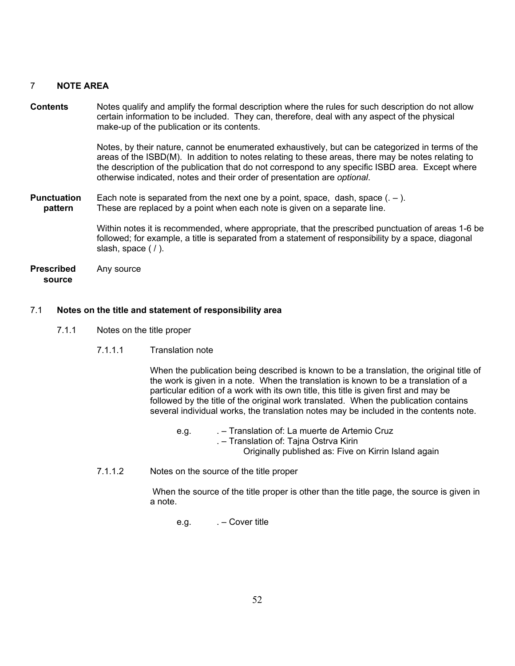## <span id="page-56-0"></span>7 **NOTE AREA**

**Contents** Notes qualify and amplify the formal description where the rules for such description do not allow certain information to be included. They can, therefore, deal with any aspect of the physical make-up of the publication or its contents.

> Notes, by their nature, cannot be enumerated exhaustively, but can be categorized in terms of the areas of the ISBD(M). In addition to notes relating to these areas, there may be notes relating to the description of the publication that do not correspond to any specific ISBD area. Except where otherwise indicated, notes and their order of presentation are *optional*.

**Punctuation** Each note is separated from the next one by a point, space, dash, space (. - ). **pattern** These are replaced by a point when each note is given on a separate line.

> Within notes it is recommended, where appropriate, that the prescribed punctuation of areas 1-6 be followed; for example, a title is separated from a statement of responsibility by a space, diagonal slash, space ( / ).

**Prescribed** Any source **source**

#### 7.1 **Notes on the title and statement of responsibility area**

- 7.1.1 Notes on the title proper
	- 7.1.1.1 Translation note

When the publication being described is known to be a translation, the original title of the work is given in a note. When the translation is known to be a translation of a particular edition of a work with its own title, this title is given first and may be followed by the title of the original work translated. When the publication contains several individual works, the translation notes may be included in the contents note.

- e.g. . Translation of: La muerte de Artemio Cruz . – Translation of: Tajna Ostrva Kirin Originally published as: Five on Kirrin Island again
- 7.1.1.2 Notes on the source of the title proper

 When the source of the title proper is other than the title page, the source is given in a note.

e.g.  $-$  Cover title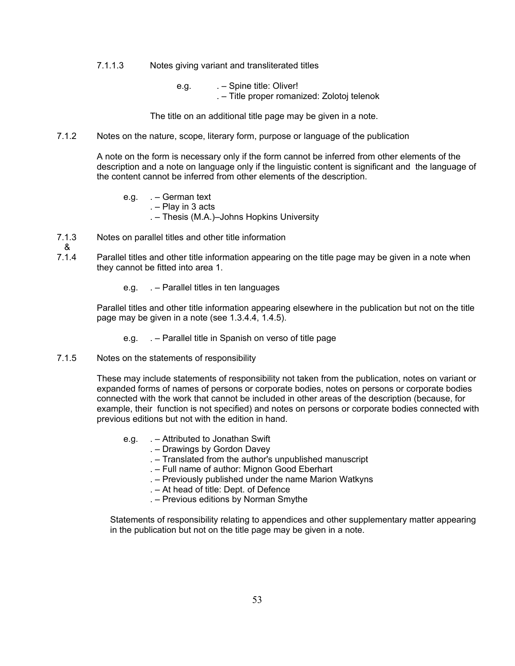<span id="page-57-0"></span>7.1.1.3 Notes giving variant and transliterated titles

e.g.  $-$  Spine title: Oliver! . – Title proper romanized: Zolotoj telenok

The title on an additional title page may be given in a note.

7.1.2 Notes on the nature, scope, literary form, purpose or language of the publication

A note on the form is necessary only if the form cannot be inferred from other elements of the description and a note on language only if the linguistic content is significant and the language of the content cannot be inferred from other elements of the description.

e.g. . – German text

- . Play in 3 acts
- . Thesis (M.A.)–Johns Hopkins University
- 7.1.3 Notes on parallel titles and other title information
- $\begin{array}{c} 8 \\ 7.1.4 \end{array}$ Parallel titles and other title information appearing on the title page may be given in a note when they cannot be fitted into area 1.
	- e.g. . Parallel titles in ten languages

Parallel titles and other title information appearing elsewhere in the publication but not on the title page may be given in a note (see 1.3.4.4, 1.4.5).

- e.g. . Parallel title in Spanish on verso of title page
- 7.1.5 Notes on the statements of responsibility

These may include statements of responsibility not taken from the publication, notes on variant or expanded forms of names of persons or corporate bodies, notes on persons or corporate bodies connected with the work that cannot be included in other areas of the description (because, for example, their function is not specified) and notes on persons or corporate bodies connected with previous editions but not with the edition in hand.

- e.g. . Attributed to Jonathan Swift
	- . Drawings by Gordon Davey
	- . Translated from the author's unpublished manuscript
	- . Full name of author: Mignon Good Eberhart
	- . Previously published under the name Marion Watkyns
	- . At head of title: Dept. of Defence
	- . Previous editions by Norman Smythe

Statements of responsibility relating to appendices and other supplementary matter appearing in the publication but not on the title page may be given in a note.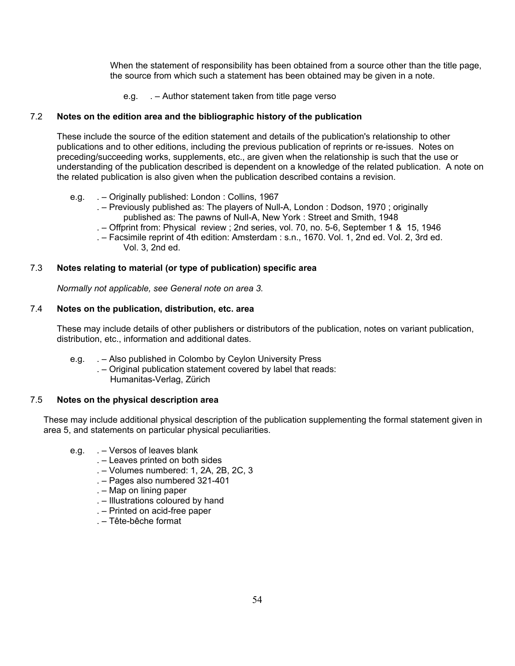When the statement of responsibility has been obtained from a source other than the title page, the source from which such a statement has been obtained may be given in a note.

e.g. . – Author statement taken from title page verso

# <span id="page-58-0"></span>7.2 **Notes on the edition area and the bibliographic history of the publication**

These include the source of the edition statement and details of the publication's relationship to other publications and to other editions, including the previous publication of reprints or re-issues. Notes on preceding/succeeding works, supplements, etc., are given when the relationship is such that the use or understanding of the publication described is dependent on a knowledge of the related publication. A note on the related publication is also given when the publication described contains a revision.

- e.g. . Originally published: London : Collins, 1967
	- . Previously published as: The players of Null-A, London : Dodson, 1970 ; originally published as: The pawns of Null-A, New York : Street and Smith, 1948
	- . Offprint from: Physical review ; 2nd series, vol. 70, no. 5-6, September 1 & 15, 1946
	- . Facsimile reprint of 4th edition: Amsterdam : s.n., 1670. Vol. 1, 2nd ed. Vol. 2, 3rd ed. Vol. 3, 2nd ed.

## 7.3 **Notes relating to material (or type of publication) specific area**

*Normally not applicable, see General note on area 3.*

#### 7.4 **Notes on the publication, distribution, etc. area**

These may include details of other publishers or distributors of the publication, notes on variant publication, distribution, etc., information and additional dates.

- e.g. . Also published in Colombo by Ceylon University Press
	- . Original publication statement covered by label that reads: Humanitas-Verlag, Zürich

## 7.5 **Notes on the physical description area**

These may include additional physical description of the publication supplementing the formal statement given in area 5, and statements on particular physical peculiarities.

- e.g. . Versos of leaves blank
	- . Leaves printed on both sides
	- . Volumes numbered: 1, 2A, 2B, 2C, 3
	- . Pages also numbered 321-401
	- . Map on lining paper
	- . Illustrations coloured by hand
	- . Printed on acid-free paper
	- . Tête-bêche format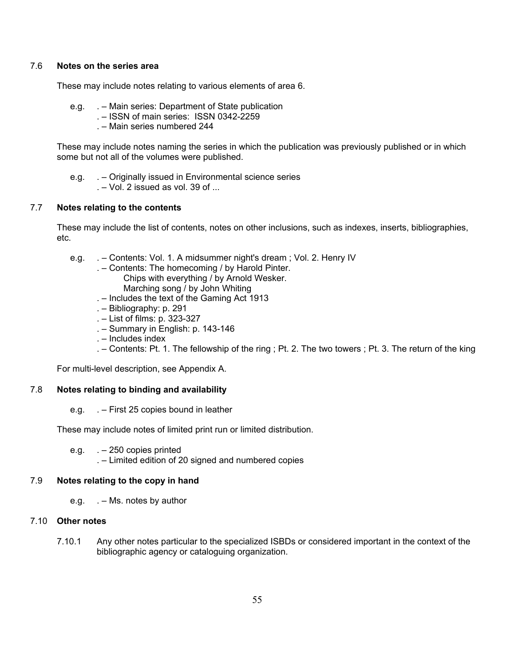#### <span id="page-59-0"></span>7.6 **Notes on the series area**

These may include notes relating to various elements of area 6.

- e.g. . Main series: Department of State publication
	- . ISSN of main series: ISSN 0342-2259
	- . Main series numbered 244

These may include notes naming the series in which the publication was previously published or in which some but not all of the volumes were published.

e.g. . – Originally issued in Environmental science series  $-$  Vol. 2 issued as vol. 39 of

#### 7.7 **Notes relating to the contents**

These may include the list of contents, notes on other inclusions, such as indexes, inserts, bibliographies, etc.

- e.g. . Contents: Vol. 1. A midsummer night's dream ; Vol. 2. Henry IV
	- . Contents: The homecoming / by Harold Pinter. Chips with everything / by Arnold Wesker. Marching song / by John Whiting
	- . Includes the text of the Gaming Act 1913
	- . Bibliography: p. 291
	- . List of films: p. 323-327
	- . Summary in English: p. 143-146
	- . Includes index
	- . Contents: Pt. 1. The fellowship of the ring ; Pt. 2. The two towers ; Pt. 3. The return of the king

For multi-level description, see Appendix A.

#### 7.8 **Notes relating to binding and availability**

e.g. . – First 25 copies bound in leather

These may include notes of limited print run or limited distribution.

- e.g. . 250 copies printed
	- . Limited edition of 20 signed and numbered copies

## 7.9 **Notes relating to the copy in hand**

e.g. . – Ms. notes by author

#### 7.10 **Other notes**

7.10.1 Any other notes particular to the specialized ISBDs or considered important in the context of the bibliographic agency or cataloguing organization.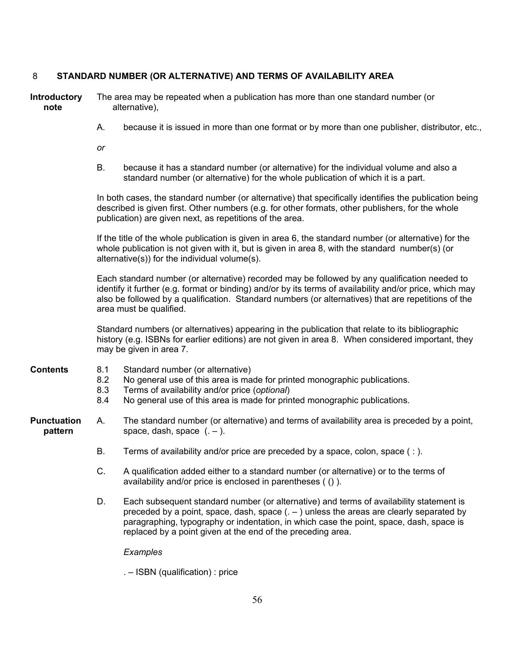# <span id="page-60-0"></span>8 **STANDARD NUMBER (OR ALTERNATIVE) AND TERMS OF AVAILABILITY AREA**

**Introductory** The area may be repeated when a publication has more than one standard number (or **note** alternative),

A. because it is issued in more than one format or by more than one publisher, distributor, etc.,

*or*

B. because it has a standard number (or alternative) for the individual volume and also a standard number (or alternative) for the whole publication of which it is a part.

In both cases, the standard number (or alternative) that specifically identifies the publication being described is given first. Other numbers (e.g. for other formats, other publishers, for the whole publication) are given next, as repetitions of the area.

If the title of the whole publication is given in area 6, the standard number (or alternative) for the whole publication is not given with it, but is given in area 8, with the standard number(s) (or alternative(s)) for the individual volume(s).

Each standard number (or alternative) recorded may be followed by any qualification needed to identify it further (e.g. format or binding) and/or by its terms of availability and/or price, which may also be followed by a qualification. Standard numbers (or alternatives) that are repetitions of the area must be qualified.

Standard numbers (or alternatives) appearing in the publication that relate to its bibliographic history (e.g. ISBNs for earlier editions) are not given in area 8. When considered important, they may be given in area 7.

- 
- **Contents** 8.1 Standard number (or alternative)
	- 8.2 No general use of this area is made for printed monographic publications.
	- 8.3 Terms of availability and/or price (*optional*)
	- 8.4 No general use of this area is made for printed monographic publications.

#### **Punctuation** A. The standard number (or alternative) and terms of availability area is preceded by a point, **pattern** space, dash, space  $(.-).$

- B. Terms of availability and/or price are preceded by a space, colon, space ( : ).
- C. A qualification added either to a standard number (or alternative) or to the terms of availability and/or price is enclosed in parentheses ( () ).
- D. Each subsequent standard number (or alternative) and terms of availability statement is preceded by a point, space, dash, space  $(.-)$  unless the areas are clearly separated by paragraphing, typography or indentation, in which case the point, space, dash, space is replaced by a point given at the end of the preceding area.

*Examples*

. – ISBN (qualification) : price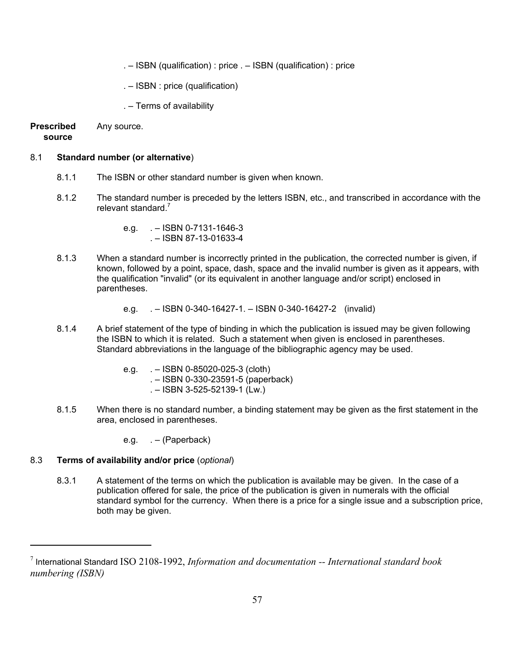. – ISBN (qualification) : price . – ISBN (qualification) : price

. – ISBN : price (qualification)

. – Terms of availability

<span id="page-61-0"></span>**Prescribed** Any source. **source**

#### 8.1 **Standard number (or alternative**)

- 8.1.1 The ISBN or other standard number is given when known.
- 8.1.2 The standard number is preceded by the letters ISBN, etc., and transcribed in accordance with the relevant standard.<sup>7</sup>

e.g. . – ISBN 0-7131-1646-3 . – ISBN 87-13-01633-4

8.1.3 When a standard number is incorrectly printed in the publication, the corrected number is given, if known, followed by a point, space, dash, space and the invalid number is given as it appears, with the qualification "invalid" (or its equivalent in another language and/or script) enclosed in parentheses.

e.g. . – ISBN 0-340-16427-1. – ISBN 0-340-16427-2 (invalid)

- 8.1.4 A brief statement of the type of binding in which the publication is issued may be given following the ISBN to which it is related. Such a statement when given is enclosed in parentheses. Standard abbreviations in the language of the bibliographic agency may be used.
	- e.g. . ISBN 0-85020-025-3 (cloth)
		- . ISBN 0-330-23591-5 (paperback)
		- . ISBN 3-525-52139-1 (Lw.)
- 8.1.5 When there is no standard number, a binding statement may be given as the first statement in the area, enclosed in parentheses.

e.g. . – (Paperback)

## 8.3 **Terms of availability and/or price** (*optional*)

8.3.1 A statement of the terms on which the publication is available may be given. In the case of a publication offered for sale, the price of the publication is given in numerals with the official standard symbol for the currency. When there is a price for a single issue and a subscription price, both may be given.

<sup>7</sup> International Standard ISO 2108-1992, *Information and documentation -- International standard book numbering (ISBN)*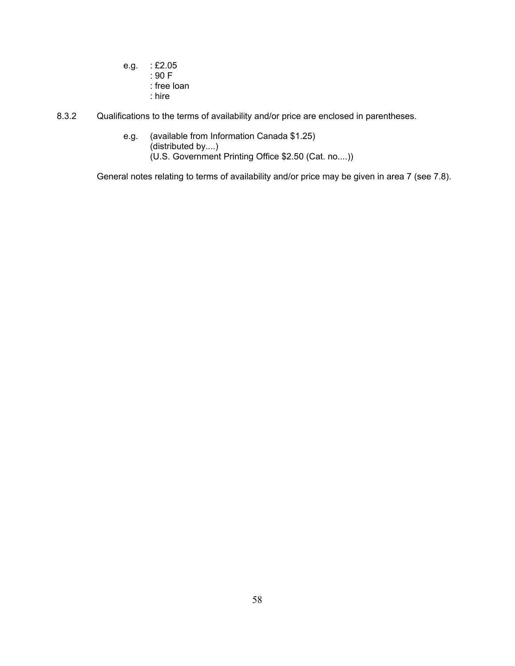e.g. : £2.05 : 90 F : free loan : hire

- 8.3.2 Qualifications to the terms of availability and/or price are enclosed in parentheses.
	- e.g. (available from Information Canada \$1.25) (distributed by....) (U.S. Government Printing Office \$2.50 (Cat. no....))

General notes relating to terms of availability and/or price may be given in area 7 (see 7.8).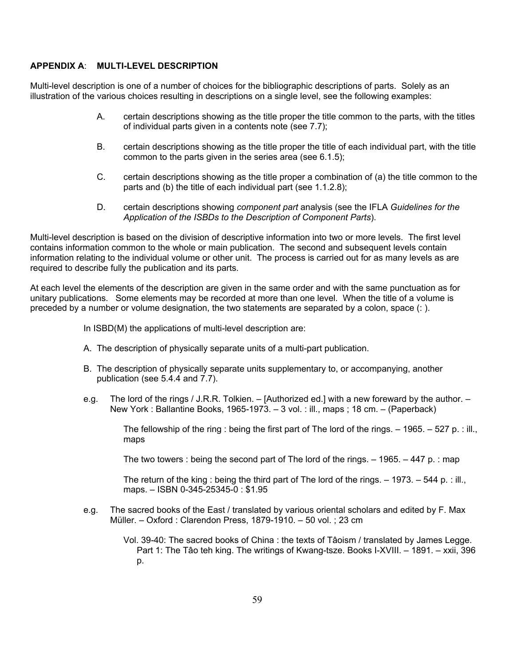#### <span id="page-63-0"></span>**APPENDIX A**: **MULTI-LEVEL DESCRIPTION**

Multi-level description is one of a number of choices for the bibliographic descriptions of parts. Solely as an illustration of the various choices resulting in descriptions on a single level, see the following examples:

- A. certain descriptions showing as the title proper the title common to the parts, with the titles of individual parts given in a contents note (see 7.7);
- B. certain descriptions showing as the title proper the title of each individual part, with the title common to the parts given in the series area (see 6.1.5);
- C. certain descriptions showing as the title proper a combination of (a) the title common to the parts and (b) the title of each individual part (see 1.1.2.8);
- D. certain descriptions showing *component part* analysis (see the IFLA *Guidelines for the Application of the ISBDs to the Description of Component Parts*).

Multi-level description is based on the division of descriptive information into two or more levels. The first level contains information common to the whole or main publication. The second and subsequent levels contain information relating to the individual volume or other unit. The process is carried out for as many levels as are required to describe fully the publication and its parts.

At each level the elements of the description are given in the same order and with the same punctuation as for unitary publications. Some elements may be recorded at more than one level. When the title of a volume is preceded by a number or volume designation, the two statements are separated by a colon, space (: ).

In ISBD(M) the applications of multi-level description are:

- A. The description of physically separate units of a multi-part publication.
- B. The description of physically separate units supplementary to, or accompanying, another publication (see 5.4.4 and 7.7).
- e.g. The lord of the rings / J.R.R. Tolkien. [Authorized ed.] with a new foreward by the author. New York : Ballantine Books, 1965-1973. – 3 vol. : ill., maps ; 18 cm. – (Paperback)

The fellowship of the ring : being the first part of The lord of the rings.  $-1965$ .  $-527$  p. : ill., maps

The two towers : being the second part of The lord of the rings.  $-1965$ .  $-447$  p. : map

The return of the king : being the third part of The lord of the rings.  $-1973$ .  $-544$  p. : ill., maps. – ISBN 0-345-25345-0 : \$1.95

e.g. The sacred books of the East / translated by various oriental scholars and edited by F. Max Müller. – Oxford : Clarendon Press, 1879-1910. – 50 vol. ; 23 cm

> Vol. 39-40: The sacred books of China : the texts of Tâoism / translated by James Legge. Part 1: The Tâo teh king. The writings of Kwang-tsze. Books I-XVIII. – 1891. – xxii, 396 p.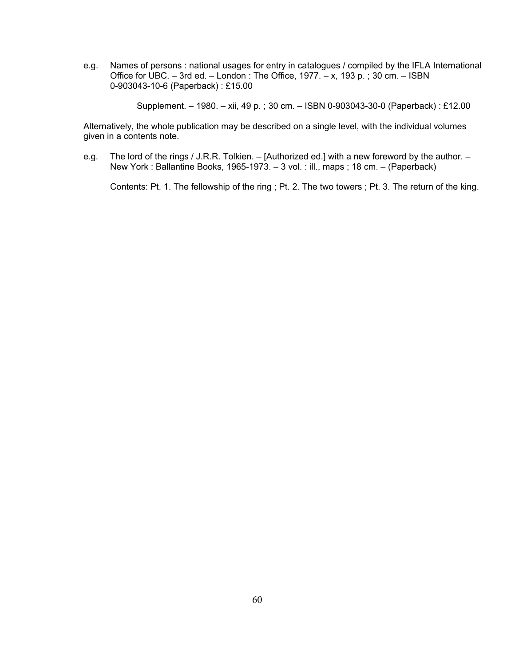e.g. Names of persons : national usages for entry in catalogues / compiled by the IFLA International Office for UBC. – 3rd ed. – London : The Office, 1977. – x, 193 p. ; 30 cm. – ISBN 0-903043-10-6 (Paperback) : £15.00

Supplement. – 1980. – xii, 49 p. ; 30 cm. – ISBN 0-903043-30-0 (Paperback) : £12.00

Alternatively, the whole publication may be described on a single level, with the individual volumes given in a contents note.

e.g. The lord of the rings / J.R.R. Tolkien. – [Authorized ed.] with a new foreword by the author. – New York : Ballantine Books, 1965-1973. – 3 vol. : ill., maps ; 18 cm. – (Paperback)

Contents: Pt. 1. The fellowship of the ring ; Pt. 2. The two towers ; Pt. 3. The return of the king.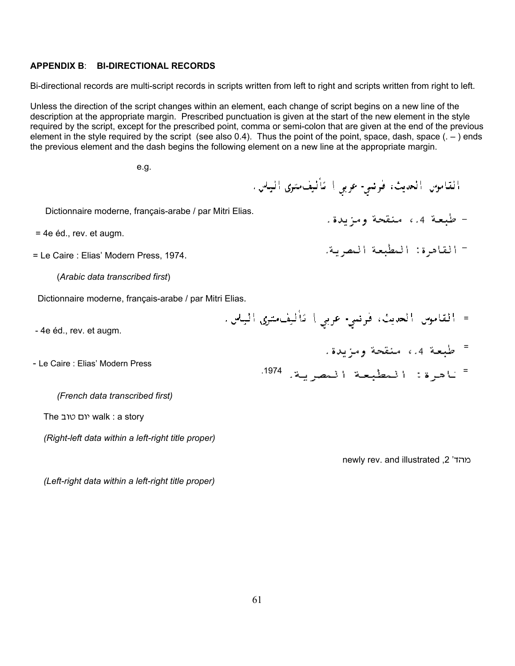#### <span id="page-65-0"></span>**APPENDIX B**: **BI-DIRECTIONAL RECORDS**

Bi-directional records are multi-script records in scripts written from left to right and scripts written from right to left.

Unless the direction of the script changes within an element, each change of script begins on a new line of the description at the appropriate margin. Prescribed punctuation is given at the start of the new element in the style required by the script, except for the prescribed point, comma or semi-colon that are given at the end of the previous element in the style required by the script (see also 0.4). Thus the point of the point, space, dash, space  $(.-)$  ends the previous element and the dash begins the following element on a new line at the appropriate margin.

e.g.

القاموس الحديث، فرنسي- عربي ا تأليف سرى الياس.

Dictionnaire moderne, français-arabe / par Mitri Elias.

= 4e éd., rev. et augm.

= Le Caire : Elias' Modern Press, 1974.

(*Arabic data transcribed first*)

Dictionnaire moderne, français-arabe / par Mitri Elias.

- 4e éd., rev. et augm.

- Le Caire : Elias' Modern Press

*(French data transcribed first)*

The יום טוב walk : a story

*(Right-left data within a left-right title proper)*

newly rev. and illustrated ,2 'מהד

*(Left-right data within a left-right title proper)*

- = القاموس الحديث، فرنسي- عربي ا تأليفمنتري اليباس.
	- = طبعة 4.4 منقحة ومزيدة.

– طبعة 4.، منقحة ومزيدة.

– القادرة: النطبعة النصرية.

-<br>- نامرة: المطبعة المصرية. <sup>1974.</sup>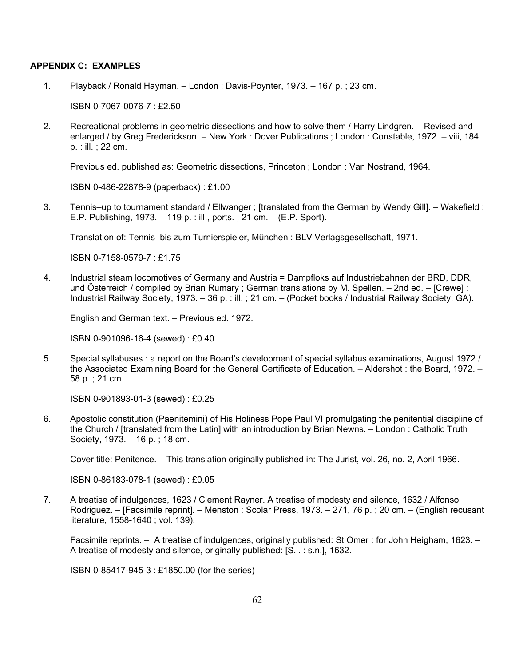## **APPENDIX C: EXAMPLES**

1. Playback / Ronald Hayman. – London : Davis-Poynter, 1973. – 167 p. ; 23 cm.

ISBN 0-7067-0076-7 : £2.50

2. Recreational problems in geometric dissections and how to solve them / Harry Lindgren. – Revised and enlarged / by Greg Frederickson. – New York : Dover Publications ; London : Constable, 1972. – viii, 184 p. : ill. ; 22 cm.

Previous ed. published as: Geometric dissections, Princeton ; London : Van Nostrand, 1964.

ISBN 0-486-22878-9 (paperback) : £1.00

3. Tennis–up to tournament standard / Ellwanger ; [translated from the German by Wendy Gill]. – Wakefield : E.P. Publishing, 1973. – 119 p. : ill., ports. ; 21 cm. – (E.P. Sport).

Translation of: Tennis–bis zum Turnierspieler, München : BLV Verlagsgesellschaft, 1971.

ISBN 0-7158-0579-7 : £1.75

4. Industrial steam locomotives of Germany and Austria = Dampfloks auf Industriebahnen der BRD, DDR, und Österreich / compiled by Brian Rumary ; German translations by M. Spellen. – 2nd ed. – [Crewe] : Industrial Railway Society, 1973. – 36 p. : ill. ; 21 cm. – (Pocket books / Industrial Railway Society. GA).

English and German text. – Previous ed. 1972.

ISBN 0-901096-16-4 (sewed) : £0.40

5. Special syllabuses : a report on the Board's development of special syllabus examinations, August 1972 / the Associated Examining Board for the General Certificate of Education. – Aldershot : the Board, 1972. – 58 p. ; 21 cm.

ISBN 0-901893-01-3 (sewed) : £0.25

6. Apostolic constitution (Paenitemini) of His Holiness Pope Paul VI promulgating the penitential discipline of the Church / [translated from the Latin] with an introduction by Brian Newns. – London : Catholic Truth Society, 1973. – 16 p. ; 18 cm.

Cover title: Penitence. – This translation originally published in: The Jurist, vol. 26, no. 2, April 1966.

ISBN 0-86183-078-1 (sewed) : £0.05

7. A treatise of indulgences, 1623 / Clement Rayner. A treatise of modesty and silence, 1632 / Alfonso Rodriguez. – [Facsimile reprint]. – Menston : Scolar Press, 1973. – 271, 76 p. ; 20 cm. – (English recusant literature, 1558-1640 ; vol. 139).

Facsimile reprints. – A treatise of indulgences, originally published: St Omer : for John Heigham, 1623. – A treatise of modesty and silence, originally published: [S.l. : s.n.], 1632.

ISBN 0-85417-945-3 : £1850.00 (for the series)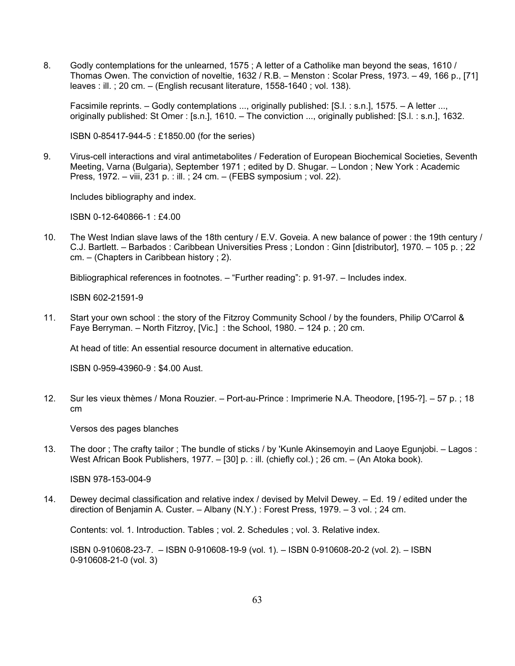8. Godly contemplations for the unlearned, 1575; A letter of a Catholike man beyond the seas, 1610 / Thomas Owen. The conviction of noveltie, 1632 / R.B. – Menston : Scolar Press, 1973. – 49, 166 p., [71] leaves : ill. ; 20 cm. – (English recusant literature, 1558-1640 ; vol. 138).

Facsimile reprints. – Godly contemplations ..., originally published: [S.l. : s.n.], 1575. – A letter ..., originally published: St Omer : [s.n.], 1610. – The conviction ..., originally published: [S.l. : s.n.], 1632.

ISBN 0-85417-944-5 : £1850.00 (for the series)

9. Virus-cell interactions and viral antimetabolites / Federation of European Biochemical Societies, Seventh Meeting, Varna (Bulgaria), September 1971 ; edited by D. Shugar. – London ; New York : Academic Press, 1972. – viii, 231 p. : ill. ; 24 cm. – (FEBS symposium ; vol. 22).

Includes bibliography and index.

ISBN 0-12-640866-1 : £4.00

10. The West Indian slave laws of the 18th century / E.V. Goveia. A new balance of power : the 19th century / C.J. Bartlett. – Barbados : Caribbean Universities Press ; London : Ginn [distributor], 1970. – 105 p. ; 22 cm. – (Chapters in Caribbean history ; 2).

Bibliographical references in footnotes. – "Further reading": p. 91-97. – Includes index.

ISBN 602-21591-9

11. Start your own school : the story of the Fitzroy Community School / by the founders, Philip O'Carrol & Faye Berryman. – North Fitzroy, [Vic.] : the School, 1980. – 124 p. ; 20 cm.

At head of title: An essential resource document in alternative education.

ISBN 0-959-43960-9 : \$4.00 Aust.

12. Sur les vieux thèmes / Mona Rouzier. – Port-au-Prince : Imprimerie N.A. Theodore, [195-?]. – 57 p. ; 18 cm

Versos des pages blanches

13. The door ; The crafty tailor ; The bundle of sticks / by 'Kunle Akinsemoyin and Laoye Egunjobi. – Lagos : West African Book Publishers, 1977. – [30] p. : ill. (chiefly col.) ; 26 cm. – (An Atoka book).

ISBN 978-153-004-9

14. Dewey decimal classification and relative index / devised by Melvil Dewey. – Ed. 19 / edited under the direction of Benjamin A. Custer. – Albany (N.Y.) : Forest Press, 1979. – 3 vol. ; 24 cm.

Contents: vol. 1. Introduction. Tables ; vol. 2. Schedules ; vol. 3. Relative index.

ISBN 0-910608-23-7. – ISBN 0-910608-19-9 (vol. 1). – ISBN 0-910608-20-2 (vol. 2). – ISBN 0-910608-21-0 (vol. 3)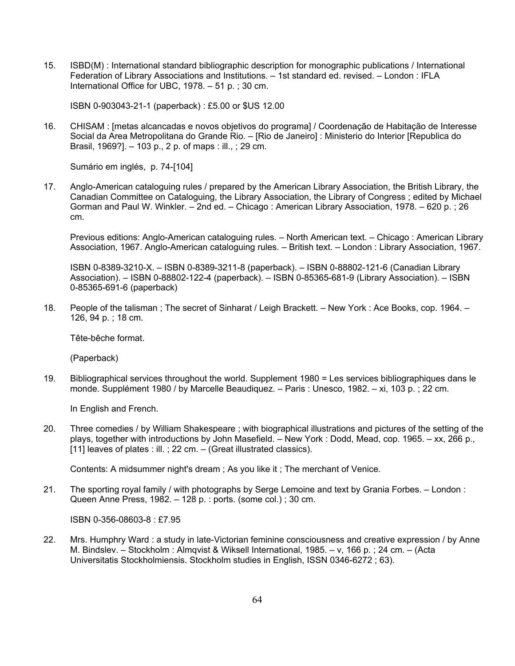15. ISBD(M) : International standard bibliographic description for monographic publications / International Federation of Library Associations and Institutions. – 1st standard ed. revised. – London : IFLA International Office for UBC, 1978. – 51 p. ; 30 cm.

ISBN 0-903043-21-1 (paperback) : £5.00 or \$US 12.00

16. CHISAM : [metas alcancadas e novos objetivos do programa] / Coordenação de Habitação de Interesse Social da Area Metropolitana do Grande Rio. – [Rio de Janeiro] : Ministerio do Interior [Republica do Brasil, 1969?]. – 103 p., 2 p. of maps : ill., ; 29 cm.

Sumário em inglés, p. 74-[104]

17. Anglo-American cataloguing rules / prepared by the American Library Association, the British Library, the Canadian Committee on Cataloguing, the Library Association, the Library of Congress ; edited by Michael Gorman and Paul W. Winkler. – 2nd ed. – Chicago : American Library Association, 1978. – 620 p. ; 26 cm.

Previous editions: Anglo-American cataloguing rules. – North American text. – Chicago : American Library Association, 1967. Anglo-American cataloguing rules. – British text. – London : Library Association, 1967.

 ISBN 0-8389-3210-X. – ISBN 0-8389-3211-8 (paperback). – ISBN 0-88802-121-6 (Canadian Library Association). – ISBN 0-88802-122-4 (paperback). – ISBN 0-85365-681-9 (Library Association). – ISBN 0-85365-691-6 (paperback)

 18. People of the talisman ; The secret of Sinharat / Leigh Brackett. – New York : Ace Books, cop. 1964. – 126, 94 p. ; 18 cm.

Tête-bêche format.

(Paperback)

19. Bibliographical services throughout the world. Supplement 1980 = Les services bibliographiques dans le monde. Supplément 1980 / by Marcelle Beaudiquez. – Paris : Unesco, 1982. – xi, 103 p. ; 22 cm.

In English and French.

20. Three comedies / by William Shakespeare ; with biographical illustrations and pictures of the setting of the plays, together with introductions by John Masefield. – New York : Dodd, Mead, cop. 1965. – xx, 266 p., [11] leaves of plates : ill. ; 22 cm. – (Great illustrated classics).

Contents: A midsummer night's dream ; As you like it ; The merchant of Venice.

21. The sporting royal family / with photographs by Serge Lemoine and text by Grania Forbes. – London : Queen Anne Press, 1982. – 128 p. : ports. (some col.) ; 30 cm.

ISBN 0-356-08603-8 : £7.95

22. Mrs. Humphry Ward : a study in late-Victorian feminine consciousness and creative expression / by Anne M. Bindslev. – Stockholm : Almqvist & Wiksell International, 1985. – v, 166 p. ; 24 cm. – (Acta Universitatis Stockholmiensis. Stockholm studies in English, ISSN 0346-6272 ; 63).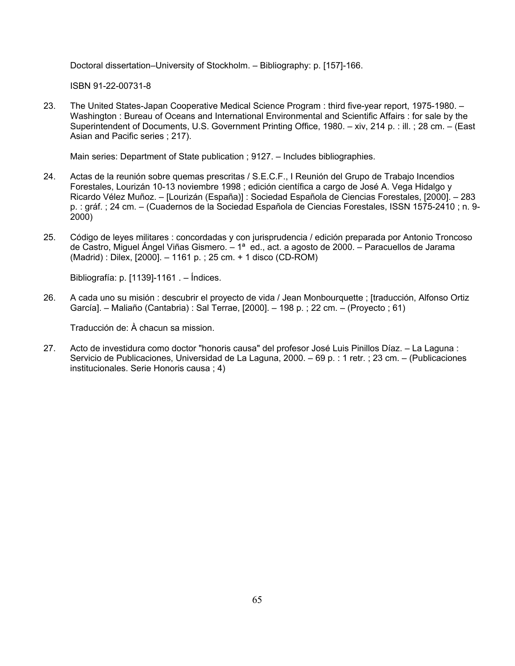Doctoral dissertation–University of Stockholm. – Bibliography: p. [157]-166.

ISBN 91-22-00731-8

23. The United States-Japan Cooperative Medical Science Program : third five-year report, 1975-1980. – Washington : Bureau of Oceans and International Environmental and Scientific Affairs : for sale by the Superintendent of Documents, U.S. Government Printing Office, 1980. – xiv, 214 p. : ill. ; 28 cm. – (East Asian and Pacific series ; 217).

Main series: Department of State publication ; 9127. – Includes bibliographies.

- 24. Actas de la reunión sobre quemas prescritas / S.E.C.F., I Reunión del Grupo de Trabajo Incendios Forestales, Lourizán 10-13 noviembre 1998 ; edición científica a cargo de José A. Vega Hidalgo y Ricardo Vélez Muñoz. – [Lourizán (España)] : Sociedad Española de Ciencias Forestales, [2000]. – 283 p. : gráf. ; 24 cm. – (Cuadernos de la Sociedad Española de Ciencias Forestales, ISSN 1575-2410 ; n. 9- 2000)
- 25. Código de leyes militares : concordadas y con jurisprudencia / edición preparada por Antonio Troncoso de Castro, Miguel Ángel Viñas Gismero. – 1ª ed., act. a agosto de 2000. – Paracuellos de Jarama (Madrid) : Dilex, [2000]. – 1161 p. ; 25 cm. + 1 disco (CD-ROM)

Bibliografía: p. [1139]-1161 . – Índices.

 26. A cada uno su misión : descubrir el proyecto de vida / Jean Monbourquette ; [traducción, Alfonso Ortiz García]. – Maliaño (Cantabria) : Sal Terrae, [2000]. – 198 p. ; 22 cm. – (Proyecto ; 61)

Traducción de: À chacun sa mission.

 27. Acto de investidura como doctor "honoris causa" del profesor José Luis Pinillos Díaz. – La Laguna : Servicio de Publicaciones, Universidad de La Laguna, 2000. – 69 p. : 1 retr. ; 23 cm. – (Publicaciones institucionales. Serie Honoris causa ; 4)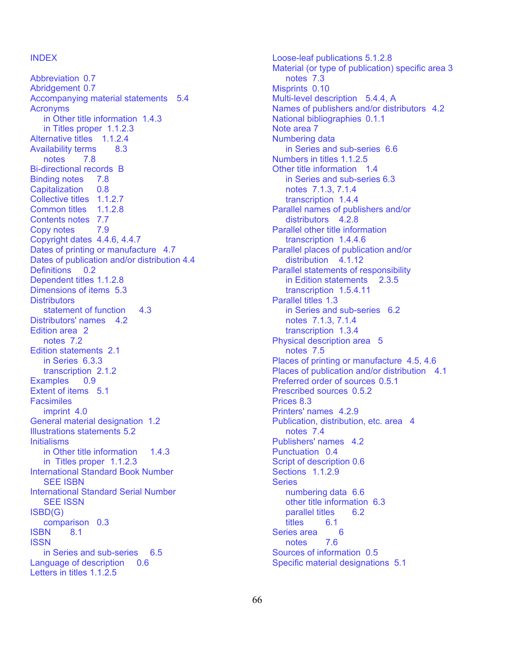#### INDEX

[Abbreviation 0.7](#page-18-0) [Abridgement 0.7](#page-18-0) [Accompanying material statements 5.4](#page-51-0) **Acronyms** [in Other title information 1.4.3](#page-26-0) [in Titles proper 1.1.2.3](#page-21-0) [Alternative titles 1.1.2.4](#page-21-0) [Availability terms 8.3](#page-61-0) [notes 7.8](#page-59-0) [Bi-directional records B](#page-65-0) [Binding notes 7.8](#page-59-0) [Capitalization 0.8](#page-18-0) [Collective titles 1.1.2.7](#page-22-0) [Common titles 1.1.2.8](#page-22-0) [Contents notes 7.7](#page-59-0) [Copy notes 7.9](#page-59-0) [Copyright dates 4.4.6,](#page-44-0) [4.4.7](#page-45-0) [Dates of printing or manufacture 4.7](#page-46-0) [Dates of publication and/or distribution 4.4](#page-44-0) [Definitions 0.2](#page-6-0) [Dependent titles 1.1.2.8](#page-22-0) [Dimensions of items 5.3](#page-51-0) **Distributors** [statement of function 4.3](#page-44-0) [Distributors' names 4.2](#page-43-0) [Edition area 2](#page-35-0) [notes 7.2](#page-58-0) [Edition statements 2.1](#page-36-0) [in Series 6.3.3](#page-54-0) [transcription 2.1.2](#page-36-0) [Examples 0.9](#page-18-0) [Extent of items 5.1](#page-46-0) **Facsimiles** [imprint 4.0](#page-40-0) [General material designation 1.2](#page-24-0) [Illustrations statements 5.2](#page-50-0) Initialisms [in Other title information 1.4.3](#page-26-0) [in Titles proper 1.1.2.3](#page-21-0) International Standard Book Number SEE ISBN International Standard Serial Number SEE ISSN ISBD(G) [comparison 0.3](#page-10-0) [ISBN 8.1](#page-61-0) **ISSN** [in Series and sub-series 6.5](#page-55-0) [Language of description 0.6](#page-17-0) [Letters in titles 1.1.2.5](#page-21-0)

[Loose-leaf publications 5.1.2.8](#page-48-0) [Material \(or type of publication\) specific area 3](#page-40-0) [notes 7.3](#page-58-0) [Misprints 0.10](#page-18-0) [Multi-level description 5.4.4,](#page-52-0) [A](#page-63-0) [Names of publishers and/or distributors 4.2](#page-43-0) [National bibliographies 0.1.1](#page-5-0) [Note area 7](#page-56-0) Numbering data [in Series and sub-series 6.6](#page-55-0) [Numbers in titles 1.1.2.5](#page-21-0) [Other title information 1.4](#page-26-0) [in Series and sub-series 6.3](#page-54-0) [notes 7.1.3, 7.1.4](#page-57-0) [transcription 1.4.4](#page-27-0) [Parallel names of publishers and/or](#page-43-0)  distributors 4.2.8 [Parallel other title information](#page-28-0) transcription 1.4.4.6 [Parallel places of publication and/or](#page-42-0)  distribution 4.1.12 Parallel statements of responsibility [in Edition statements 2.3.5](#page-38-0) [transcription 1.5.4.11](#page-33-0) [Parallel titles 1.3](#page-25-0) [in Series and sub-series 6.2](#page-54-0) [notes 7.1.3](#page-57-0), [7.1.4](#page-57-0) [transcription 1.3.4](#page-25-0) [Physical description area 5](#page-46-0) [notes 7.5](#page-58-0) [Places of printing or manufacture 4.5, 4.6](#page-45-0) [Places of publication and/or distribution 4.1](#page-41-0) [Preferred order of sources 0.5.1](#page-16-0) [Prescribed sources 0.5.2](#page-16-0) [Prices 8.3](#page-61-0) [Printers' names 4.2.9](#page-43-0) [Publication, distribution, etc. area 4](#page-40-0) [notes 7.4](#page-58-0) [Publishers' names 4.2](#page-43-0) [Punctuation 0.4](#page-14-0) [Script of description 0.6](#page-17-0) [Sections 1.1.2.9](#page-22-0) **Series** [numbering data 6.6](#page-55-0) [other title information 6.3](#page-54-0) [parallel titles 6.2](#page-54-0) [titles 6.1](#page-53-0) [Series area 6](#page-52-0) [notes 7.6](#page-59-0) [Sources of information 0.5](#page-16-0) [Specific material designations 5.1](#page-46-0)